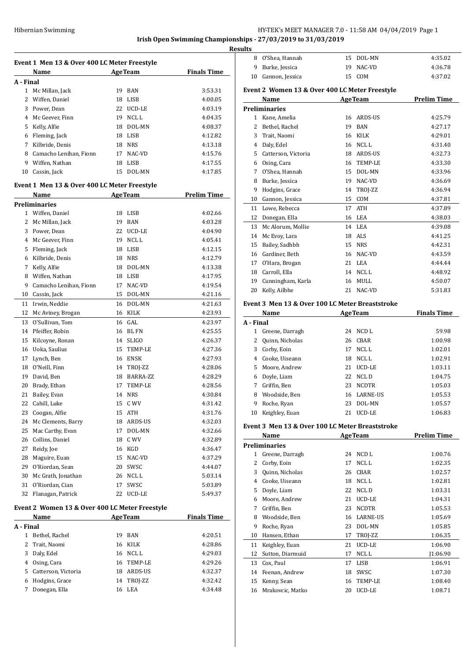**Irish Open Swimming Championships - 27/03/2019 to 31/03/2019**

**Results Event 1 Men 13 & Over 400 LC Meter Freestyle Name Age Team Finals Time A - Final** Mc Millan, Jack 19 BAN 3:53.31 2 Wiffen, Daniel 18 LISB 4:00.05 Power, Dean 22 UCD-LE 4:03.19 4 Mc Geever, Finn 19 NCL L 4:04.35 Kelly, Alfie 18 DOL-MN 4:08.37 Fleming, Jack 18 LISB 4:12.82 Kilbride, Denis 18 NRS 4:13.18 8 Camacho Lenihan, Fionn 17 NAC-VD 4:15.76 Wiffen, Nathan 18 LISB 4:17.55 Cassin, Jack 15 DOL-MN 4:17.85 **Event 1 Men 13 & Over 400 LC Meter Freestyle Name Age Team Prelim Time Preliminaries** Wiffen, Daniel 18 LISB 4:02.66 Mc Millan, Jack 19 BAN 4:03.28 Power, Dean 22 UCD-LE 4:04.90 4 Mc Geever, Finn 19 NCL L 4:05.41 Fleming, Jack 18 LISB 4:12.15 Kilbride, Denis 18 NRS 4:12.79 Kelly, Alfie 18 DOL-MN 4:13.38 Wiffen, Nathan 18 LISB 4:17.95 Camacho Lenihan, Fionn 17 NAC-VD 4:19.54 Cassin, Jack 15 DOL-MN 4:21.16 Irwin, Neddie 16 DOL-MN 4:21.63 12 Mc Aviney, Brogan 16 KILK 4:23.93 O'Sullivan, Tom 16 GAL 4:23.97 Pfeiffer, Robin 16 BL FN 4:25.55 Kilcoyne, Ronan 14 SLIGO 4:26.37 Uoka, Saulius 15 TEMP-LE 4:27.36 Lynch, Ben 16 ENSK 4:27.93 O'Neill, Finn 14 TROJ-ZZ 4:28.06 David, Ben 18 BARRA-ZZ 4:28.29 Brady, Ethan 17 TEMP-LE 4:28.56 Bailey, Evan 14 NRS 4:30.84 Cahill, Luke 15 C WV 4:31.42 23 Coogan, Alfie 15 ATH 4:31.76 Mc Clements, Barry 18 ARDS-US 4:32.03 25 Mac Carthy, Evan 17 DOL-MN 4:32.66 Collins, Daniel 18 C WV 4:32.89 Reidy, Joe 16 KGD 4:36.47 Maguire, Euan 15 NAC-VD 4:37.29 O'Riordan, Sean 20 SWSC 4:44.07 30 Mc Grath, Jonathan 26 NCL L 5:03.14 O'Riordan, Cian 17 SWSC 5:03.89 Flanagan, Patrick 22 UCD-LE 5:49.37 **Event 2 Women 13 & Over 400 LC Meter Freestyle Name Age Team Finals Time A - Final** Bethel, Rachel 19 BAN 4:20.51 Trait, Naomi 16 KILK 4:28.86

 Daly, Edel 16 NCL L 4:29.03 Osing, Cara 16 TEMP-LE 4:29.26 Catterson, Victoria 18 ARDS-US 4:32.37 Hodgins, Grace 14 TROJ-ZZ 4:32.42 Donegan, Ella 16 LEA 4:34.48

| <u>iits</u> |                                                 |    |                 |                    |
|-------------|-------------------------------------------------|----|-----------------|--------------------|
| 8           | O'Shea, Hannah                                  | 15 | DOL-MN          | 4:35.02            |
| 9           | Burke, Jessica                                  | 19 | NAC-VD          | 4:36.78            |
| 10          | Gannon, Jessica                                 | 15 | COM             | 4:37.02            |
|             |                                                 |    |                 |                    |
|             | Event 2 Women 13 & Over 400 LC Meter Freestyle  |    |                 |                    |
|             | Name                                            |    | <b>AgeTeam</b>  | <b>Prelim Time</b> |
|             | <b>Preliminaries</b>                            |    |                 |                    |
|             | 1 Kane, Amelia                                  | 16 | ARDS-US         | 4:25.79            |
|             | 2 Bethel, Rachel                                | 19 | BAN             | 4:27.17            |
| 3           | Trait, Naomi                                    | 16 | KILK            | 4:29.01            |
|             | 4 Daly, Edel                                    |    | 16 NCLL         | 4:31.40            |
| 5           | Catterson, Victoria                             |    | 18 ARDS-US      | 4:32.73            |
|             | 6 Osing, Cara                                   |    | 16 TEMP-LE      | 4:33.30            |
| 7           | O'Shea, Hannah                                  |    | 15 DOL-MN       | 4:33.96            |
| 8           | Burke, Jessica                                  |    | 19 NAC-VD       | 4:36.69            |
| 9           | Hodgins, Grace                                  |    | 14 TROJ-ZZ      | 4:36.94            |
| 10          | Gannon, Jessica                                 | 15 | COM             | 4:37.81            |
| 11          | Lowe, Rebecca                                   | 17 | ATH             | 4:37.89            |
| 12          | Donegan, Ella                                   |    | 16 LEA          | 4:38.03            |
| 13          | Mc Alorum, Mollie                               |    | 14 LEA          | 4:39.08            |
| 14          | Mc Evoy, Lara                                   |    | 18 ALS          | 4:41.25            |
| 15          | Bailey, Sadhbh                                  | 15 | <b>NRS</b>      | 4:42.31            |
| 16          | Gardiner, Beth                                  |    | 16 NAC-VD       | 4:43.59            |
| 17          | O'Hara, Brogan                                  |    | 21 LEA          | 4:44.44            |
| 18          | Carroll, Ella                                   |    | 14 NCLL         | 4:48.92            |
| 19          | Cunningham, Karla                               | 16 | MULL            | 4:50.07            |
| 20          | Kelly, Ailbhe                                   | 21 | NAC-VD          | 5:31.83            |
|             |                                                 |    |                 |                    |
|             | Event 3 Men 13 & Over 100 LC Meter Breaststroke |    |                 |                    |
|             | Name                                            |    | <b>AgeTeam</b>  | <b>Finals Time</b> |
| A - Final   |                                                 |    |                 |                    |
| 1           | Greene, Darragh                                 | 24 | NCD L           | 59.98              |
|             | 2 Quinn, Nicholas                               |    | 26 CBAR         | 1:00.98            |
|             | 3 Corby, Eoin                                   |    | 17 NCLL         | 1:02.01            |
|             | 4 Cooke, Uiseann                                |    | 18 NCLL         | 1:02.91            |
| 5           | Moore, Andrew                                   | 21 | UCD-LE          | 1:03.11            |
| 6           | Doyle, Liam                                     | 22 | NCL D           | 1:04.75            |
| 7           | Griffin, Ben                                    | 23 | <b>NCDTR</b>    | 1:05.03            |
| 8           | Woodside, Ben                                   | 16 | <b>LARNE-US</b> | 1:05.53            |
| 9           | Roche, Ryan                                     | 23 | DOL-MN          | 1:05.57            |
| 10          | Keighley, Euan                                  | 21 | UCD-LE          | 1:06.83            |
|             |                                                 |    |                 |                    |
|             |                                                 |    |                 |                    |
|             | Event 3 Men 13 & Over 100 LC Meter Breaststroke |    |                 |                    |
|             | Name                                            |    | <b>AgeTeam</b>  | <b>Prelim Time</b> |
|             | <b>Preliminaries</b>                            |    |                 |                    |
| 1           | Greene, Darragh                                 |    | 24 NCD L        | 1:00.76            |
| 2           | Corby, Eoin                                     | 17 | NCL L           | 1:02.35            |
|             | 3 Quinn, Nicholas                               |    | 26 CBAR         | 1:02.57            |
|             | 4 Cooke, Uiseann                                |    | 18 NCLL         | 1:02.81            |
| 5           | Doyle, Liam                                     | 22 | NCL D           | 1:03.31            |
|             | 6 Moore, Andrew                                 | 21 | UCD-LE          | 1:04.31            |
| 7           | Griffin, Ben                                    | 23 | <b>NCDTR</b>    | 1:05.53            |
|             | 8 Woodside, Ben                                 |    | 16 LARNE-US     | 1:05.69            |
| 9           | Roche, Ryan                                     |    | 23 DOL-MN       | 1:05.85            |
| 10          | Hansen, Ethan                                   | 17 | TROJ-ZZ         | 1:06.35            |
| 11          | Keighley, Euan                                  | 21 | UCD-LE          | 1:06.90            |
| 12          | Sutton, Diarmuid                                | 17 | NCL L           | J1:06.90           |
| 13          | Cox, Paul                                       | 17 | LISB            | 1:06.91            |
| 14          | Feenan, Andrew                                  | 18 | SWSC            | 1:07.30            |
| 15          | Kenny, Sean                                     | 16 | TEMP-LE         | 1:08.40            |
| 16          | Mrakovcic, Matko                                | 20 | UCD-LE          | 1:08.71            |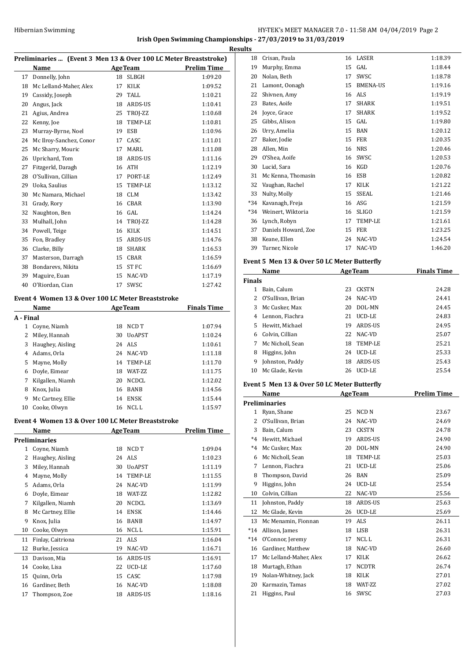#### HY-TEK's MEET MANAGER 7.0 - 11:58 AM 04/04/2019 Page 2 **Irish Open Swimming Championships - 27/03/2019 to 31/03/2019**

**Results**

|    | Hibernian Swimming        |                 |                | <b>Irish Open Swimming Champion</b>                              |
|----|---------------------------|-----------------|----------------|------------------------------------------------------------------|
|    |                           |                 |                | Re                                                               |
|    |                           |                 |                | Preliminaries  (Event 3 Men 13 & Over 100 LC Meter Breaststroke) |
|    | Name                      |                 | <b>AgeTeam</b> | <b>Prelim Time</b>                                               |
|    | 17 Donnelly, John         |                 | 18 SLBGH       | 1:09.20                                                          |
|    | 18 Mc Lelland-Maher, Alex | 17              | <b>KILK</b>    | 1:09.52                                                          |
|    | 19 Cassidy, Joseph        | 29              | TALL.          | 1:10.21                                                          |
| 20 | Angus, Jack               | 18              | <b>ARDS-US</b> | 1:10.41                                                          |
| 21 | Agius, Andrea             | 25              | TROJ-ZZ        | 1:10.68                                                          |
| 22 | Kenny, Joe                | 18              | TEMP-LE        | 1:10.81                                                          |
|    | 23 Murray-Byrne, Noel     | 19              | ESB            | 1:10.96                                                          |
| 24 | Mc Ilroy-Sanchez, Conor   | 17              | CASC.          | 1:11.01                                                          |
| 25 | Mc Sharry, Mouric         | 17              | MARI.          | 1:11.08                                                          |
| 26 | Uprichard, Tom            | 18              | ARDS-US        | 1:11.16                                                          |
|    | 27 Fitzgerld, Daragh      | 16              | <b>ATH</b>     | 1:12.19                                                          |
| 28 | O'Sullivan, Cillian       | 17              | PORT-LE        | 1:12.49                                                          |
|    | 29 Uoka, Saulius          | 15              | TEMP-LE        | 1:13.12                                                          |
|    | 30 Mc Namara, Michael     | 18              | <b>CLM</b>     | 1:13.42                                                          |
|    | 31 Grady, Rory            | 16              | CBAR           | 1:13.90                                                          |
| 32 | Naughton, Ben             | 16              | GAL.           | 1:14.24                                                          |
|    | 33 Mulhall, John          | 14              | TROJ-ZZ        | 1:14.28                                                          |
|    | 34 Powell, Teige          | 16              | <b>KILK</b>    | 1:14.51                                                          |
| 35 | Fon, Bradley              | 15              | ARDS-US        | 1:14.76                                                          |
| 36 | Clarke, Billy             | 18              | <b>SHARK</b>   | 1:16.53                                                          |
|    | 37 Masterson, Darragh     |                 | 15 CBAR        | 1:16.59                                                          |
|    | 38 Bondarevs, Nikita      | 15 <sup>7</sup> | ST FC          | 1:16.69                                                          |
| 39 | Maguire, Euan             | 15              | NAC-VD         | 1:17.19                                                          |
| 40 | O'Riordan. Cian           | 17              | SWSC           | 1:27.42                                                          |

## **Event 4 Women 13 & Over 100 LC Meter Breaststroke**

|           | Name              |    | <b>AgeTeam</b> | <b>Finals Time</b> |
|-----------|-------------------|----|----------------|--------------------|
| A - Final |                   |    |                |                    |
| 1         | Coyne, Niamh      | 18 | NCD T          | 1:07.94            |
| 2         | Miley, Hannah     | 30 | <b>U</b> oAPST | 1:10.24            |
| 3         | Haughey, Aisling  |    | 24 ALS         | 1:10.61            |
| 4         | Adams, Orla       | 24 | NAC-VD         | 1:11.18            |
| 5         | Mayne, Molly      | 14 | TEMP-LE        | 1:11.70            |
| 6         | Doyle, Eimear     | 18 | WAT-ZZ         | 1:11.75            |
| 7         | Kilgallen, Niamh  | 20 | <b>NCDCL</b>   | 1:12.02            |
| 8         | Knox, Julia       | 16 | <b>BANB</b>    | 1:14.56            |
| 9         | Mc Cartney, Ellie | 14 | <b>ENSK</b>    | 1:15.44            |
| 10        | Cooke, Olwyn      | 16 | NCL L          | 1:15.97            |

#### **Event 4 Women 13 & Over 100 LC Meter Breaststroke**

|              | Name              |    | <b>AgeTeam</b> | Prelim Time |
|--------------|-------------------|----|----------------|-------------|
|              | Preliminaries     |    |                |             |
| $\mathbf{1}$ | Coyne, Niamh      | 18 | NCD T          | 1:09.04     |
| 2            | Haughey, Aisling  | 24 | ALS            | 1:10.23     |
| 3            | Miley, Hannah     | 30 | <b>UoAPST</b>  | 1:11.19     |
| 4            | Mayne, Molly      | 14 | TEMP-LE        | 1:11.55     |
| 5            | Adams, Orla       | 24 | NAC-VD         | 1:11.99     |
| 6            | Doyle, Eimear     | 18 | WAT-ZZ         | 1:12.82     |
| 7            | Kilgallen, Niamh  | 20 | NCDCL          | 1:13.69     |
| 8            | Mc Cartney, Ellie | 14 | <b>ENSK</b>    | 1:14.46     |
| 9            | Knox, Julia       | 16 | <b>BANB</b>    | 1:14.97     |
| 10           | Cooke, Olwyn      | 16 | NCL L          | 1:15.91     |
| 11           | Finlay, Caitriona | 21 | <b>ALS</b>     | 1:16.04     |
| 12           | Burke, Jessica    | 19 | NAC-VD         | 1:16.71     |
| 13           | Davison, Mia      | 16 | ARDS-US        | 1:16.91     |
| 14           | Cooke, Lisa       | 22 | UCD-LE         | 1:17.60     |
| 15           | Quinn, Orla       | 15 | CASC           | 1:17.98     |
| 16           | Gardiner, Beth    | 16 | NAC-VD         | 1:18.08     |
| 17           | Thompson, Zoe     | 18 | ARDS-US        | 1:18.16     |
|              |                   |    |                |             |

| 18  | Crisan, Paula       | 16 | LASER           | 1:18.39 |
|-----|---------------------|----|-----------------|---------|
| 19  | Murphy, Emma        | 15 | GAL             | 1:18.44 |
| 20  | Nolan, Beth         | 17 | SWSC            | 1:18.78 |
| 21  | Lamont, Oonagh      | 15 | <b>BMENA-US</b> | 1:19.16 |
| 22  | Shivnen, Amy        | 16 | <b>ALS</b>      | 1:19.19 |
| 23  | Bates, Aoife        | 17 | <b>SHARK</b>    | 1:19.51 |
| 24  | Joyce, Grace        | 17 | <b>SHARK</b>    | 1:19.52 |
| 25  | Gibbs, Alison       | 15 | GAL             | 1:19.80 |
| 26  | Urry, Amelia        | 15 | <b>BAN</b>      | 1:20.12 |
| 27  | Baker, Jodie        | 15 | <b>FER</b>      | 1:20.35 |
| 28  | Allen, Min          | 16 | <b>NRS</b>      | 1:20.46 |
| 29  | O'Shea, Aoife       | 16 | SWSC            | 1:20.53 |
| 30  | Lucid, Sara         | 16 | KGD             | 1:20.76 |
| 31  | Mc Kenna, Thomasin  | 16 | <b>ESB</b>      | 1:20.82 |
| 32  | Vaughan, Rachel     | 17 | <b>KILK</b>     | 1:21.22 |
| 33  | Nulty, Molly        | 15 | <b>SSEAL</b>    | 1:21.46 |
| *34 | Kavanagh, Freja     | 16 | ASG             | 1:21.59 |
| *34 | Weinert, Wiktoria   | 16 | <b>SLIGO</b>    | 1:21.59 |
| 36  | Lynch, Robyn        | 17 | <b>TEMP-LE</b>  | 1:21.61 |
| 37  | Daniels Howard, Zoe | 15 | <b>FER</b>      | 1:23.25 |
| 38  | Keane, Ellen        | 24 | NAC-VD          | 1:24.54 |
| 39  | Turner, Nicole      | 17 | NAC-VD          | 1:46.20 |
|     |                     |    |                 |         |

# **Event 5 Men 13 & Over 50 LC Meter Butterfly**

|               | Name<br><b>AgeTeam</b> |    |               | <b>Finals Time</b> |
|---------------|------------------------|----|---------------|--------------------|
| <b>Finals</b> |                        |    |               |                    |
|               | Bain, Calum            | 23 | <b>CKSTN</b>  | 24.28              |
| 2             | O'Sullivan, Brian      | 24 | NAC-VD        | 24.41              |
| 3             | Mc Cusker, Max         | 20 | DOL-MN        | 24.45              |
|               | 4 Lennon, Fiachra      | 21 | UCD-LE        | 24.83              |
| 5.            | Hewitt. Michael        | 19 | ARDS-US       | 24.95              |
| 6             | Colvin, Cillian        | 22 | NAC-VD        | 25.07              |
| 7             | Mc Nicholl, Sean       | 18 | TEMP-LE       | 25.21              |
| 8             | Higgins, John          | 24 | <b>UCD-LE</b> | 25.33              |
| 9             | Johnston, Paddy        | 18 | ARDS-US       | 25.43              |
| 10            | Mc Glade, Kevin        | 26 | UCD-LE        | 25.54              |

#### **Event 5 Men 13 & Over 50 LC Meter Butterfly**

| Name                   |    |                | <b>Prelim Time</b> |
|------------------------|----|----------------|--------------------|
| <b>Preliminaries</b>   |    |                |                    |
| Ryan, Shane            | 25 | <b>NCD N</b>   | 23.67              |
| O'Sullivan, Brian      | 24 | NAC-VD         | 24.69              |
| Bain, Calum            | 23 | <b>CKSTN</b>   | 24.78              |
| Hewitt, Michael        | 19 | <b>ARDS-US</b> | 24.90              |
| Mc Cusker, Max         | 20 | DOL-MN         | 24.90              |
| Mc Nicholl, Sean       | 18 | TEMP-LE        | 25.03              |
| Lennon, Fiachra        | 21 | <b>UCD-LE</b>  | 25.06              |
| Thompson, David        | 26 | <b>BAN</b>     | 25.09              |
| Higgins, John          | 24 | UCD-LE         | 25.54              |
| Colvin, Cillian        | 22 | NAC-VD         | 25.56              |
| Johnston, Paddy        | 18 | <b>ARDS-US</b> | 25.63              |
| Mc Glade, Kevin        | 26 | <b>UCD-LE</b>  | 25.69              |
| Mc Menamin, Fionnan    | 19 | ALS.           | 26.11              |
| Allison, James         | 18 | <b>LISB</b>    | 26.31              |
| O'Connor, Jeremy       | 17 | NCL L          | 26.31              |
| Gardiner, Matthew      | 18 | NAC-VD         | 26.60              |
| Mc Lelland-Maher, Alex | 17 | <b>KILK</b>    | 26.62              |
| Murtagh, Ethan         | 17 | <b>NCDTR</b>   | 26.74              |
| Nolan-Whitney, Jack    | 18 | <b>KILK</b>    | 27.01              |
| Karmazin, Tamas        | 18 | WAT-ZZ         | 27.02              |
| Higgins, Paul          | 16 | SWSC           | 27.03              |
|                        |    |                | <b>AgeTeam</b>     |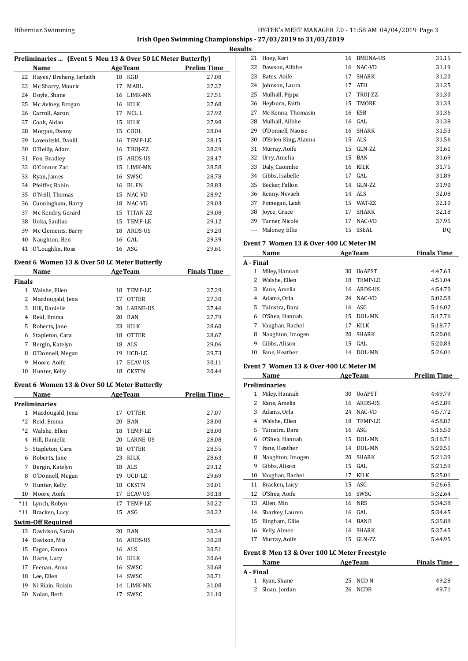# HY-TEK's MEET MANAGER 7.0 - 11:58 AM 04/04/2019 Page 3 **Irish Open Swimming Championships - 27/03/2019 to 31/03/2019**

**Result** 

|               | Preliminaries  (Event 5 Men 13 & Over 50 LC Meter Butterfly) |    |                |                    |
|---------------|--------------------------------------------------------------|----|----------------|--------------------|
|               | Name                                                         |    | <b>AgeTeam</b> | <b>Prelim Time</b> |
|               | 22 Hayes/ Breheny, Iarlaith                                  |    | 18 KGD         | 27.08              |
| 23            | Mc Sharry, Mouric                                            | 17 | MARL           | 27.27              |
| 24            | Doyle, Shane                                                 | 16 | LIMK-MN        | 27.51              |
| 25            | Mc Aviney, Brogan                                            |    | 16 KILK        | 27.68              |
| 26            | Carroll, Aaron                                               | 17 | NCL L          | 27.92              |
| 27            | Cook, Aidan                                                  | 15 | KILK           | 27.98              |
| 28            | Morgan, Danny                                                | 15 | COOL           | 28.04              |
| 29            | Lovenitski, Daniil                                           | 16 | TEMP-LE        | 28.15              |
| 30            | O'Reilly, Adam                                               | 16 | TROJ-ZZ        | 28.29              |
| 31            | Fon, Bradley                                                 | 15 | ARDS-US        | 28.47              |
| 32            | O'Connor, Zac                                                |    | 15 LIMK-MN     | 28.58              |
| 33            | Ryan, James                                                  |    | 16 SWSC        | 28.78              |
| 34            | Pfeiffer, Robin                                              |    | 16 BL FN       | 28.83              |
| 35            | O'Neill, Thomas                                              |    | 15 NAC-VD      | 28.92              |
| 36            | Cunningham, Harry                                            |    | 18 NAC-VD      | 29.03              |
| 37            | Mc Kendry, Gerard                                            | 15 | TITAN-ZZ       | 29.08              |
| 38            | Uoka, Saulius                                                | 15 | TEMP-LE        | 29.12              |
| 39            | Mc Clements, Barry                                           |    | 18 ARDS-US     | 29.20              |
| 40            | Naughton, Ben                                                |    | 16 GAL         | 29.39              |
| 41            | O'Loughlin, Ross                                             |    | 16 ASG         | 29.61              |
|               | Event 6 Women 13 & Over 50 LC Meter Butterfly                |    |                |                    |
|               | Name                                                         |    | <b>AgeTeam</b> | <b>Finals Time</b> |
| <b>Finals</b> |                                                              |    |                |                    |
|               | 1 Walshe, Ellen                                              | 18 | TEMP-LE        | 27.29              |
|               | 2 Macdougald, Jena                                           | 17 | <b>OTTER</b>   | 27.30              |
| 3             | Hill, Danielle                                               | 20 | LARNE-US       | 27.46              |
| 4             | Reid, Emma                                                   | 20 | BAN            | 27.79              |
| 5             | Roberts, Jane                                                | 23 | KILK           | 28.60              |
| 6             | Stapleton, Cara                                              | 18 | OTTER          | 28.67              |
| 7             | Bergin, Katelyn                                              | 18 | ALS            | 29.06              |
| 8             | O'Donnell, Megan                                             |    | 19 UCD-LE      | 29.73              |
| 9             | Moore, Aoife                                                 | 17 | <b>ECAV-US</b> | 30.11              |
| 10            | Hunter, Kelly                                                | 18 | <b>CKSTN</b>   | 30.44              |
|               | Event 6 Women 13 & Over 50 LC Meter Butterfly                |    |                |                    |
|               | Name                                                         |    | <b>AgeTeam</b> | <b>Prelim Time</b> |
|               | Preliminaries                                                |    |                |                    |
| $\mathbf{1}$  | Macdougald, Jena                                             | 17 | <b>OTTER</b>   | 27.07              |
| *2            | Reid, Emma                                                   | 20 | BAN            | 28.00              |
| *2            | Walshe, Ellen                                                | 18 | TEMP-LE        | 28.00              |
| 4             | Hill, Danielle                                               | 20 | LARNE-US       | 28.08              |
| 5             | Stapleton, Cara                                              | 18 | <b>OTTER</b>   | 28.55              |
| 6             | Roberts, Jane                                                | 23 | KILK           | 28.63              |
| 7             | Bergin, Katelyn                                              | 18 | ALS            | 29.12              |
| 8             | O'Donnell, Megan                                             | 19 | UCD-LE         | 29.69              |
| 9             | Hunter, Kelly                                                | 18 | CKSTN          | 30.01              |
| 10            | Moore, Aoife                                                 | 17 | <b>ECAV-US</b> | 30.18              |
| $*11$         | Lynch, Robyn                                                 | 17 | TEMP-LE        | 30.22              |
| $*11$         | Bracken, Lucy                                                | 15 | ASG            | 30.22              |
|               | <b>Swim-Off Required</b>                                     |    |                |                    |
| 13            | Davidson, Sarah                                              | 20 | BAN            | 30.24              |
| 14            | Davison, Mia                                                 | 16 | ARDS-US        | 30.28              |
| 15            | Fagan, Emma                                                  | 16 | ALS            | 30.51              |
| 16            | Harte, Lucy                                                  | 16 | KILK           | 30.64              |
| 17            | Feenan, Anna                                                 | 16 | SWSC           | 30.68              |
| 18            | Lee, Ellen                                                   | 14 | SWSC           | 30.71              |
| 19            | Ni Riain, Roisin                                             | 14 | LIMK-MN        | 31.08              |
| 20            | Nolan, Beth                                                  | 17 | SWSC           | 31.10              |
|               |                                                              |    |                |                    |

| ts |                      |    |                 |       |
|----|----------------------|----|-----------------|-------|
| 21 | Hoey, Keri           | 16 | <b>BMENA-US</b> | 31.15 |
| 22 | Dawson, Ailbhe       | 16 | NAC-VD          | 31.19 |
| 23 | Bates, Aoife         | 17 | <b>SHARK</b>    | 31.20 |
| 24 | Johnson, Laura       | 17 | <b>ATH</b>      | 31.25 |
| 25 | Mulhall, Pippa       | 17 | TROJ-ZZ         | 31.30 |
| 26 | Heyburn, Faith       | 15 | <b>TMORE</b>    | 31.33 |
| 27 | Mc Kenna, Thomasin   | 16 | ESB             | 31.36 |
| 28 | Mulhall, Ailbhe      | 16 | GAL             | 31.38 |
| 29 | O'Donnell, Naoise    | 16 | <b>SHARK</b>    | 31.53 |
| 30 | O'Brien King, Alanna | 15 | ALS             | 31.56 |
| 31 | Murray, Aoife        | 15 | GLN-ZZ          | 31.61 |
| 32 | Urry, Amelia         | 15 | <b>BAN</b>      | 31.69 |
| 33 | Daly, Caoimhe        | 16 | <b>KILK</b>     | 31.75 |
| 34 | Gibbs, Isabelle      | 17 | GAL             | 31.89 |
| 35 | Becker, Fallon       | 14 | GLN-ZZ          | 31.90 |
| 36 | Kenny, Nevaeh        | 14 | ALS             | 32.08 |
| 37 | Finnegan, Leah       | 15 | WAT-ZZ          | 32.10 |
| 38 | Joyce, Grace         | 17 | <b>SHARK</b>    | 32.18 |
| 39 | Turner, Nicole       | 17 | NAC-VD          | 37.95 |
|    | Maloney, Ellie       | 15 | SSEAL           | DQ    |
|    |                      |    |                 |       |

#### **Event 7 Women 13 & Over 400 LC Meter IM**

|           | Name             | <b>AgeTeam</b> |               | <b>Finals Time</b> |  |
|-----------|------------------|----------------|---------------|--------------------|--|
| A - Final |                  |                |               |                    |  |
| 1         | Miley, Hannah    | 30             | <b>UoAPST</b> | 4:47.63            |  |
|           | Walshe, Ellen    | 18             | TEMP-LE       | 4:51.04            |  |
| 3         | Kane, Amelia     | 16             | ARDS-US       | 4:54.70            |  |
| 4         | Adams, Orla      | 24             | NAC-VD        | 5:02.58            |  |
| 5.        | Tuinstra. Dara   |                | 16 ASG        | 5:16.02            |  |
| 6         | O'Shea, Hannah   | 15             | DOL-MN        | 5:17.76            |  |
| 7         | Vaughan, Rachel  | 17             | <b>KILK</b>   | 5:18.77            |  |
| 8         | Naughton, Imogen | 20             | <b>SHARK</b>  | 5:20.06            |  |
| 9         | Gibbs, Alison    | 15             | GAL.          | 5:20.83            |  |
| 10        | Fane. Heather    | 14             | DOL-MN        | 5:26.01            |  |

#### **Event 7 Women 13 & Over 400 LC Meter IM**

|                | Name                 |                | <b>AgeTeam</b> | <b>Prelim Time</b> |
|----------------|----------------------|----------------|----------------|--------------------|
|                | <b>Preliminaries</b> |                |                |                    |
| 1              | Miley, Hannah        | 30             | <b>UoAPST</b>  | 4:49.79            |
| 2              | Kane, Amelia         | 16             | ARDS-US        | 4:52.89            |
| 3              | Adams, Orla          | 24             | NAC-VD         | 4:57.72            |
| 4              | Walshe, Ellen        | 18             | TEMP-LE        | 4:58.87            |
| 5.             | Tuinstra, Dara       | 16             | ASG            | 5:16.50            |
| 6              | O'Shea, Hannah       | 15             | DOL-MN         | 5:16.71            |
| 7              | Fane, Heather        | 14             | DOL-MN         | 5:20.51            |
| 8              | Naughton, Imogen     | 20             | <b>SHARK</b>   | 5:21.39            |
| 9              | Gibbs, Alison        | 15             | GAL            | 5:21.59            |
| 10             | Vaughan, Rachel      | 17             | KILK           | 5:25.01            |
| 11             | Bracken, Lucy        | 15             | ASG            | 5:26.65            |
| 12             | O'Shea, Aoife        | 16             | SWSC           | 5:32.64            |
| 13             | Allen, Min           | 16             | <b>NRS</b>     | 5:34.38            |
| 14             | Sharkey, Lauren      | 16             | GAL            | 5:34.45            |
| 15             | Bingham, Ellie       | 14             | <b>BANB</b>    | 5:35.88            |
| 16             | Kelly, Aimee         | 16             | <b>SHARK</b>   | 5:37.45            |
| 17             | Murray, Aoife        | 15             | GLN-ZZ         | 5:44.95            |
| $\blacksquare$ | $\sqrt{2}$           | $\overline{a}$ |                |                    |

### **Event 8 Men 13 & Over 100 LC Meter Freestyle**

| Name            | <b>AgeTeam</b> | <b>Finals Time</b> |
|-----------------|----------------|--------------------|
| A - Final       |                |                    |
| 1 Ryan, Shane   | 25 NCD N       | 49.28              |
| 2 Sloan, Jordan | 26 NCDB        | 49.71              |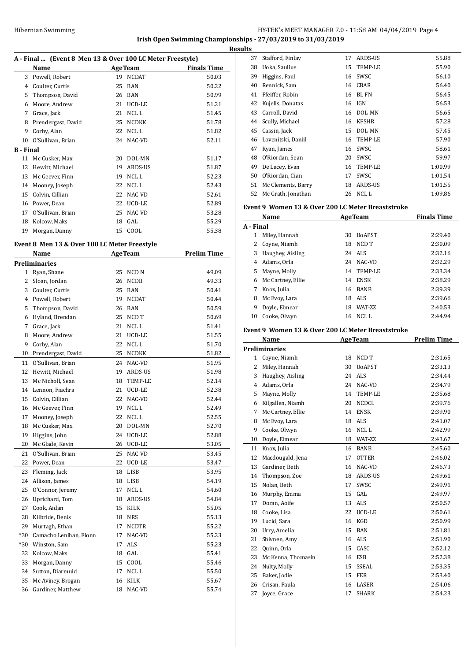## HY-TEK's MEET MANAGER 7.0 - 11:58 AM 04/04/2019 Page 4 **Irish Open Swimming Championships - 27/03/2019 to 31/03/2019**

**Results**

J.

 $\overline{a}$ 

 $\overline{a}$ 

|                  | A - Final  (Event 8 Men 13 & Over 100 LC Meter Freestyle) |    |                  |                    |
|------------------|-----------------------------------------------------------|----|------------------|--------------------|
|                  | Name                                                      |    | <b>AgeTeam</b>   | <b>Finals Time</b> |
| 3                | Powell, Robert                                            | 19 | <b>NCDAT</b>     | 50.03              |
| 4                | Coulter, Curtis                                           | 25 | <b>BAN</b>       | 50.22              |
| 5.               | Thompson, David                                           | 26 | <b>BAN</b>       | 50.99              |
| 6                | Moore, Andrew                                             | 21 | UCD-LE           | 51.21              |
| 7                | Grace, Jack                                               | 21 | NCL <sub>L</sub> | 51.45              |
| 8                | Prendergast, David                                        | 25 | <b>NCDKK</b>     | 51.78              |
| 9                | Corby, Alan                                               | 22 | NCL L            | 51.82              |
| 10               | O'Sullivan, Brian                                         | 24 | NAC-VD           | 52.11              |
| <b>B</b> - Final |                                                           |    |                  |                    |
| 11               | Mc Cusker, Max                                            | 20 | DOL-MN           | 51.17              |
| 12               | Hewitt, Michael                                           | 19 | ARDS-US          | 51.87              |
| 13               | Mc Geever, Finn                                           | 19 | NCL L            | 52.23              |
| 14               | Mooney, Joseph                                            | 22 | NCL L            | 52.43              |
| 15               | Colvin, Cillian                                           | 22 | NAC-VD           | 52.61              |
| 16               | Power, Dean                                               | 22 | UCD-LE           | 52.89              |
| 17               | O'Sullivan, Brian                                         | 25 | NAC-VD           | 53.28              |
| 18               | Kolcow, Maks                                              | 18 | GAL              | 55.29              |
| 19               | Morgan, Danny                                             | 15 | COOL             | 55.38              |

# **Event 8 Men 13 & Over 100 LC Meter Freestyle**

|              | <b>Name</b>            |    | <b>AgeTeam</b>   | <b>Prelim Time</b> |
|--------------|------------------------|----|------------------|--------------------|
|              | <b>Preliminaries</b>   |    |                  |                    |
| $\mathbf{1}$ | Ryan, Shane            | 25 | NCD <sub>N</sub> | 49.09              |
| 2            | Sloan, Jordan          | 26 | <b>NCDB</b>      | 49.33              |
| 3            | Coulter, Curtis        | 25 | <b>BAN</b>       | 50.41              |
| 4            | Powell, Robert         | 19 | <b>NCDAT</b>     | 50.44              |
| 5            | Thompson, David        | 26 | <b>BAN</b>       | 50.59              |
| 6            | Hyland, Brendan        | 25 | NCD T            | 50.69              |
| 7            | Grace, Jack            | 21 | NCL L            | 51.41              |
| 8            | Moore, Andrew          | 21 | UCD-LE           | 51.55              |
| 9            | Corby, Alan            | 22 | NCL L            | 51.70              |
| 10           | Prendergast, David     | 25 | NCDKK            | 51.82              |
| 11           | O'Sullivan, Brian      | 24 | NAC-VD           | 51.95              |
| 12           | Hewitt, Michael        | 19 | ARDS-US          | 51.98              |
| 13           | Mc Nicholl, Sean       | 18 | TEMP-LE          | 52.14              |
| 14           | Lennon, Fiachra        | 21 | UCD-LE           | 52.38              |
| 15           | Colvin, Cillian        | 22 | NAC-VD           | 52.44              |
| 16           | Mc Geever, Finn        | 19 | NCL L            | 52.49              |
| 17           | Mooney, Joseph         | 22 | NCL L            | 52.55              |
| 18           | Mc Cusker, Max         | 20 | DOL-MN           | 52.70              |
| 19           | Higgins, John          | 24 | UCD-LE           | 52.88              |
| 20           | Mc Glade, Kevin        | 26 | UCD-LE           | 53.05              |
| 21           | O'Sullivan, Brian      | 25 | NAC-VD           | 53.45              |
| 22           | Power, Dean            | 22 | UCD-LE           | 53.47              |
| 23           | Fleming, Jack          | 18 | <b>LISB</b>      | 53.95              |
| 24           | Allison, James         | 18 | LISB             | 54.19              |
| 25           | O'Connor, Jeremy       | 17 | NCL L            | 54.60              |
| 26           | Uprichard, Tom         | 18 | ARDS-US          | 54.84              |
| 27           | Cook, Aidan            | 15 | KILK             | 55.05              |
| 28           | Kilbride, Denis        | 18 | <b>NRS</b>       | 55.13              |
| 29           | Murtagh, Ethan         | 17 | <b>NCDTR</b>     | 55.22              |
| $*30$        | Camacho Lenihan, Fionn | 17 | NAC-VD           | 55.23              |
| $*30$        | Winston, Sam           | 17 | ALS              | 55.23              |
| 32           | Kolcow, Maks           | 18 | GAL              | 55.41              |
| 33           | Morgan, Danny          | 15 | COOL             | 55.46              |
| 34           | Sutton, Diarmuid       | 17 | NCL L            | 55.50              |
| 35           | Mc Aviney, Brogan      | 16 | <b>KILK</b>      | 55.67              |
| 36           | Gardiner, Matthew      | 18 | NAC-VD           | 55.74              |
|              |                        |    |                  |                    |

| ıэ |                    |    |              |         |
|----|--------------------|----|--------------|---------|
| 37 | Stafford, Finlay   | 17 | ARDS-US      | 55.88   |
| 38 | Uoka, Saulius      | 15 | TEMP-LE      | 55.90   |
| 39 | Higgins, Paul      | 16 | SWSC         | 56.10   |
| 40 | Rennick, Sam       | 16 | <b>CBAR</b>  | 56.40   |
| 41 | Pfeiffer, Robin    | 16 | <b>BLFN</b>  | 56.45   |
| 42 | Kujelis, Donatas   | 16 | <b>IGN</b>   | 56.53   |
| 43 | Carroll, David     | 16 | DOL-MN       | 56.65   |
| 44 | Scully, Michael    | 16 | <b>KFSHR</b> | 57.28   |
| 45 | Cassin, Jack       | 15 | DOL-MN       | 57.45   |
| 46 | Lovenitski, Daniil | 16 | TEMP-LE      | 57.90   |
| 47 | Ryan, James        | 16 | SWSC         | 58.61   |
| 48 | O'Riordan, Sean    | 20 | SWSC         | 59.97   |
| 49 | De Lacey, Evan     | 16 | TEMP-LE      | 1:00.99 |
| 50 | O'Riordan, Cian    | 17 | SWSC         | 1:01.54 |
| 51 | Mc Clements, Barry | 18 | ARDS-US      | 1:01.55 |
| 52 | Mc Grath, Jonathan | 26 | NCL L        | 1:09.86 |
|    |                    |    |              |         |

#### **Event 9 Women 13 & Over 200 LC Meter Breaststroke**

| Name      |                   |    | <b>AgeTeam</b>  | <b>Finals Time</b> |
|-----------|-------------------|----|-----------------|--------------------|
| A - Final |                   |    |                 |                    |
|           | Miley, Hannah     | 30 | <b>UoAPST</b>   | 2:29.40            |
|           | Coyne, Niamh      | 18 | NCD T           | 2:30.09            |
| 3         | Haughey, Aisling  |    | 24 ALS          | 2:32.16            |
| 4         | Adams, Orla       |    | 24 NAC-VD       | 2:32.29            |
| 5.        | Mayne, Molly      |    | 14 TEMP-LE      | 2:33.34            |
| 6         | Mc Cartney, Ellie | 14 | <b>ENSK</b>     | 2:38.29            |
|           | Knox, Julia       |    | 16 BANB         | 2:39.39            |
| 8         | Mc Evoy, Lara     | 18 | ALS             | 2:39.66            |
| 9         | Doyle, Eimear     | 18 | <b>WAT-7.7.</b> | 2:40.53            |
| 10        | Cooke, Olwyn      |    | 16 NCLL         | 2:44.94            |

#### **Event 9 Women 13 & Over 200 LC Meter Breaststroke**

|                | Name                 | <b>AgeTeam</b> |                  | <b>Prelim Time</b> |
|----------------|----------------------|----------------|------------------|--------------------|
|                | <b>Preliminaries</b> |                |                  |                    |
| $\mathbf{1}$   | Coyne, Niamh         | 18             | NCD T            | 2:31.65            |
| $\overline{c}$ | Miley, Hannah        | 30             | <b>UoAPST</b>    | 2:33.13            |
| 3              | Haughey, Aisling     | 24             | <b>ALS</b>       | 2:34.44            |
| 4              | Adams, Orla          | 24             | NAC-VD           | 2:34.79            |
| 5              | Mayne, Molly         | 14             | <b>TEMP-LE</b>   | 2:35.68            |
| 6              | Kilgallen, Niamh     | 20             | <b>NCDCL</b>     | 2:39.76            |
| 7              | Mc Cartney, Ellie    | 14             | <b>ENSK</b>      | 2:39.90            |
| 8              | Mc Evoy, Lara        | 18             | <b>ALS</b>       | 2:41.07            |
| 9              | Cooke, Olwyn         | 16             | NCL <sub>L</sub> | 2:42.99            |
| 10             | Doyle, Eimear        | 18             | WAT-ZZ           | 2:43.67            |
| 11             | Knox, Julia          | 16             | <b>BANB</b>      | 2:45.60            |
| 12             | Macdougald, Jena     | 17             | <b>OTTER</b>     | 2:46.02            |
| 13             | Gardiner, Beth       | 16             | NAC-VD           | 2:46.73            |
| 14             | Thompson, Zoe        | 18             | ARDS-US          | 2:49.61            |
| 15             | Nolan, Beth          | 17             | SWSC             | 2:49.91            |
| 16             | Murphy, Emma         | 15             | GAL.             | 2:49.97            |
| 17             | Doran, Aoife         | 13             | <b>ALS</b>       | 2:50.57            |
| 18             | Cooke, Lisa          | 22             | UCD-LE           | 2:50.61            |
| 19             | Lucid. Sara          | 16             | <b>KGD</b>       | 2:50.99            |
| 20             | Urry, Amelia         | 15             | <b>BAN</b>       | 2:51.81            |
| 21             | Shivnen, Amy         | 16             | <b>ALS</b>       | 2:51.90            |
| 22             | Quinn, Orla          | 15             | CASC             | 2:52.12            |
| 23             | Mc Kenna, Thomasin   | 16             | <b>ESB</b>       | 2:52.38            |
| 24             | Nulty, Molly         | 15             | <b>SSEAL</b>     | 2:53.35            |
| 25             | Baker, Jodie         | 15             | <b>FER</b>       | 2:53.40            |
| 26             | Crisan, Paula        | 16             | LASER            | 2:54.06            |
| 27             | Joyce, Grace         | 17             | <b>SHARK</b>     | 2:54.23            |
|                |                      |                |                  |                    |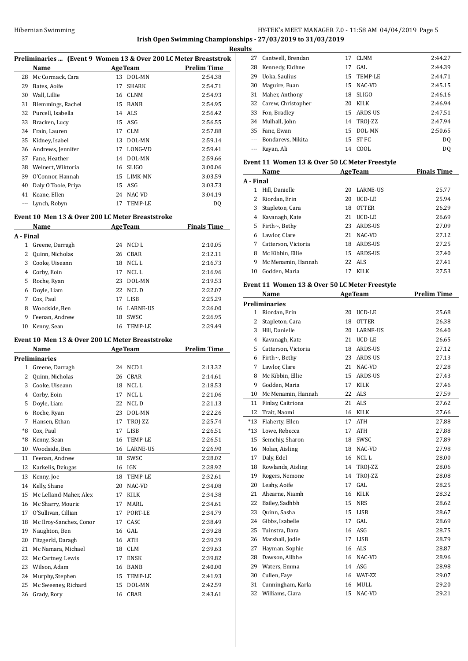# HY-TEK's MEET MANAGER 7.0 - 11:58 AM 04/04/2019 Page 5 **Irish Open Swimming Championships - 27/03/2019 to 31/03/2019**

**Results**

| Preliminaries  (Event 9 Women 13 & Over 200 LC Meter Breaststrok |                                                  |    |                |                                      |  |
|------------------------------------------------------------------|--------------------------------------------------|----|----------------|--------------------------------------|--|
|                                                                  | Name                                             |    |                | <b>Example 2 AgeTeam</b> Prelim Time |  |
| 28                                                               | Mc Cormack, Cara                                 |    | 13 DOL-MN      | 2:54.38                              |  |
|                                                                  | 29 Bates, Aoife                                  | 17 | SHARK          | 2:54.71                              |  |
|                                                                  | 30 Wall, Lillie                                  |    | 16 CLNM        | 2:54.93                              |  |
|                                                                  | 31 Blemmings, Rachel                             |    | 15 BANB        | 2:54.95                              |  |
|                                                                  | 32 Purcell, Isabella                             |    | 14 ALS         | 2:56.42                              |  |
|                                                                  | 33 Bracken, Lucy                                 |    | 15 ASG         | 2:56.55                              |  |
|                                                                  | 34 Frain, Lauren                                 |    | 17 CLM         | 2:57.88                              |  |
|                                                                  | 35 Kidney, Isabel                                |    | 13 DOL-MN      | 2:59.14                              |  |
|                                                                  | 36 Andrews, Jennifer                             |    | 17 LONG-VD     | 2:59.41                              |  |
|                                                                  | 37 Fane, Heather                                 |    | 14 DOL-MN      | 2:59.66                              |  |
|                                                                  | 38 Weinert, Wiktoria                             |    | 16 SLIGO       | 3:00.06                              |  |
|                                                                  | 39 O'Connor, Hannah                              |    | 15 LIMK-MN     | 3:03.59                              |  |
| 40                                                               | Daly O'Toole, Priya                              |    | 15 ASG         | 3:03.73                              |  |
|                                                                  | 41 Keane, Ellen                                  |    | 24 NAC-VD      | 3:04.19                              |  |
|                                                                  | --- Lynch, Robyn                                 |    | 17 TEMP-LE     |                                      |  |
|                                                                  |                                                  |    |                | DQ                                   |  |
|                                                                  | Event 10 Men 13 & Over 200 LC Meter Breaststroke |    |                |                                      |  |
|                                                                  | Name                                             |    | <b>AgeTeam</b> | <b>Finals Time</b>                   |  |
| A - Final                                                        |                                                  |    |                |                                      |  |
|                                                                  | 1 Greene, Darragh                                |    | 24 NCD L       | 2:10.05                              |  |
|                                                                  | 2 Ouinn, Nicholas                                |    | 26 CBAR        | 2:12.11                              |  |
|                                                                  | 3 Cooke, Uiseann                                 |    | 18 NCLL        | 2:16.73                              |  |
|                                                                  | 4 Corby, Eoin                                    |    | 17 NCL L       | 2:16.96                              |  |
|                                                                  | 5 Roche, Ryan                                    |    | 23 DOL-MN      | 2:19.53                              |  |
|                                                                  | 6 Doyle, Liam                                    |    | 22 NCLD        | 2:22.07                              |  |
|                                                                  | 7 Cox, Paul                                      |    | 17 LISB        | 2:25.29                              |  |
|                                                                  | 8 Woodside, Ben                                  |    | 16 LARNE-US    | 2:26.00                              |  |
| 9                                                                | Feenan, Andrew                                   |    | 18 SWSC        | 2:26.95                              |  |
| 10                                                               | Kenny, Sean                                      |    | 16 TEMP-LE     | 2:29.49                              |  |
|                                                                  | Event 10 Men 13 & Over 200 LC Meter Breaststroke |    |                |                                      |  |
|                                                                  | Name                                             |    | <b>AgeTeam</b> | <b>Prelim Time</b>                   |  |
|                                                                  | <b>Preliminaries</b>                             |    |                |                                      |  |
|                                                                  | 1 Greene, Darragh                                |    | 24 NCD L       | 2:13.32                              |  |
|                                                                  | 2 Quinn, Nicholas                                |    | 26 CBAR        | 2:14.61                              |  |
|                                                                  | 3 Cooke, Uiseann                                 |    | 18 NCLL        | 2:18.53                              |  |
|                                                                  | 4 Corby, Eoin                                    |    | 17 NCL L       | 2:21.06                              |  |
|                                                                  | 5 Doyle, Liam                                    |    | 22 NCL D       | 2:21.13                              |  |
| 6                                                                | Roche, Ryan                                      | 23 | DOL-MN         | 2:22.26                              |  |
| 7                                                                | Hansen, Ethan                                    | 17 | TROJ-ZZ        | 2:25.74                              |  |
| *8                                                               | Cox, Paul                                        | 17 | LISB           | 2:26.51                              |  |
| *8                                                               | Kenny, Sean                                      | 16 | TEMP-LE        | 2:26.51                              |  |
| 10                                                               | Woodside, Ben                                    | 16 | LARNE-US       | 2:26.90                              |  |
| 11                                                               | Feenan, Andrew                                   | 18 | SWSC           | 2:28.02                              |  |
| 12                                                               | Karkelis, Dziugas                                | 16 | IGN            | 2:28.92                              |  |
| 13                                                               | Kenny, Joe                                       | 18 | TEMP-LE        | 2:32.61                              |  |
| 14                                                               | Kelly, Shane                                     | 20 | NAC-VD         | 2:34.08                              |  |
| 15                                                               | Mc Lelland-Maher, Alex                           | 17 | KILK           | 2:34.38                              |  |
| 16                                                               | Mc Sharry, Mouric                                | 17 | MARL           | 2:34.61                              |  |
| 17                                                               | O'Sullivan, Cillian                              | 17 | PORT-LE        | 2:34.79                              |  |
| 18                                                               | Mc Ilroy-Sanchez, Conor                          | 17 | CASC           | 2:38.49                              |  |
| 19                                                               | Naughton, Ben                                    | 16 | GAL            |                                      |  |
|                                                                  |                                                  |    |                | 2:39.28                              |  |
| 20                                                               | Fitzgerld, Daragh                                | 16 | ATH            | 2:39.39                              |  |
| 21                                                               | Mc Namara, Michael                               | 18 | CLM            | 2:39.63                              |  |
| 22                                                               | Mc Cartney, Lewis                                | 17 | <b>ENSK</b>    | 2:39.82                              |  |
| 23                                                               | Wilson, Adam                                     | 16 | BANB           | 2:40.00                              |  |
| 24                                                               | Murphy, Stephen                                  | 15 | TEMP-LE        | 2:41.93                              |  |
| 25                                                               | Mc Sweeney, Richard                              | 15 | DOL-MN         | 2:42.59                              |  |
| 26                                                               | Grady, Rory                                      |    | 16 CBAR        | 2:43.61                              |  |

| .s    |                       |    |              |         |
|-------|-----------------------|----|--------------|---------|
| 27    | Cantwell, Brendan     | 17 | CLNM         | 2:44.27 |
| 28    | Kennedy, Eidhne       | 17 | GAL.         | 2:44.39 |
| 29    | Uoka, Saulius         |    | 15 TEMP-LE   | 2:44.71 |
| 30    | Maguire, Euan         |    | 15 NAC-VD    | 2:45.15 |
| 31    | Maher, Anthony        | 18 | <b>SLIGO</b> | 2:46.16 |
|       | 32 Carew, Christopher | 20 | KILK         | 2:46.94 |
| 33    | Fon, Bradley          | 15 | ARDS-US      | 2:47.51 |
|       | 34 Mulhall, John      |    | 14 TROJ-ZZ   | 2:47.94 |
| 35    | Fane, Ewan            | 15 | DOL-MN       | 2:50.65 |
|       | Bondarevs, Nikita     |    | 15 ST FC     | DQ      |
| $---$ | Rayan, Ali            | 14 | COOL         | DO.     |

#### **Event 11 Women 13 & Over 50 LC Meter Freestyle**

| Name      |                      |    | <b>AgeTeam</b>  | <b>Finals Time</b> |
|-----------|----------------------|----|-----------------|--------------------|
| A - Final |                      |    |                 |                    |
| 1         | Hill, Danielle       | 20 | <b>LARNE-US</b> | 25.77              |
|           | Riordan, Erin        | 20 | UCD-LE          | 25.94              |
| 3         | Stapleton, Cara      | 18 | <b>OTTER</b>    | 26.29              |
| 4         | Kavanagh, Kate       | 21 | UCD-LE          | 26.69              |
| 5         | Firth $\sim$ , Bethy | 23 | ARDS-US         | 27.09              |
| 6         | Lawlor. Clare        | 21 | NAC-VD          | 27.12              |
| 7         | Catterson, Victoria  | 18 | ARDS-US         | 27.25              |
| 8         | Mc Kibbin, Ellie     | 15 | ARDS-US         | 27.40              |
| 9         | Mc Menamin. Hannah   |    | 22 ALS          | 27.41              |
| 10        | Godden, Maria        | 17 | KILK            | 27.53              |

#### **Event 11 Women 13 & Over 50 LC Meter Freestyle**

|                | Name                 | <b>AgeTeam</b> |                 | <b>Prelim Time</b> |
|----------------|----------------------|----------------|-----------------|--------------------|
|                | <b>Preliminaries</b> |                |                 |                    |
| 1              | Riordan, Erin        | 20             | UCD-LE          | 25.68              |
| $\overline{2}$ | Stapleton, Cara      | 18             | <b>OTTER</b>    | 26.38              |
| 3              | Hill, Danielle       | 20             | <b>LARNE-US</b> | 26.40              |
| 4              | Kavanagh, Kate       | 21             | UCD-LE          | 26.65              |
| 5              | Catterson, Victoria  | 18             | ARDS-US         | 27.12              |
| 6              | Firth~, Bethy        | 23             | ARDS-US         | 27.13              |
| 7              | Lawlor, Clare        | 21             | NAC-VD          | 27.28              |
| 8              | Mc Kibbin, Ellie     | 15             | ARDS-US         | 27.43              |
| 9              | Godden, Maria        | 17             | KILK            | 27.46              |
| 10             | Mc Menamin, Hannah   | 22             | ALS             | 27.59              |
| 11             | Finlay, Caitriona    | 21             | <b>ALS</b>      | 27.62              |
| 12             | Trait, Naomi         | 16             | <b>KILK</b>     | 27.66              |
| $*13$          | Flaherty, Ellen      | 17             | <b>ATH</b>      | 27.88              |
| $*13$          | Lowe, Rebecca        | 17             | <b>ATH</b>      | 27.88              |
| 15             | Semchiy, Sharon      | 18             | SWSC            | 27.89              |
| 16             | Nolan, Aisling       | 18             | NAC-VD          | 27.98              |
| 17             | Daly, Edel           | 16             | NCL L           | 28.00              |
| 18             | Rowlands, Aisling    | 14             | TROJ-ZZ         | 28.06              |
| 19             | Rogers, Nemone       | 14             | TROJ-ZZ         | 28.08              |
| 20             | Leahy, Aoife         | 17             | GAL             | 28.25              |
| 21             | Ahearne, Niamh       | 16             | <b>KILK</b>     | 28.32              |
| 22             | Bailey, Sadhbh       | 15             | <b>NRS</b>      | 28.62              |
| 23             | Quinn, Sasha         | 15             | <b>LISB</b>     | 28.67              |
| 24             | Gibbs, Isabelle      | 17             | GAL             | 28.69              |
| 25             | Tuinstra, Dara       | 16             | ASG             | 28.75              |
| 26             | Marshall, Jodie      | 17             | <b>LISB</b>     | 28.79              |
| 27             | Hayman, Sophie       | 16             | ALS             | 28.87              |
| 28             | Dawson, Ailbhe       | 16             | NAC-VD          | 28.96              |
| 29             | Waters, Emma         | 14             | ASG             | 28.98              |
| 30             | Cullen, Faye         | 16             | WAT-ZZ          | 29.07              |
| 31             | Cunningham, Karla    | 16             | <b>MULL</b>     | 29.20              |
| 32             | Williams, Ciara      | 15             | NAC-VD          | 29.21              |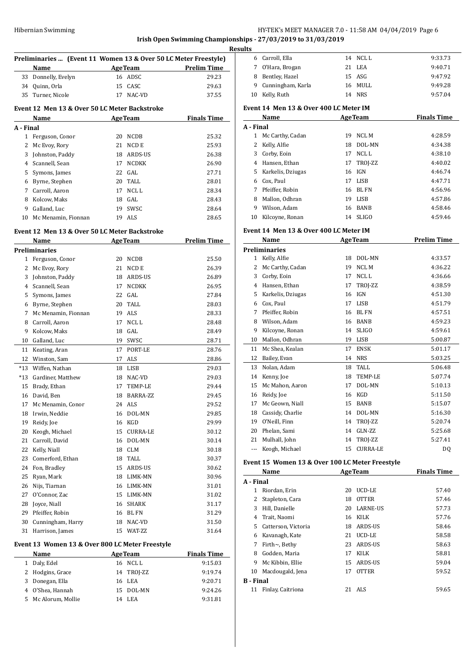**Irish Open Swimming Championships - 27/03/2019 to 31/03/2019**

| Preliminaries  (Event 11 Women 13 & Over 50 LC Meter Freestyle)<br><b>AgeTeam</b><br><b>Prelim Time</b><br>Name<br>33<br>Donnelly, Evelyn<br>16 ADSC<br>29.23<br>34<br>Quinn, Orla<br>15 CASC<br>29.63<br>35<br>Turner, Nicole<br>NAC-VD<br>37.55<br>17<br>Event 12 Men 13 & Over 50 LC Meter Backstroke<br><b>AgeTeam</b><br><b>Finals Time</b><br>Name<br>A - Final<br>1<br>Ferguson, Conor<br>20 NCDB<br>25.32<br>2<br>21<br>NCD E<br>25.93<br>Mc Evoy, Rory<br>3<br>Johnston, Paddy<br>18 ARDS-US<br>26.38<br>4 Scannell, Sean<br><b>NCDKK</b><br>26.90<br>17<br>Symons, James<br>22<br>GAL<br>27.71<br>5<br>Byrne, Stephen<br>20 TALL<br>6<br>28.01<br>7<br>NCL L<br>Carroll, Aaron<br>17<br>28.34<br>Kolcow, Maks<br>18 GAL<br>8<br>28.43<br>9<br>19 SWSC<br>Galland, Luc<br>28.64<br>Mc Menamin, Fionnan<br>ALS<br>10<br>19<br>28.65<br>Event 12 Men 13 & Over 50 LC Meter Backstroke<br><b>AgeTeam</b><br><b>Prelim Time</b><br>Name<br>Preliminaries<br>1 Ferguson, Conor<br>20 NCDB<br>25.50<br>2<br>21<br>NCD E<br>26.39<br>Mc Evoy, Rory<br>3<br>Johnston, Paddy<br>18 ARDS-US<br>26.89<br>4 Scannell, Sean<br><b>NCDKK</b><br>17<br>26.95<br>Symons, James<br>22<br>GAL<br>5<br>27.84<br>TALL<br>6<br>Byrne, Stephen<br>20<br>28.03<br>7<br>Mc Menamin, Fionnan<br>19 ALS<br>28.33<br>NCL L<br>8<br>Carroll, Aaron<br>17<br>28.48<br>9<br>Kolcow, Maks<br>18 GAL<br>28.49<br>10<br>Galland, Luc<br>19 SWSC<br>28.71<br>17 PORT-LE<br>11<br>Keating, Aran<br>28.76<br>12<br>Winston, Sam<br>ALS<br>17<br>28.86<br>Wiffen, Nathan<br>$*13$<br>29.03<br>18 LISB<br>$*13$<br>Gardiner, Matthew<br>18 NAC-VD<br>29.03<br>15<br>Brady, Ethan<br>17<br>TEMP-LE<br>29.44<br>16<br>David, Ben<br>18<br>BARRA-ZZ<br>29.45<br>ALS<br>17<br>Mc Menamin, Conor<br>24<br>29.52<br>DOL-MN<br>18<br>Irwin, Neddie<br>16<br>29.85<br>19<br>Reidy, Joe<br>16 KGD<br>29.99<br>Keogh, Michael<br>20<br>15<br><b>CURRA-LE</b><br>30.12<br>Carroll, David<br>16 DOL-MN<br>21<br>30.14<br>Kelly, Niall<br>22<br>18 CLM<br>30.18<br>Comerford, Ethan<br>23<br>18 TALL<br>30.37<br>24<br>Fon, Bradley<br>15 ARDS-US<br>30.62<br>25<br>Ryan, Mark<br>18 LIMK-MN<br>30.96<br>26<br>Nijs, Tiarnan<br>16 LIMK-MN<br>31.01<br>27<br>O'Connor, Zac<br>15 LIMK-MN<br>31.02<br>Joyce, Niall<br>16 SHARK<br>28<br>31.17<br>29<br>Pfeiffer, Robin<br>16 BL FN<br>31.29<br>Cunningham, Harry<br>NAC-VD<br>30<br>18<br>31.50<br>31<br>Harrison, James<br>15<br>WAT-ZZ<br>31.64<br>Event 13 Women 13 & Over 800 LC Meter Freestyle<br><b>AgeTeam</b><br><b>Finals Time</b><br>Name<br>Daly, Edel<br>16 NCL L<br>1<br>9:15.03<br>2<br>Hodgins, Grace<br>TROJ-ZZ<br>14<br>9:19.74<br>3<br>Donegan, Ella<br>16 LEA<br>9:20.71<br>O'Shea, Hannah<br>4<br>15<br>DOL-MN<br>9:24.26<br>5<br>Mc Alorum, Mollie<br>14 LEA<br>9:31.81 |  |  |  |
|----------------------------------------------------------------------------------------------------------------------------------------------------------------------------------------------------------------------------------------------------------------------------------------------------------------------------------------------------------------------------------------------------------------------------------------------------------------------------------------------------------------------------------------------------------------------------------------------------------------------------------------------------------------------------------------------------------------------------------------------------------------------------------------------------------------------------------------------------------------------------------------------------------------------------------------------------------------------------------------------------------------------------------------------------------------------------------------------------------------------------------------------------------------------------------------------------------------------------------------------------------------------------------------------------------------------------------------------------------------------------------------------------------------------------------------------------------------------------------------------------------------------------------------------------------------------------------------------------------------------------------------------------------------------------------------------------------------------------------------------------------------------------------------------------------------------------------------------------------------------------------------------------------------------------------------------------------------------------------------------------------------------------------------------------------------------------------------------------------------------------------------------------------------------------------------------------------------------------------------------------------------------------------------------------------------------------------------------------------------------------------------------------------------------------------------------------------------------------------------------------------------------------------------------------------------------------------------------------------------------------------------------------------------------------------------------------------------------------------------------------------------------------------------------------|--|--|--|
|                                                                                                                                                                                                                                                                                                                                                                                                                                                                                                                                                                                                                                                                                                                                                                                                                                                                                                                                                                                                                                                                                                                                                                                                                                                                                                                                                                                                                                                                                                                                                                                                                                                                                                                                                                                                                                                                                                                                                                                                                                                                                                                                                                                                                                                                                                                                                                                                                                                                                                                                                                                                                                                                                                                                                                                                    |  |  |  |
|                                                                                                                                                                                                                                                                                                                                                                                                                                                                                                                                                                                                                                                                                                                                                                                                                                                                                                                                                                                                                                                                                                                                                                                                                                                                                                                                                                                                                                                                                                                                                                                                                                                                                                                                                                                                                                                                                                                                                                                                                                                                                                                                                                                                                                                                                                                                                                                                                                                                                                                                                                                                                                                                                                                                                                                                    |  |  |  |
|                                                                                                                                                                                                                                                                                                                                                                                                                                                                                                                                                                                                                                                                                                                                                                                                                                                                                                                                                                                                                                                                                                                                                                                                                                                                                                                                                                                                                                                                                                                                                                                                                                                                                                                                                                                                                                                                                                                                                                                                                                                                                                                                                                                                                                                                                                                                                                                                                                                                                                                                                                                                                                                                                                                                                                                                    |  |  |  |
|                                                                                                                                                                                                                                                                                                                                                                                                                                                                                                                                                                                                                                                                                                                                                                                                                                                                                                                                                                                                                                                                                                                                                                                                                                                                                                                                                                                                                                                                                                                                                                                                                                                                                                                                                                                                                                                                                                                                                                                                                                                                                                                                                                                                                                                                                                                                                                                                                                                                                                                                                                                                                                                                                                                                                                                                    |  |  |  |
|                                                                                                                                                                                                                                                                                                                                                                                                                                                                                                                                                                                                                                                                                                                                                                                                                                                                                                                                                                                                                                                                                                                                                                                                                                                                                                                                                                                                                                                                                                                                                                                                                                                                                                                                                                                                                                                                                                                                                                                                                                                                                                                                                                                                                                                                                                                                                                                                                                                                                                                                                                                                                                                                                                                                                                                                    |  |  |  |
|                                                                                                                                                                                                                                                                                                                                                                                                                                                                                                                                                                                                                                                                                                                                                                                                                                                                                                                                                                                                                                                                                                                                                                                                                                                                                                                                                                                                                                                                                                                                                                                                                                                                                                                                                                                                                                                                                                                                                                                                                                                                                                                                                                                                                                                                                                                                                                                                                                                                                                                                                                                                                                                                                                                                                                                                    |  |  |  |
|                                                                                                                                                                                                                                                                                                                                                                                                                                                                                                                                                                                                                                                                                                                                                                                                                                                                                                                                                                                                                                                                                                                                                                                                                                                                                                                                                                                                                                                                                                                                                                                                                                                                                                                                                                                                                                                                                                                                                                                                                                                                                                                                                                                                                                                                                                                                                                                                                                                                                                                                                                                                                                                                                                                                                                                                    |  |  |  |
|                                                                                                                                                                                                                                                                                                                                                                                                                                                                                                                                                                                                                                                                                                                                                                                                                                                                                                                                                                                                                                                                                                                                                                                                                                                                                                                                                                                                                                                                                                                                                                                                                                                                                                                                                                                                                                                                                                                                                                                                                                                                                                                                                                                                                                                                                                                                                                                                                                                                                                                                                                                                                                                                                                                                                                                                    |  |  |  |
|                                                                                                                                                                                                                                                                                                                                                                                                                                                                                                                                                                                                                                                                                                                                                                                                                                                                                                                                                                                                                                                                                                                                                                                                                                                                                                                                                                                                                                                                                                                                                                                                                                                                                                                                                                                                                                                                                                                                                                                                                                                                                                                                                                                                                                                                                                                                                                                                                                                                                                                                                                                                                                                                                                                                                                                                    |  |  |  |
|                                                                                                                                                                                                                                                                                                                                                                                                                                                                                                                                                                                                                                                                                                                                                                                                                                                                                                                                                                                                                                                                                                                                                                                                                                                                                                                                                                                                                                                                                                                                                                                                                                                                                                                                                                                                                                                                                                                                                                                                                                                                                                                                                                                                                                                                                                                                                                                                                                                                                                                                                                                                                                                                                                                                                                                                    |  |  |  |
|                                                                                                                                                                                                                                                                                                                                                                                                                                                                                                                                                                                                                                                                                                                                                                                                                                                                                                                                                                                                                                                                                                                                                                                                                                                                                                                                                                                                                                                                                                                                                                                                                                                                                                                                                                                                                                                                                                                                                                                                                                                                                                                                                                                                                                                                                                                                                                                                                                                                                                                                                                                                                                                                                                                                                                                                    |  |  |  |
|                                                                                                                                                                                                                                                                                                                                                                                                                                                                                                                                                                                                                                                                                                                                                                                                                                                                                                                                                                                                                                                                                                                                                                                                                                                                                                                                                                                                                                                                                                                                                                                                                                                                                                                                                                                                                                                                                                                                                                                                                                                                                                                                                                                                                                                                                                                                                                                                                                                                                                                                                                                                                                                                                                                                                                                                    |  |  |  |
|                                                                                                                                                                                                                                                                                                                                                                                                                                                                                                                                                                                                                                                                                                                                                                                                                                                                                                                                                                                                                                                                                                                                                                                                                                                                                                                                                                                                                                                                                                                                                                                                                                                                                                                                                                                                                                                                                                                                                                                                                                                                                                                                                                                                                                                                                                                                                                                                                                                                                                                                                                                                                                                                                                                                                                                                    |  |  |  |
|                                                                                                                                                                                                                                                                                                                                                                                                                                                                                                                                                                                                                                                                                                                                                                                                                                                                                                                                                                                                                                                                                                                                                                                                                                                                                                                                                                                                                                                                                                                                                                                                                                                                                                                                                                                                                                                                                                                                                                                                                                                                                                                                                                                                                                                                                                                                                                                                                                                                                                                                                                                                                                                                                                                                                                                                    |  |  |  |
|                                                                                                                                                                                                                                                                                                                                                                                                                                                                                                                                                                                                                                                                                                                                                                                                                                                                                                                                                                                                                                                                                                                                                                                                                                                                                                                                                                                                                                                                                                                                                                                                                                                                                                                                                                                                                                                                                                                                                                                                                                                                                                                                                                                                                                                                                                                                                                                                                                                                                                                                                                                                                                                                                                                                                                                                    |  |  |  |
|                                                                                                                                                                                                                                                                                                                                                                                                                                                                                                                                                                                                                                                                                                                                                                                                                                                                                                                                                                                                                                                                                                                                                                                                                                                                                                                                                                                                                                                                                                                                                                                                                                                                                                                                                                                                                                                                                                                                                                                                                                                                                                                                                                                                                                                                                                                                                                                                                                                                                                                                                                                                                                                                                                                                                                                                    |  |  |  |
|                                                                                                                                                                                                                                                                                                                                                                                                                                                                                                                                                                                                                                                                                                                                                                                                                                                                                                                                                                                                                                                                                                                                                                                                                                                                                                                                                                                                                                                                                                                                                                                                                                                                                                                                                                                                                                                                                                                                                                                                                                                                                                                                                                                                                                                                                                                                                                                                                                                                                                                                                                                                                                                                                                                                                                                                    |  |  |  |
|                                                                                                                                                                                                                                                                                                                                                                                                                                                                                                                                                                                                                                                                                                                                                                                                                                                                                                                                                                                                                                                                                                                                                                                                                                                                                                                                                                                                                                                                                                                                                                                                                                                                                                                                                                                                                                                                                                                                                                                                                                                                                                                                                                                                                                                                                                                                                                                                                                                                                                                                                                                                                                                                                                                                                                                                    |  |  |  |
|                                                                                                                                                                                                                                                                                                                                                                                                                                                                                                                                                                                                                                                                                                                                                                                                                                                                                                                                                                                                                                                                                                                                                                                                                                                                                                                                                                                                                                                                                                                                                                                                                                                                                                                                                                                                                                                                                                                                                                                                                                                                                                                                                                                                                                                                                                                                                                                                                                                                                                                                                                                                                                                                                                                                                                                                    |  |  |  |
|                                                                                                                                                                                                                                                                                                                                                                                                                                                                                                                                                                                                                                                                                                                                                                                                                                                                                                                                                                                                                                                                                                                                                                                                                                                                                                                                                                                                                                                                                                                                                                                                                                                                                                                                                                                                                                                                                                                                                                                                                                                                                                                                                                                                                                                                                                                                                                                                                                                                                                                                                                                                                                                                                                                                                                                                    |  |  |  |
|                                                                                                                                                                                                                                                                                                                                                                                                                                                                                                                                                                                                                                                                                                                                                                                                                                                                                                                                                                                                                                                                                                                                                                                                                                                                                                                                                                                                                                                                                                                                                                                                                                                                                                                                                                                                                                                                                                                                                                                                                                                                                                                                                                                                                                                                                                                                                                                                                                                                                                                                                                                                                                                                                                                                                                                                    |  |  |  |
|                                                                                                                                                                                                                                                                                                                                                                                                                                                                                                                                                                                                                                                                                                                                                                                                                                                                                                                                                                                                                                                                                                                                                                                                                                                                                                                                                                                                                                                                                                                                                                                                                                                                                                                                                                                                                                                                                                                                                                                                                                                                                                                                                                                                                                                                                                                                                                                                                                                                                                                                                                                                                                                                                                                                                                                                    |  |  |  |
|                                                                                                                                                                                                                                                                                                                                                                                                                                                                                                                                                                                                                                                                                                                                                                                                                                                                                                                                                                                                                                                                                                                                                                                                                                                                                                                                                                                                                                                                                                                                                                                                                                                                                                                                                                                                                                                                                                                                                                                                                                                                                                                                                                                                                                                                                                                                                                                                                                                                                                                                                                                                                                                                                                                                                                                                    |  |  |  |
|                                                                                                                                                                                                                                                                                                                                                                                                                                                                                                                                                                                                                                                                                                                                                                                                                                                                                                                                                                                                                                                                                                                                                                                                                                                                                                                                                                                                                                                                                                                                                                                                                                                                                                                                                                                                                                                                                                                                                                                                                                                                                                                                                                                                                                                                                                                                                                                                                                                                                                                                                                                                                                                                                                                                                                                                    |  |  |  |
|                                                                                                                                                                                                                                                                                                                                                                                                                                                                                                                                                                                                                                                                                                                                                                                                                                                                                                                                                                                                                                                                                                                                                                                                                                                                                                                                                                                                                                                                                                                                                                                                                                                                                                                                                                                                                                                                                                                                                                                                                                                                                                                                                                                                                                                                                                                                                                                                                                                                                                                                                                                                                                                                                                                                                                                                    |  |  |  |
|                                                                                                                                                                                                                                                                                                                                                                                                                                                                                                                                                                                                                                                                                                                                                                                                                                                                                                                                                                                                                                                                                                                                                                                                                                                                                                                                                                                                                                                                                                                                                                                                                                                                                                                                                                                                                                                                                                                                                                                                                                                                                                                                                                                                                                                                                                                                                                                                                                                                                                                                                                                                                                                                                                                                                                                                    |  |  |  |
|                                                                                                                                                                                                                                                                                                                                                                                                                                                                                                                                                                                                                                                                                                                                                                                                                                                                                                                                                                                                                                                                                                                                                                                                                                                                                                                                                                                                                                                                                                                                                                                                                                                                                                                                                                                                                                                                                                                                                                                                                                                                                                                                                                                                                                                                                                                                                                                                                                                                                                                                                                                                                                                                                                                                                                                                    |  |  |  |
|                                                                                                                                                                                                                                                                                                                                                                                                                                                                                                                                                                                                                                                                                                                                                                                                                                                                                                                                                                                                                                                                                                                                                                                                                                                                                                                                                                                                                                                                                                                                                                                                                                                                                                                                                                                                                                                                                                                                                                                                                                                                                                                                                                                                                                                                                                                                                                                                                                                                                                                                                                                                                                                                                                                                                                                                    |  |  |  |
|                                                                                                                                                                                                                                                                                                                                                                                                                                                                                                                                                                                                                                                                                                                                                                                                                                                                                                                                                                                                                                                                                                                                                                                                                                                                                                                                                                                                                                                                                                                                                                                                                                                                                                                                                                                                                                                                                                                                                                                                                                                                                                                                                                                                                                                                                                                                                                                                                                                                                                                                                                                                                                                                                                                                                                                                    |  |  |  |
|                                                                                                                                                                                                                                                                                                                                                                                                                                                                                                                                                                                                                                                                                                                                                                                                                                                                                                                                                                                                                                                                                                                                                                                                                                                                                                                                                                                                                                                                                                                                                                                                                                                                                                                                                                                                                                                                                                                                                                                                                                                                                                                                                                                                                                                                                                                                                                                                                                                                                                                                                                                                                                                                                                                                                                                                    |  |  |  |
|                                                                                                                                                                                                                                                                                                                                                                                                                                                                                                                                                                                                                                                                                                                                                                                                                                                                                                                                                                                                                                                                                                                                                                                                                                                                                                                                                                                                                                                                                                                                                                                                                                                                                                                                                                                                                                                                                                                                                                                                                                                                                                                                                                                                                                                                                                                                                                                                                                                                                                                                                                                                                                                                                                                                                                                                    |  |  |  |
|                                                                                                                                                                                                                                                                                                                                                                                                                                                                                                                                                                                                                                                                                                                                                                                                                                                                                                                                                                                                                                                                                                                                                                                                                                                                                                                                                                                                                                                                                                                                                                                                                                                                                                                                                                                                                                                                                                                                                                                                                                                                                                                                                                                                                                                                                                                                                                                                                                                                                                                                                                                                                                                                                                                                                                                                    |  |  |  |
|                                                                                                                                                                                                                                                                                                                                                                                                                                                                                                                                                                                                                                                                                                                                                                                                                                                                                                                                                                                                                                                                                                                                                                                                                                                                                                                                                                                                                                                                                                                                                                                                                                                                                                                                                                                                                                                                                                                                                                                                                                                                                                                                                                                                                                                                                                                                                                                                                                                                                                                                                                                                                                                                                                                                                                                                    |  |  |  |
|                                                                                                                                                                                                                                                                                                                                                                                                                                                                                                                                                                                                                                                                                                                                                                                                                                                                                                                                                                                                                                                                                                                                                                                                                                                                                                                                                                                                                                                                                                                                                                                                                                                                                                                                                                                                                                                                                                                                                                                                                                                                                                                                                                                                                                                                                                                                                                                                                                                                                                                                                                                                                                                                                                                                                                                                    |  |  |  |
|                                                                                                                                                                                                                                                                                                                                                                                                                                                                                                                                                                                                                                                                                                                                                                                                                                                                                                                                                                                                                                                                                                                                                                                                                                                                                                                                                                                                                                                                                                                                                                                                                                                                                                                                                                                                                                                                                                                                                                                                                                                                                                                                                                                                                                                                                                                                                                                                                                                                                                                                                                                                                                                                                                                                                                                                    |  |  |  |
|                                                                                                                                                                                                                                                                                                                                                                                                                                                                                                                                                                                                                                                                                                                                                                                                                                                                                                                                                                                                                                                                                                                                                                                                                                                                                                                                                                                                                                                                                                                                                                                                                                                                                                                                                                                                                                                                                                                                                                                                                                                                                                                                                                                                                                                                                                                                                                                                                                                                                                                                                                                                                                                                                                                                                                                                    |  |  |  |
|                                                                                                                                                                                                                                                                                                                                                                                                                                                                                                                                                                                                                                                                                                                                                                                                                                                                                                                                                                                                                                                                                                                                                                                                                                                                                                                                                                                                                                                                                                                                                                                                                                                                                                                                                                                                                                                                                                                                                                                                                                                                                                                                                                                                                                                                                                                                                                                                                                                                                                                                                                                                                                                                                                                                                                                                    |  |  |  |
|                                                                                                                                                                                                                                                                                                                                                                                                                                                                                                                                                                                                                                                                                                                                                                                                                                                                                                                                                                                                                                                                                                                                                                                                                                                                                                                                                                                                                                                                                                                                                                                                                                                                                                                                                                                                                                                                                                                                                                                                                                                                                                                                                                                                                                                                                                                                                                                                                                                                                                                                                                                                                                                                                                                                                                                                    |  |  |  |
|                                                                                                                                                                                                                                                                                                                                                                                                                                                                                                                                                                                                                                                                                                                                                                                                                                                                                                                                                                                                                                                                                                                                                                                                                                                                                                                                                                                                                                                                                                                                                                                                                                                                                                                                                                                                                                                                                                                                                                                                                                                                                                                                                                                                                                                                                                                                                                                                                                                                                                                                                                                                                                                                                                                                                                                                    |  |  |  |
|                                                                                                                                                                                                                                                                                                                                                                                                                                                                                                                                                                                                                                                                                                                                                                                                                                                                                                                                                                                                                                                                                                                                                                                                                                                                                                                                                                                                                                                                                                                                                                                                                                                                                                                                                                                                                                                                                                                                                                                                                                                                                                                                                                                                                                                                                                                                                                                                                                                                                                                                                                                                                                                                                                                                                                                                    |  |  |  |
|                                                                                                                                                                                                                                                                                                                                                                                                                                                                                                                                                                                                                                                                                                                                                                                                                                                                                                                                                                                                                                                                                                                                                                                                                                                                                                                                                                                                                                                                                                                                                                                                                                                                                                                                                                                                                                                                                                                                                                                                                                                                                                                                                                                                                                                                                                                                                                                                                                                                                                                                                                                                                                                                                                                                                                                                    |  |  |  |
|                                                                                                                                                                                                                                                                                                                                                                                                                                                                                                                                                                                                                                                                                                                                                                                                                                                                                                                                                                                                                                                                                                                                                                                                                                                                                                                                                                                                                                                                                                                                                                                                                                                                                                                                                                                                                                                                                                                                                                                                                                                                                                                                                                                                                                                                                                                                                                                                                                                                                                                                                                                                                                                                                                                                                                                                    |  |  |  |
|                                                                                                                                                                                                                                                                                                                                                                                                                                                                                                                                                                                                                                                                                                                                                                                                                                                                                                                                                                                                                                                                                                                                                                                                                                                                                                                                                                                                                                                                                                                                                                                                                                                                                                                                                                                                                                                                                                                                                                                                                                                                                                                                                                                                                                                                                                                                                                                                                                                                                                                                                                                                                                                                                                                                                                                                    |  |  |  |
|                                                                                                                                                                                                                                                                                                                                                                                                                                                                                                                                                                                                                                                                                                                                                                                                                                                                                                                                                                                                                                                                                                                                                                                                                                                                                                                                                                                                                                                                                                                                                                                                                                                                                                                                                                                                                                                                                                                                                                                                                                                                                                                                                                                                                                                                                                                                                                                                                                                                                                                                                                                                                                                                                                                                                                                                    |  |  |  |
|                                                                                                                                                                                                                                                                                                                                                                                                                                                                                                                                                                                                                                                                                                                                                                                                                                                                                                                                                                                                                                                                                                                                                                                                                                                                                                                                                                                                                                                                                                                                                                                                                                                                                                                                                                                                                                                                                                                                                                                                                                                                                                                                                                                                                                                                                                                                                                                                                                                                                                                                                                                                                                                                                                                                                                                                    |  |  |  |
|                                                                                                                                                                                                                                                                                                                                                                                                                                                                                                                                                                                                                                                                                                                                                                                                                                                                                                                                                                                                                                                                                                                                                                                                                                                                                                                                                                                                                                                                                                                                                                                                                                                                                                                                                                                                                                                                                                                                                                                                                                                                                                                                                                                                                                                                                                                                                                                                                                                                                                                                                                                                                                                                                                                                                                                                    |  |  |  |
|                                                                                                                                                                                                                                                                                                                                                                                                                                                                                                                                                                                                                                                                                                                                                                                                                                                                                                                                                                                                                                                                                                                                                                                                                                                                                                                                                                                                                                                                                                                                                                                                                                                                                                                                                                                                                                                                                                                                                                                                                                                                                                                                                                                                                                                                                                                                                                                                                                                                                                                                                                                                                                                                                                                                                                                                    |  |  |  |
|                                                                                                                                                                                                                                                                                                                                                                                                                                                                                                                                                                                                                                                                                                                                                                                                                                                                                                                                                                                                                                                                                                                                                                                                                                                                                                                                                                                                                                                                                                                                                                                                                                                                                                                                                                                                                                                                                                                                                                                                                                                                                                                                                                                                                                                                                                                                                                                                                                                                                                                                                                                                                                                                                                                                                                                                    |  |  |  |
|                                                                                                                                                                                                                                                                                                                                                                                                                                                                                                                                                                                                                                                                                                                                                                                                                                                                                                                                                                                                                                                                                                                                                                                                                                                                                                                                                                                                                                                                                                                                                                                                                                                                                                                                                                                                                                                                                                                                                                                                                                                                                                                                                                                                                                                                                                                                                                                                                                                                                                                                                                                                                                                                                                                                                                                                    |  |  |  |
|                                                                                                                                                                                                                                                                                                                                                                                                                                                                                                                                                                                                                                                                                                                                                                                                                                                                                                                                                                                                                                                                                                                                                                                                                                                                                                                                                                                                                                                                                                                                                                                                                                                                                                                                                                                                                                                                                                                                                                                                                                                                                                                                                                                                                                                                                                                                                                                                                                                                                                                                                                                                                                                                                                                                                                                                    |  |  |  |
|                                                                                                                                                                                                                                                                                                                                                                                                                                                                                                                                                                                                                                                                                                                                                                                                                                                                                                                                                                                                                                                                                                                                                                                                                                                                                                                                                                                                                                                                                                                                                                                                                                                                                                                                                                                                                                                                                                                                                                                                                                                                                                                                                                                                                                                                                                                                                                                                                                                                                                                                                                                                                                                                                                                                                                                                    |  |  |  |
|                                                                                                                                                                                                                                                                                                                                                                                                                                                                                                                                                                                                                                                                                                                                                                                                                                                                                                                                                                                                                                                                                                                                                                                                                                                                                                                                                                                                                                                                                                                                                                                                                                                                                                                                                                                                                                                                                                                                                                                                                                                                                                                                                                                                                                                                                                                                                                                                                                                                                                                                                                                                                                                                                                                                                                                                    |  |  |  |
|                                                                                                                                                                                                                                                                                                                                                                                                                                                                                                                                                                                                                                                                                                                                                                                                                                                                                                                                                                                                                                                                                                                                                                                                                                                                                                                                                                                                                                                                                                                                                                                                                                                                                                                                                                                                                                                                                                                                                                                                                                                                                                                                                                                                                                                                                                                                                                                                                                                                                                                                                                                                                                                                                                                                                                                                    |  |  |  |
|                                                                                                                                                                                                                                                                                                                                                                                                                                                                                                                                                                                                                                                                                                                                                                                                                                                                                                                                                                                                                                                                                                                                                                                                                                                                                                                                                                                                                                                                                                                                                                                                                                                                                                                                                                                                                                                                                                                                                                                                                                                                                                                                                                                                                                                                                                                                                                                                                                                                                                                                                                                                                                                                                                                                                                                                    |  |  |  |
|                                                                                                                                                                                                                                                                                                                                                                                                                                                                                                                                                                                                                                                                                                                                                                                                                                                                                                                                                                                                                                                                                                                                                                                                                                                                                                                                                                                                                                                                                                                                                                                                                                                                                                                                                                                                                                                                                                                                                                                                                                                                                                                                                                                                                                                                                                                                                                                                                                                                                                                                                                                                                                                                                                                                                                                                    |  |  |  |
|                                                                                                                                                                                                                                                                                                                                                                                                                                                                                                                                                                                                                                                                                                                                                                                                                                                                                                                                                                                                                                                                                                                                                                                                                                                                                                                                                                                                                                                                                                                                                                                                                                                                                                                                                                                                                                                                                                                                                                                                                                                                                                                                                                                                                                                                                                                                                                                                                                                                                                                                                                                                                                                                                                                                                                                                    |  |  |  |
|                                                                                                                                                                                                                                                                                                                                                                                                                                                                                                                                                                                                                                                                                                                                                                                                                                                                                                                                                                                                                                                                                                                                                                                                                                                                                                                                                                                                                                                                                                                                                                                                                                                                                                                                                                                                                                                                                                                                                                                                                                                                                                                                                                                                                                                                                                                                                                                                                                                                                                                                                                                                                                                                                                                                                                                                    |  |  |  |
|                                                                                                                                                                                                                                                                                                                                                                                                                                                                                                                                                                                                                                                                                                                                                                                                                                                                                                                                                                                                                                                                                                                                                                                                                                                                                                                                                                                                                                                                                                                                                                                                                                                                                                                                                                                                                                                                                                                                                                                                                                                                                                                                                                                                                                                                                                                                                                                                                                                                                                                                                                                                                                                                                                                                                                                                    |  |  |  |
|                                                                                                                                                                                                                                                                                                                                                                                                                                                                                                                                                                                                                                                                                                                                                                                                                                                                                                                                                                                                                                                                                                                                                                                                                                                                                                                                                                                                                                                                                                                                                                                                                                                                                                                                                                                                                                                                                                                                                                                                                                                                                                                                                                                                                                                                                                                                                                                                                                                                                                                                                                                                                                                                                                                                                                                                    |  |  |  |
|                                                                                                                                                                                                                                                                                                                                                                                                                                                                                                                                                                                                                                                                                                                                                                                                                                                                                                                                                                                                                                                                                                                                                                                                                                                                                                                                                                                                                                                                                                                                                                                                                                                                                                                                                                                                                                                                                                                                                                                                                                                                                                                                                                                                                                                                                                                                                                                                                                                                                                                                                                                                                                                                                                                                                                                                    |  |  |  |

| Results                                                                                                                                                                                                                                                                                                                                                                                                                                                                    |                                                 |    |                 |                    |
|----------------------------------------------------------------------------------------------------------------------------------------------------------------------------------------------------------------------------------------------------------------------------------------------------------------------------------------------------------------------------------------------------------------------------------------------------------------------------|-------------------------------------------------|----|-----------------|--------------------|
|                                                                                                                                                                                                                                                                                                                                                                                                                                                                            | 6 Carroll, Ella                                 |    | 14 NCLL         | 9:33.73            |
|                                                                                                                                                                                                                                                                                                                                                                                                                                                                            | 7 O'Hara, Brogan                                |    | 21 LEA          | 9:40.71            |
|                                                                                                                                                                                                                                                                                                                                                                                                                                                                            | 8 Bentley, Hazel                                |    | 15 ASG          | 9:47.92            |
|                                                                                                                                                                                                                                                                                                                                                                                                                                                                            | 9 Cunningham, Karla                             |    | 16 MULL         | 9:49.28            |
| 10                                                                                                                                                                                                                                                                                                                                                                                                                                                                         | Kelly, Ruth                                     |    | 14 NRS          | 9:57.04            |
|                                                                                                                                                                                                                                                                                                                                                                                                                                                                            | Event 14 Men 13 & Over 400 LC Meter IM          |    |                 |                    |
|                                                                                                                                                                                                                                                                                                                                                                                                                                                                            | Name                                            |    | <b>AgeTeam</b>  | <b>Finals Time</b> |
| A - Final                                                                                                                                                                                                                                                                                                                                                                                                                                                                  |                                                 |    |                 |                    |
|                                                                                                                                                                                                                                                                                                                                                                                                                                                                            | 1 Mc Carthy, Cadan                              |    | 19 NCL M        | 4:28.59            |
| 2                                                                                                                                                                                                                                                                                                                                                                                                                                                                          | Kelly, Alfie                                    |    | 18 DOL-MN       | 4:34.38            |
|                                                                                                                                                                                                                                                                                                                                                                                                                                                                            | 3 Corby, Eoin                                   |    | 17 NCLL         | 4:38.10            |
|                                                                                                                                                                                                                                                                                                                                                                                                                                                                            | 4 Hansen, Ethan                                 | 17 | TROJ-ZZ         | 4:40.02            |
|                                                                                                                                                                                                                                                                                                                                                                                                                                                                            | 5 Karkelis, Dziugas                             |    | 16 IGN          | 4:46.74            |
|                                                                                                                                                                                                                                                                                                                                                                                                                                                                            | 6 Cox, Paul                                     |    | 17 LISB         | 4:47.71            |
|                                                                                                                                                                                                                                                                                                                                                                                                                                                                            | 7 Pfeiffer, Robin                               |    | 16 BL FN        | 4:56.96            |
|                                                                                                                                                                                                                                                                                                                                                                                                                                                                            | 8 Mallon, Odhran                                |    | 19 LISB         | 4:57.86            |
|                                                                                                                                                                                                                                                                                                                                                                                                                                                                            | 9 Wilson, Adam                                  |    | 16 BANB         | 4:58.46            |
|                                                                                                                                                                                                                                                                                                                                                                                                                                                                            | 10 Kilcoyne, Ronan                              |    | 14 SLIGO        | 4:59.46            |
|                                                                                                                                                                                                                                                                                                                                                                                                                                                                            | Event 14 Men 13 & Over 400 LC Meter IM          |    |                 |                    |
|                                                                                                                                                                                                                                                                                                                                                                                                                                                                            | Name                                            |    | <b>AgeTeam</b>  | <b>Prelim Time</b> |
|                                                                                                                                                                                                                                                                                                                                                                                                                                                                            | <b>Preliminaries</b>                            |    |                 |                    |
|                                                                                                                                                                                                                                                                                                                                                                                                                                                                            | 1 Kelly, Alfie                                  |    | 18 DOL-MN       | 4:33.57            |
|                                                                                                                                                                                                                                                                                                                                                                                                                                                                            | 2 Mc Carthy, Cadan                              |    | 19 NCLM         | 4:36.22            |
|                                                                                                                                                                                                                                                                                                                                                                                                                                                                            | 3 Corby, Eoin                                   |    | 17 NCLL         | 4:36.66            |
|                                                                                                                                                                                                                                                                                                                                                                                                                                                                            | 4 Hansen, Ethan                                 | 17 | TROJ-ZZ         | 4:38.59            |
|                                                                                                                                                                                                                                                                                                                                                                                                                                                                            | 5 Karkelis, Dziugas                             |    | 16 IGN          | 4:51.30            |
|                                                                                                                                                                                                                                                                                                                                                                                                                                                                            | 6 Cox, Paul                                     |    | 17 LISB         | 4:51.79            |
|                                                                                                                                                                                                                                                                                                                                                                                                                                                                            | 7 Pfeiffer, Robin                               |    | 16 BL FN        | 4:57.51            |
|                                                                                                                                                                                                                                                                                                                                                                                                                                                                            | 8 Wilson, Adam                                  |    | 16 BANB         | 4:59.23            |
|                                                                                                                                                                                                                                                                                                                                                                                                                                                                            | 9 Kilcoyne, Ronan                               |    | 14 SLIGO        | 4:59.61            |
|                                                                                                                                                                                                                                                                                                                                                                                                                                                                            | 10 Mallon, Odhran                               |    | 19 LISB         | 5:00.87            |
|                                                                                                                                                                                                                                                                                                                                                                                                                                                                            | 11 Mc Shea, Kealan                              | 17 | ENSK            | 5:01.17            |
|                                                                                                                                                                                                                                                                                                                                                                                                                                                                            | 12 Bailey, Evan                                 |    | 14 NRS          | 5:03.25            |
|                                                                                                                                                                                                                                                                                                                                                                                                                                                                            | 13 Nolan, Adam                                  |    | 18 TALL         | 5:06.48            |
|                                                                                                                                                                                                                                                                                                                                                                                                                                                                            | 14 Kenny, Joe                                   |    | 18 TEMP-LE      | 5:07.74            |
| 15                                                                                                                                                                                                                                                                                                                                                                                                                                                                         | Mc Mahon, Aaron                                 | 17 | DOL-MN          | 5:10.13            |
| 16                                                                                                                                                                                                                                                                                                                                                                                                                                                                         | Reidy, Joe                                      |    | 16 KGD          | 5:11.50            |
| 17                                                                                                                                                                                                                                                                                                                                                                                                                                                                         | Mc Geown, Niall                                 | 15 | BANB            | 5:15.07            |
| 18                                                                                                                                                                                                                                                                                                                                                                                                                                                                         | Cassidy, Charlie                                | 14 | DOL-MN          | 5:16.30            |
| 19                                                                                                                                                                                                                                                                                                                                                                                                                                                                         | O'Neill, Finn                                   |    | 14 TROJ-ZZ      | 5:20.74            |
|                                                                                                                                                                                                                                                                                                                                                                                                                                                                            | 20 Phelan, Sami                                 |    | 14 GLN-ZZ       | 5:25.68            |
|                                                                                                                                                                                                                                                                                                                                                                                                                                                                            | 21 Mulhall, John                                | 14 | TROJ-ZZ         | 5:27.41            |
| $\frac{1}{2} \left( \frac{1}{2} \right) \left( \frac{1}{2} \right) \left( \frac{1}{2} \right) \left( \frac{1}{2} \right) \left( \frac{1}{2} \right) \left( \frac{1}{2} \right) \left( \frac{1}{2} \right) \left( \frac{1}{2} \right) \left( \frac{1}{2} \right) \left( \frac{1}{2} \right) \left( \frac{1}{2} \right) \left( \frac{1}{2} \right) \left( \frac{1}{2} \right) \left( \frac{1}{2} \right) \left( \frac{1}{2} \right) \left( \frac{1}{2} \right) \left( \frac$ | Keogh, Michael                                  | 15 | <b>CURRA-LE</b> | DQ                 |
|                                                                                                                                                                                                                                                                                                                                                                                                                                                                            | Event 15 Women 13 & Over 100 LC Meter Freestyle |    |                 |                    |
|                                                                                                                                                                                                                                                                                                                                                                                                                                                                            | Name                                            |    | <b>AgeTeam</b>  | <b>Finals Time</b> |
| A - Final                                                                                                                                                                                                                                                                                                                                                                                                                                                                  |                                                 |    |                 |                    |
|                                                                                                                                                                                                                                                                                                                                                                                                                                                                            | 1 Riordan, Erin                                 | 20 | UCD-LE          | 57.40              |
| 2                                                                                                                                                                                                                                                                                                                                                                                                                                                                          | Stapleton, Cara                                 | 18 | <b>OTTER</b>    | 57.46              |
|                                                                                                                                                                                                                                                                                                                                                                                                                                                                            | 3 Hill, Danielle                                |    | 20 LARNE-US     | 57.73              |

 Trait, Naomi 16 KILK 57.76 Catterson, Victoria 18 ARDS-US 58.46 Kavanagh, Kate 21 UCD-LE 58.58 Firth~, Bethy 23 ARDS-US 58.63 Godden, Maria 17 KILK 58.81 9 Mc Kibbin, Ellie 15 ARDS-US 59.04 Macdougald, Jena 17 OTTER 59.52

Finlay, Caitriona 21 ALS 59.65

**B - Final**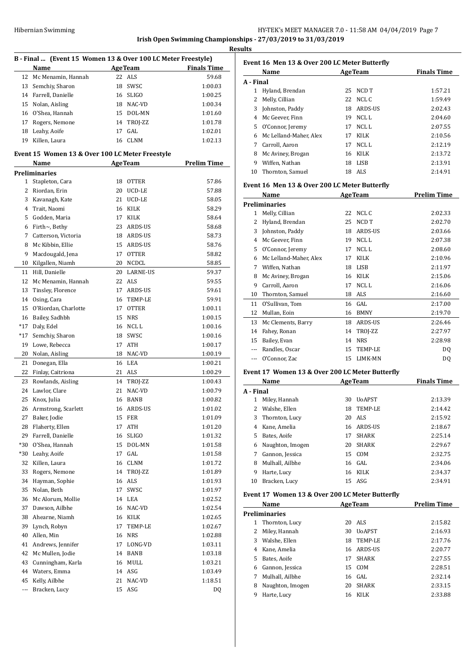**Results**

 $\overline{a}$ 

| B - Final  (Event 15 Women 13 & Over 100 LC Meter Freestyle) |                                                 |                |                |                    |  |
|--------------------------------------------------------------|-------------------------------------------------|----------------|----------------|--------------------|--|
|                                                              | Name                                            |                | <b>AgeTeam</b> | <b>Finals Time</b> |  |
| 12                                                           | Mc Menamin, Hannah                              | 22             | <b>ALS</b>     | 59.68              |  |
| 13                                                           | Semchiy, Sharon                                 | 18             | SWSC           | 1:00.03            |  |
| 14                                                           | Farrell, Danielle                               | 16             | <b>SLIGO</b>   | 1:00.25            |  |
| 15                                                           | Nolan, Aisling                                  | 18             | NAC-VD         | 1:00.34            |  |
| 16                                                           | O'Shea, Hannah                                  |                | 15 DOL-MN      | 1:01.60            |  |
| 17                                                           | Rogers, Nemone                                  | 14             | TROJ-ZZ        | 1:01.78            |  |
| 18                                                           | Leahy, Aoife                                    | 17             | GAL.           | 1:02.01            |  |
| 19                                                           | Killen, Laura                                   | 16             | <b>CLNM</b>    | 1:02.13            |  |
|                                                              | Event 15 Women 13 & Over 100 LC Meter Freestyle |                |                |                    |  |
|                                                              | <b>Name</b>                                     | <b>AgeTeam</b> |                | <b>Prelim Time</b> |  |
|                                                              | Preliminaries                                   |                |                |                    |  |
| $\mathbf{1}$                                                 | Stapleton, Cara                                 | 18             | <b>OTTER</b>   | 57.86              |  |
| 2                                                            | Riordan, Erin                                   | 20             | UCD-LE         | 57.88              |  |
| 3                                                            | Kavanagh, Kate                                  | 21             | UCD-LE         | 58.05              |  |
| 4                                                            | Trait, Naomi                                    | 16             | KILK           | 58.29              |  |
| 5                                                            | Godden, Maria                                   | 17             | KILK           | 58.64              |  |
| 6                                                            | Firth $\sim$ , Bethy                            | 23             | ARDS-US        | 58.68              |  |
| 7                                                            | Catterson, Victoria                             |                | 18 ARDS-US     | 58.73              |  |
| 8                                                            | Mc Kibbin, Ellie                                | 15             | ARDS-US        | 58.76              |  |
| 9                                                            | Macdougald, Jena                                | 17             | <b>OTTER</b>   | 58.82              |  |
| 10                                                           | Kilgallen, Niamh                                |                | 20 NCDCL       | 58.85              |  |
| 11                                                           | Hill, Danielle                                  |                | 20 LARNE-US    | 59.37              |  |
| 12                                                           | Mc Menamin, Hannah                              |                | 22 ALS         | 59.55              |  |
| 13                                                           | Tinsley, Florence                               | 17             | ARDS-US        | 59.61              |  |
| 14                                                           | Osing, Cara                                     |                | 16 TEMP-LE     | 59.91              |  |
| 15                                                           | O'Riordan, Charlotte                            | 17             | <b>OTTER</b>   | 1:00.11            |  |
| 16                                                           | Bailey, Sadhbh                                  | 15             | <b>NRS</b>     | 1:00.15            |  |
| $*17$                                                        | Daly, Edel                                      |                | 16 NCL L       | 1:00.16            |  |
| *17                                                          | Semchiy, Sharon                                 | 18             | SWSC           | 1:00.16            |  |
| 19                                                           | Lowe, Rebecca                                   | 17             | ATH            | 1:00.17            |  |
| 20                                                           | Nolan, Aisling                                  | 18             | NAC-VD         | 1:00.19            |  |
| 21                                                           | Donegan, Ella                                   | 16             | LEA            | 1:00.21            |  |
| 22                                                           | Finlay, Caitriona                               |                | 21 ALS         | 1:00.29            |  |
| 23                                                           | Rowlands, Aisling                               | 14             | TROJ-ZZ        | 1:00.43            |  |
| 24                                                           | Lawlor, Clare                                   | 21             | NAC-VD         | 1:00.79            |  |
| 25                                                           | Knox, Julia                                     | 16             | <b>BANB</b>    | 1:00.82            |  |
| 26                                                           | Armstrong, Scarlett                             | 16             | ARDS-US        | 1:01.02            |  |
| 27                                                           | Baker, Jodie                                    | 15             | <b>FER</b>     | 1:01.09            |  |
| 28                                                           | Flaherty, Ellen                                 | 17             | ATH            | 1:01.20            |  |
| 29                                                           | Farrell, Danielle                               | 16             | SLIGO          | 1:01.32            |  |
| *30                                                          | O'Shea, Hannah                                  | 15             | DOL-MN         | 1:01.58            |  |
| *30                                                          | Leahy, Aoife                                    | 17             | GAL            | 1:01.58            |  |
| 32                                                           | Killen, Laura                                   | 16             | <b>CLNM</b>    | 1:01.72            |  |
| 33                                                           | Rogers, Nemone                                  | 14             | TROJ-ZZ        | 1:01.89            |  |
| 34                                                           | Hayman, Sophie                                  | 16             | ALS            | 1:01.93            |  |
| 35                                                           | Nolan, Beth                                     | 17             | SWSC           | 1:01.97            |  |
| 36                                                           | Mc Alorum, Mollie                               | 14             | LEA            | 1:02.52            |  |
| 37                                                           | Dawson, Ailbhe                                  |                | 16 NAC-VD      | 1:02.54            |  |
| 38                                                           | Ahearne, Niamh                                  |                | 16 KILK        | 1:02.65            |  |
| 39                                                           | Lynch, Robyn                                    | 17             | TEMP-LE        | 1:02.67            |  |
| 40                                                           | Allen, Min                                      | 16             | <b>NRS</b>     | 1:02.88            |  |
| 41                                                           | Andrews, Jennifer                               | 17             | LONG-VD        | 1:03.11            |  |
| 42                                                           | Mc Mullen, Jodie                                | 14             | BANB           | 1:03.18            |  |
| 43                                                           | Cunningham, Karla                               | 16             | MULL           | 1:03.21            |  |
| 44                                                           | Waters, Emma                                    | 14             | ASG            | 1:03.49            |  |
| 45                                                           | Kelly, Ailbhe                                   | 21             | NAC-VD         | 1:18.51            |  |
|                                                              |                                                 |                |                |                    |  |
| ---                                                          | Bracken, Lucy                                   | 15             | ASG            | DQ                 |  |

| பக        |                                                        |    |                |                    |
|-----------|--------------------------------------------------------|----|----------------|--------------------|
|           | Event 16  Men 13 & Over 200 LC Meter Butterfly<br>Name |    | <b>AgeTeam</b> | <b>Finals Time</b> |
| A - Final |                                                        |    |                |                    |
|           |                                                        |    |                |                    |
| 1         | Hyland, Brendan                                        | 25 | NCD T          | 1:57.21            |
| 2         | Melly, Cillian                                         |    | 22 NCLC        | 1:59.49            |
| 3         | Johnston, Paddy                                        | 18 | ARDS-US        | 2:02.43            |
| 4         | Mc Geever, Finn                                        | 19 | NCL L          | 2:04.60            |
| 5.        | O'Connor, Jeremy                                       | 17 | NCL L          | 2:07.55            |
| 6         | Mc Lelland-Maher, Alex                                 | 17 | KILK           | 2:10.56            |
| 7         | Carroll, Aaron                                         | 17 | NCL L          | 2:12.19            |
| 8         | Mc Aviney, Brogan                                      | 16 | KILK           | 2:13.72            |
| 9         | Wiffen, Nathan                                         | 18 | LISB           | 2:13.91            |
| 10        | Thornton, Samuel                                       |    | 18 ALS         | 2:14.91            |

#### **Event 16 Men 13 & Over 200 LC Meter Butterfly**

|    | Name                   |    | <b>AgeTeam</b> | <b>Prelim Time</b> |
|----|------------------------|----|----------------|--------------------|
|    | <b>Preliminaries</b>   |    |                |                    |
| 1  | Melly, Cillian         | 22 | NCL C          | 2:02.33            |
| 2  | Hyland, Brendan        | 25 | NCD T          | 2:02.70            |
| 3  | Johnston, Paddy        | 18 | <b>ARDS-US</b> | 2:03.66            |
| 4  | Mc Geever, Finn        | 19 | NCL L          | 2:07.38            |
| 5. | O'Connor, Jeremy       | 17 | NCL L          | 2:08.60            |
| 6  | Mc Lelland-Maher, Alex | 17 | <b>KILK</b>    | 2:10.96            |
| 7  | Wiffen, Nathan         | 18 | <b>LISB</b>    | 2:11.97            |
| 8  | Mc Aviney, Brogan      | 16 | <b>KILK</b>    | 2:15.06            |
| 9  | Carroll, Aaron         | 17 | NCL L          | 2:16.06            |
| 10 | Thornton, Samuel       | 18 | ALS            | 2:16.60            |
| 11 | O'Sullivan, Tom        | 16 | GAL            | 2:17.00            |
| 12 | Mullan, Eoin           | 16 | <b>BMNY</b>    | 2:19.70            |
| 13 | Mc Clements, Barry     | 18 | <b>ARDS-US</b> | 2:26.46            |
| 14 | Fahey, Ronan           | 14 | TROI-ZZ        | 2:27.97            |
| 15 | Bailey, Evan           | 14 | <b>NRS</b>     | 2:28.98            |
|    | Randles, Oscar         | 15 | TEMP-LE        | D <sub>0</sub>     |
|    | O'Connor, Zac          | 15 | LIMK-MN        | DQ                 |

# **Event 17 Women 13 & Over 200 LC Meter Butterfly**

|           | Name             |    | <b>AgeTeam</b> | <b>Finals Time</b> |
|-----------|------------------|----|----------------|--------------------|
| A - Final |                  |    |                |                    |
| 1         | Miley, Hannah    | 30 | <b>UoAPST</b>  | 2:13.39            |
| 2         | Walshe, Ellen    | 18 | TEMP-LE        | 2:14.42            |
| 3         | Thornton, Lucy   | 20 | ALS            | 2:15.92            |
| 4         | Kane, Amelia     | 16 | ARDS-US        | 2:18.67            |
| 5         | Bates, Aoife     | 17 | <b>SHARK</b>   | 2:25.14            |
| 6         | Naughton, Imogen | 20 | <b>SHARK</b>   | 2:29.67            |
| 7         | Gannon, Jessica  | 15 | COM            | 2:32.75            |
| 8         | Mulhall, Ailbhe  |    | 16 GAL         | 2:34.06            |
| 9         | Harte, Lucy      | 16 | <b>KILK</b>    | 2:34.37            |
| 10        | Bracken, Lucy    | 15 | ASG            | 2:34.91            |

#### **Event 17 Women 13 & Over 200 LC Meter Butterfly**

|   | Name             |    | <b>AgeTeam</b> | <b>Prelim Time</b> |
|---|------------------|----|----------------|--------------------|
|   | Preliminaries    |    |                |                    |
| 1 | Thornton, Lucy   | 20 | ALS            | 2:15.82            |
| 2 | Miley, Hannah    | 30 | <b>UoAPST</b>  | 2:16.93            |
| 3 | Walshe, Ellen    | 18 | TEMP-LE        | 2:17.76            |
| 4 | Kane, Amelia     | 16 | ARDS-US        | 2:20.77            |
| 5 | Bates, Aoife     | 17 | <b>SHARK</b>   | 2:27.55            |
| 6 | Gannon, Jessica  | 15 | COM            | 2:28.51            |
| 7 | Mulhall, Ailbhe  |    | 16 GAL         | 2:32.14            |
| 8 | Naughton, Imogen | 20 | <b>SHARK</b>   | 2:33.15            |
| 9 | Harte, Lucy      | 16 | KILK           | 2:33.88            |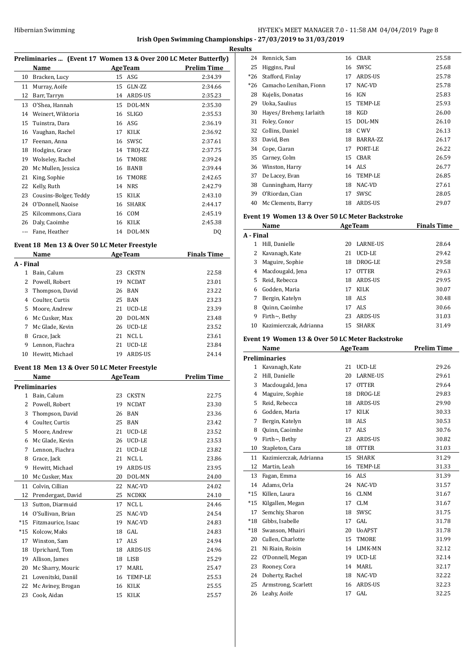# HY-TEK's MEET MANAGER 7.0 - 11:58 AM 04/04/2019 Page 8 **Irish Open Swimming Championships - 27/03/2019 to 31/03/2019**

**Results**

## **Preliminaries ... (Event 17 Women 13 & Over 200 LC Meter Butterfly)**

|     | Name                  |    | <b>AgeTeam</b> | <b>Prelim Time</b> |
|-----|-----------------------|----|----------------|--------------------|
| 10  | Bracken, Lucy         | 15 | ASG            | 2:34.39            |
| 11  | Murray, Aoife         | 15 | GLN-ZZ         | 2:34.66            |
| 12  | Barr, Tarryn          | 14 | ARDS-US        | 2:35.23            |
| 13  | O'Shea, Hannah        | 15 | DOL-MN         | 2:35.30            |
| 14  | Weinert, Wiktoria     | 16 | <b>SLIGO</b>   | 2:35.53            |
| 15  | Tuinstra, Dara        | 16 | ASG            | 2:36.19            |
| 16  | Vaughan, Rachel       | 17 | KILK           | 2:36.92            |
| 17  | Feenan, Anna          | 16 | SWSC           | 2:37.61            |
| 18  | Hodgins, Grace        | 14 | TROJ-ZZ        | 2:37.75            |
| 19  | Wolseley, Rachel      | 16 | TMORE          | 2:39.24            |
| 20  | Mc Mullen, Jessica    | 16 | <b>BANB</b>    | 2:39.44            |
| 21  | King, Sophie          | 16 | TMORE          | 2:42.65            |
| 22  | Kelly, Ruth           | 14 | <b>NRS</b>     | 2:42.79            |
| 23  | Cousins-Bolger, Teddy | 15 | <b>KILK</b>    | 2:43.10            |
| 24  | O'Donnell, Naoise     | 16 | <b>SHARK</b>   | 2:44.17            |
| 25  | Kilcommons, Ciara     | 16 | COM            | 2:45.19            |
| 26  | Daly, Caoimhe         | 16 | <b>KILK</b>    | 2:45.38            |
| --- | Fane, Heather         |    | 14 DOL-MN      | DQ                 |

#### **Event 18 Men 13 & Over 50 LC Meter Freestyle**

|           | Name             |    | <b>AgeTeam</b> | <b>Finals Time</b> |
|-----------|------------------|----|----------------|--------------------|
| A - Final |                  |    |                |                    |
| 1         | Bain, Calum      | 23 | <b>CKSTN</b>   | 22.58              |
|           | 2 Powell, Robert | 19 | <b>NCDAT</b>   | 23.01              |
| 3         | Thompson, David  | 26 | BAN            | 23.22              |
| 4         | Coulter, Curtis  |    | 25 BAN         | 23.23              |
|           | 5 Moore, Andrew  | 21 | UCD-LE         | 23.39              |
| 6         | Mc Cusker, Max   | 20 | DOL-MN         | 23.48              |
| 7         | Mc Glade, Kevin  | 26 | UCD-LE         | 23.52              |
| 8         | Grace, Jack      | 21 | NCL L          | 23.61              |
| 9         | Lennon, Fiachra  | 21 | UCD-LE         | 23.84              |
| 10        | Hewitt, Michael  | 19 | ARDS-US        | 24.14              |
|           |                  |    |                |                    |

#### **Event 18 Men 13 & Over 50 LC Meter Freestyle**

|                | Name                 |    | <b>AgeTeam</b>   | <b>Prelim Time</b> |
|----------------|----------------------|----|------------------|--------------------|
|                | <b>Preliminaries</b> |    |                  |                    |
| $\mathbf{1}$   | Bain, Calum          | 23 | <b>CKSTN</b>     | 22.75              |
| 2              | Powell, Robert       | 19 | <b>NCDAT</b>     | 23.30              |
| 3              | Thompson, David      | 26 | <b>BAN</b>       | 23.36              |
| $\overline{4}$ | Coulter, Curtis      | 25 | <b>BAN</b>       | 23.42              |
| 5              | Moore, Andrew        | 21 | UCD-LE           | 23.52              |
| 6              | Mc Glade, Kevin      | 26 | UCD-LE           | 23.53              |
| 7              | Lennon, Fiachra      | 21 | UCD-LE           | 23.82              |
| 8              | Grace, Jack          | 21 | NCL <sub>L</sub> | 23.86              |
| 9              | Hewitt, Michael      | 19 | ARDS-US          | 23.95              |
| 10             | Mc Cusker, Max       | 20 | DOL-MN           | 24.00              |
| 11             | Colvin, Cillian      | 22 | NAC-VD           | 24.02              |
| 12             | Prendergast, David   | 25 | <b>NCDKK</b>     | 24.10              |
| 13             | Sutton, Diarmuid     | 17 | NCL <sub>L</sub> | 24.46              |
| 14             | O'Sullivan, Brian    | 25 | NAC-VD           | 24.54              |
| $*15$          | Fitzmaurice, Isaac   | 19 | NAC-VD           | 24.83              |
| $*15$          | Kolcow, Maks         | 18 | GAL              | 24.83              |
| 17             | Winston, Sam         | 17 | ALS              | 24.94              |
| 18             | Uprichard, Tom       | 18 | ARDS-US          | 24.96              |
| 19             | Allison, James       | 18 | <b>LISB</b>      | 25.29              |
| 20             | Mc Sharry, Mouric    | 17 | MARL             | 25.47              |
| 21             | Lovenitski, Daniil   | 16 | <b>TEMP-LE</b>   | 25.53              |
| 22             | Mc Aviney, Brogan    | 16 | <b>KILK</b>      | 25.55              |
| 23             | Cook, Aidan          | 15 | <b>KILK</b>      | 25.57              |

| 24    | Rennick, Sam            | 16 | CBAR           | 25.58 |
|-------|-------------------------|----|----------------|-------|
| 25    | Higgins, Paul           | 16 | SWSC           | 25.68 |
| $*26$ | Stafford, Finlay        | 17 | <b>ARDS-US</b> | 25.78 |
| $*26$ | Camacho Lenihan, Fionn  | 17 | NAC-VD         | 25.78 |
| 28    | Kujelis, Donatas        | 16 | <b>IGN</b>     | 25.83 |
| 29    | Uoka, Saulius           | 15 | TEMP-LE        | 25.93 |
| 30    | Hayes/Breheny, Iarlaith | 18 | KGD            | 26.00 |
| 31    | Foley, Conor            | 15 | DOL-MN         | 26.10 |
| 32    | Collins, Daniel         | 18 | C WV           | 26.13 |
| 33    | David, Ben              | 18 | BARRA-ZZ       | 26.17 |
| 34    | Cope, Ciaran            | 17 | PORT-LE        | 26.22 |
| 35    | Carney, Colm            | 15 | <b>CBAR</b>    | 26.59 |
| 36    | Winston, Harry          | 14 | ALS            | 26.77 |
| 37    | De Lacey, Evan          | 16 | TEMP-LE        | 26.85 |
| 38    | Cunningham, Harry       | 18 | NAC-VD         | 27.61 |
| 39    | 0'Riordan, Cian         | 17 | SWSC           | 28.05 |
| 40    | Mc Clements, Barry      | 18 | <b>ARDS-US</b> | 29.07 |

### **Event 19 Women 13 & Over 50 LC Meter Backstroke**

|           | Name                   |    | <b>AgeTeam</b>  | <b>Finals Time</b> |
|-----------|------------------------|----|-----------------|--------------------|
| A - Final |                        |    |                 |                    |
|           | Hill. Danielle         | 20 | <b>LARNE-US</b> | 28.64              |
|           | Kavanagh, Kate         | 21 | UCD-LE          | 29.42              |
| 3         | Maguire, Sophie        | 18 | DROG-LE         | 29.58              |
| 4         | Macdougald, Jena       | 17 | <b>OTTER</b>    | 29.63              |
| 5.        | Reid, Rebecca          | 18 | ARDS-US         | 29.95              |
| 6         | Godden, Maria          | 17 | <b>KILK</b>     | 30.07              |
|           | Bergin, Katelyn        |    | 18 ALS          | 30.48              |
| 8         | Quinn, Caoimhe         | 17 | ALS             | 30.66              |
| 9         | Firth $\sim$ , Bethy   | 23 | <b>ARDS-US</b>  | 31.03              |
| 10        | Kazimierczak, Adrianna | 15 | <b>SHARK</b>    | 31.49              |

#### **Event 19 Women 13 & Over 50 LC Meter Backstroke**

|              | Name                   |    | <b>AgeTeam</b>  | <b>Prelim Time</b> |
|--------------|------------------------|----|-----------------|--------------------|
|              | <b>Preliminaries</b>   |    |                 |                    |
| $\mathbf{1}$ | Kavanagh, Kate         | 21 | UCD-LE          | 29.26              |
| 2            | Hill, Danielle         | 20 | <b>LARNE-US</b> | 29.61              |
| 3            | Macdougald, Jena       | 17 | <b>OTTER</b>    | 29.64              |
| 4            | Maguire, Sophie        | 18 | DROG-LE         | 29.83              |
| 5            | Reid, Rebecca          | 18 | <b>ARDS-US</b>  | 29.90              |
| 6            | Godden, Maria          | 17 | <b>KILK</b>     | 30.33              |
| 7            | Bergin, Katelyn        | 18 | ALS             | 30.53              |
| 8            | Quinn, Caoimhe         | 17 | ALS             | 30.76              |
| 9            | Firth~, Bethy          | 23 | <b>ARDS-US</b>  | 30.82              |
| 10           | Stapleton, Cara        | 18 | <b>OTTER</b>    | 31.03              |
| 11           | Kazimierczak, Adrianna | 15 | <b>SHARK</b>    | 31.29              |
| 12           | Martin, Leah           | 16 | TEMP-LE         | 31.33              |
| 13           | Fagan, Emma            | 16 | <b>ALS</b>      | 31.39              |
| 14           | Adams, Orla            | 24 | NAC-VD          | 31.57              |
| $*15$        | Killen, Laura          | 16 | <b>CLNM</b>     | 31.67              |
| $*15$        | Kilgallen, Megan       | 17 | <b>CLM</b>      | 31.67              |
| 17           | Semchiy, Sharon        | 18 | SWSC            | 31.75              |
| $*18$        | Gibbs, Isabelle        | 17 | GAL.            | 31.78              |
| $*18$        | Swanson, Mhairi        | 20 | <b>UoAPST</b>   | 31.78              |
| 20           | Cullen, Charlotte      | 15 | <b>TMORE</b>    | 31.99              |
| 21           | Ni Riain, Roisin       | 14 | <b>LIMK-MN</b>  | 32.12              |
| 22           | O'Donnell, Megan       | 19 | UCD-LE          | 32.14              |
| 23           | Rooney, Cora           | 14 | MARI.           | 32.17              |
| 24           | Doherty, Rachel        | 18 | NAC-VD          | 32.22              |
| 25           | Armstrong, Scarlett    | 16 | <b>ARDS-US</b>  | 32.23              |
| 26           | Leahy, Aoife           | 17 | GAL.            | 32.25              |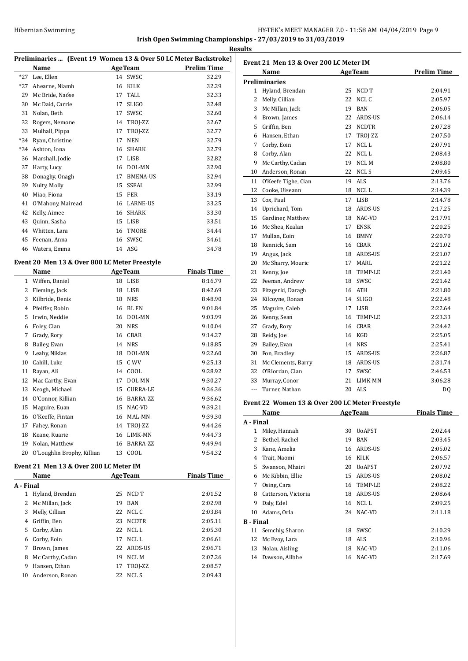| Hibernian Swimming |                                                              | HY-TEK's MEET MANAGER 7.0 - 11:58 AM 04/04/2019 Page 9 |  |
|--------------------|--------------------------------------------------------------|--------------------------------------------------------|--|
|                    | Irish Open Swimming Championships - 27/03/2019 to 31/03/2019 |                                                        |  |

**Results**

|           |                                                                  |    |                | Result                                         |
|-----------|------------------------------------------------------------------|----|----------------|------------------------------------------------|
|           | Preliminaries  (Event 19 Women 13 & Over 50 LC Meter Backstroke) |    |                |                                                |
|           | Name                                                             |    | AgeTeam        | <b>Prelim Time</b>                             |
|           | *27 Lee, Ellen                                                   |    | 14 SWSC        | 32.29                                          |
|           | *27 Ahearne, Niamh                                               |    | 16 KILK        | 32.29                                          |
|           | 29 Mc Bride, Naóse                                               |    | 17 TALL        | 32.33                                          |
| 30        | Mc Daid, Carrie                                                  | 17 | <b>SLIGO</b>   | 32.48                                          |
|           | 31 Nolan, Beth                                                   | 17 | SWSC           | 32.60                                          |
|           | 32 Rogers, Nemone                                                |    | 14 TROJ-ZZ     | 32.67                                          |
| 33        | Mulhall, Pippa                                                   | 17 | TROI-ZZ        | 32.77                                          |
|           | *34 Ryan, Christine                                              | 17 | <b>NEN</b>     | 32.79                                          |
|           | *34 Ashton, Iona                                                 |    | 16 SHARK       | 32.79                                          |
|           | 36 Marshall, Jodie                                               |    | 17 LISB        | 32.82                                          |
|           | 37 Harty, Lucy                                                   |    | 16 DOL-MN      | 32.90                                          |
|           | 38 Donaghy, Onagh                                                |    | 17 BMENA-US    | 32.94                                          |
| 39        | Nulty, Molly                                                     |    | 15 SSEAL       | 32.99                                          |
| 40        | Miao, Fiona                                                      |    | 15 FER         | 33.19                                          |
| 41        | O'Mahony, Mairead                                                |    | 16 LARNE-US    | 33.25                                          |
| 42        | Kelly, Aimee                                                     |    | 16 SHARK       | 33.30                                          |
| 43        | Quinn, Sasha                                                     |    | 15 LISB        | 33.51                                          |
|           | 44 Whitten, Lara                                                 | 16 | TMORE          | 34.44                                          |
| 45        | Feenan, Anna                                                     |    | 16 SWSC        | 34.61                                          |
|           | 46 Waters, Emma                                                  |    | 14 ASG         | 34.78                                          |
|           | Event 20 Men 13 & Over 800 LC Meter Freestyle                    |    |                |                                                |
|           | <b>Name</b>                                                      |    |                | <b>Example 2 Age Team Property</b> Finals Time |
|           | 1 Wiffen, Daniel                                                 |    | 18 LISB        | 8:16.79                                        |
|           | 2 Fleming, Jack                                                  |    | 18 LISB        | 8:42.69                                        |
|           | 3 Kilbride, Denis                                                |    | 18 NRS         | 8:48.90                                        |
|           | 4 Pfeiffer, Robin                                                |    | 16 BL FN       | 9:01.84                                        |
| 5         | Irwin, Neddie                                                    |    | 16 DOL-MN      | 9:03.99                                        |
|           | 6 Foley, Cian                                                    |    | 20 NRS         | 9:10.04                                        |
| 7         | Grady, Rory                                                      |    | 16 CBAR        | 9:14.27                                        |
| 8         | Bailey, Evan                                                     |    | 14 NRS         | 9:18.85                                        |
| 9         | Leahy, Niklas                                                    |    | 18 DOL-MN      | 9:22.60                                        |
|           | 10 Cahill, Luke                                                  |    | 15 C WV        | 9:25.13                                        |
| 11        | Rayan, Ali                                                       |    | 14 COOL        |                                                |
| 12        | Mac Carthy, Evan                                                 | 17 | DOL-MN         | 9:28.92                                        |
|           |                                                                  |    |                | 9:30.27                                        |
|           | 13 Keogh, Michael<br>O'Connor, Killian                           | 15 | CURRA-LE       | 9:36.36                                        |
| 14        |                                                                  | 16 | BARRA-ZZ       | 9:36.62                                        |
| 15        | Maguire, Euan                                                    | 15 | NAC-VD         | 9:39.21                                        |
|           | 16 O'Keeffe, Fintan                                              |    | 16 MAL-MN      | 9:39.30                                        |
| 17        | Fahey, Ronan                                                     |    | 14 TROJ-ZZ     | 9:44.26                                        |
|           | 18 Keane, Ruarie                                                 | 16 | LIMK-MN        | 9:44.73                                        |
|           | 19 Nolan, Matthew                                                | 16 | BARRA-ZZ       | 9:49.94                                        |
|           | 20 O'Loughlin Brophy, Killian                                    |    | 13 COOL        | 9:54.32                                        |
|           | Event 21 Men 13 & Over 200 LC Meter IM                           |    |                |                                                |
|           | Name                                                             |    | <b>AgeTeam</b> | <b>Finals Time</b>                             |
| A - Final |                                                                  |    |                |                                                |
|           | 1 Hyland, Brendan                                                | 25 | NCD T          | 2:01.52                                        |
| 2         | Mc Millan, Jack                                                  | 19 | BAN            | 2:02.98                                        |
| 3         | Melly, Cillian                                                   | 22 | NCL C          | 2:03.84                                        |
|           | 4 Griffin, Ben                                                   | 23 | NCDTR          | 2:05.11                                        |
| 5         | Corby, Alan                                                      |    | 22 NCL L       | 2:05.30                                        |
|           | 6 Corby, Eoin                                                    |    | 17 NCL L       | 2:06.61                                        |
| 7         | Brown, James                                                     | 22 | ARDS-US        | 2:06.71                                        |
| 8         | Mc Carthy, Cadan                                                 |    | 19 NCL M       | 2:07.26                                        |
| 9         | Hansen, Ethan                                                    | 17 | TROJ-ZZ        | 2:08.57                                        |
|           |                                                                  |    |                | 2:09.43                                        |
| 10        | Anderson, Ronan                                                  | 22 | NCL S          |                                                |

| Event 21  Men 13 & Over 200 LC Meter IM |                                                 |          |                    |                    |  |
|-----------------------------------------|-------------------------------------------------|----------|--------------------|--------------------|--|
|                                         | Name                                            |          | <b>AgeTeam</b>     | <b>Prelim Time</b> |  |
|                                         | Preliminaries                                   |          |                    |                    |  |
| 1                                       | Hyland, Brendan                                 | 25       | NCD T              | 2:04.91            |  |
| 2                                       | Melly, Cillian                                  | 22       | NCL C              | 2:05.97            |  |
| 3                                       | Mc Millan, Jack                                 |          | 19 BAN             | 2:06.05            |  |
| 4                                       | Brown, James                                    |          | 22 ARDS-US         | 2:06.14            |  |
| 5.                                      | Griffin, Ben                                    |          | 23 NCDTR           | 2:07.28            |  |
| 6                                       | Hansen, Ethan                                   | 17       | TROJ-ZZ            | 2:07.50            |  |
| 7                                       | Corby, Eoin                                     | 17       | NCL L              | 2:07.91            |  |
| 8                                       | Corby, Alan                                     | 22       | NCL L              | 2:08.43            |  |
| 9                                       | Mc Carthy, Cadan                                |          | 19 NCL M           | 2:08.80            |  |
| 10                                      | Anderson, Ronan                                 |          | 22 NCLS            | 2:09.45            |  |
| 11                                      | O'Keefe Tighe, Cian                             |          | 19 ALS             | 2:13.76            |  |
| 12                                      | Cooke, Uiseann                                  |          | 18 NCLL            | 2:14.39            |  |
| 13                                      | Cox, Paul                                       | 17       | LISB               | 2:14.78            |  |
| 14                                      | Uprichard, Tom                                  | 18       | ARDS-US            | 2:17.25            |  |
| 15                                      | Gardiner, Matthew                               |          | 18 NAC-VD          | 2:17.91            |  |
| 16                                      | Mc Shea, Kealan                                 | 17       | ENSK               | 2:20.25            |  |
| 17                                      | Mullan, Eoin                                    |          | 16 BMNY            | 2:20.70            |  |
| 18                                      | Rennick, Sam                                    |          | 16 CBAR            | 2:21.02            |  |
| 19                                      | Angus, Jack                                     |          | 18 ARDS-US         | 2:21.07            |  |
| 20                                      | Mc Sharry, Mouric                               |          | 17 MARL            | 2:21.22            |  |
| 21                                      | Kenny, Joe                                      |          | 18 TEMP-LE         | 2:21.40            |  |
| 22                                      | Feenan, Andrew                                  |          | 18 SWSC            | 2:21.42            |  |
| 23                                      | Fitzgerld, Daragh                               |          | 16 ATH             | 2:21.80            |  |
| 24                                      | Kilcoyne, Ronan                                 |          | 14 SLIGO           | 2:22.48            |  |
| 25                                      | Maguire, Caleb                                  |          | 17 LISB            | 2:22.64            |  |
| 26                                      |                                                 | 16       | TEMP-LE            | 2:23.33            |  |
| 27                                      | Kenny, Sean<br>Grady, Rory                      |          | 16 CBAR            | 2:24.42            |  |
| 28                                      |                                                 |          | 16 KGD             | 2:25.05            |  |
|                                         | Reidy, Joe                                      |          |                    |                    |  |
| 29<br>30                                | Bailey, Evan                                    |          | 14 NRS             | 2:25.41            |  |
| 31                                      | Fon, Bradley                                    |          | 15 ARDS-US         | 2:26.87            |  |
|                                         | Mc Clements, Barry                              |          | 18 ARDS-US<br>SWSC | 2:31.74            |  |
| 32                                      | O'Riordan, Cian                                 | 17<br>21 | LIMK-MN            | 2:46.53            |  |
| 33                                      | Murray, Conor                                   |          |                    | 3:06.28            |  |
| ---                                     | Turner, Nathan                                  |          | 20 ALS             | DQ                 |  |
|                                         | Event 22 Women 13 & Over 200 LC Meter Freestyle |          |                    |                    |  |
|                                         | <b>Name</b>                                     |          | <b>AgeTeam</b>     | <b>Finals Time</b> |  |
| A - Final                               |                                                 |          |                    |                    |  |
| 1                                       | Miley, Hannah                                   | 30       | <b>UoAPST</b>      | 2:02.44            |  |
| 2                                       | Bethel, Rachel                                  | 19       | BAN                | 2:03.45            |  |
| 3                                       | Kane, Amelia                                    | 16       | ARDS-US            | 2:05.02            |  |
| 4                                       | Trait, Naomi                                    | 16       | <b>KILK</b>        | 2:06.57            |  |
| 5                                       | Swanson, Mhairi                                 | 20       | <b>UoAPST</b>      | 2:07.92            |  |
| 6                                       | Mc Kibbin, Ellie                                | 15       | ARDS-US            | 2:08.02            |  |
| 7                                       | Osing, Cara                                     | 16       | TEMP-LE            | 2:08.22            |  |
| 8                                       | Catterson, Victoria                             | 18       | ARDS-US            | 2:08.64            |  |
| 9                                       | Daly, Edel                                      | 16       | NCL L              | 2:09.25            |  |
| 10                                      | Adams, Orla                                     | 24       | NAC-VD             | 2:11.18            |  |
| B - Final                               |                                                 |          |                    |                    |  |
| 11                                      | Semchiy, Sharon                                 | 18       | SWSC               | 2:10.29            |  |
| 12                                      | Mc Evoy, Lara                                   |          | 18 ALS             | 2:10.96            |  |

 Nolan, Aisling 18 NAC-VD 2:11.06 Dawson, Ailbhe 16 NAC-VD 2:17.69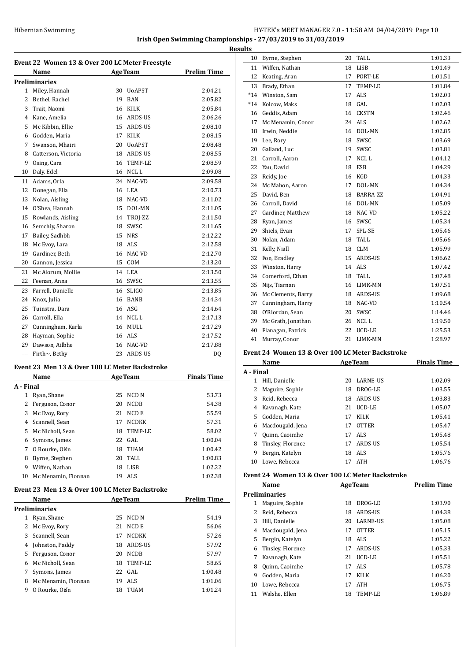**Irish Open Swimming Championships - 27/03/2019 to 31/03/2019**

|                |                                                        |    |                  | <b>Results</b>     |
|----------------|--------------------------------------------------------|----|------------------|--------------------|
|                | Event 22 Women 13 & Over 200 LC Meter Freestyle        |    |                  |                    |
|                | Name                                                   |    | <b>AgeTeam</b>   | <b>Prelim Time</b> |
|                | Preliminaries                                          |    |                  |                    |
|                | 1 Miley, Hannah                                        |    | 30 UoAPST        | 2:04.21            |
|                | 2 Bethel, Rachel                                       |    | 19 BAN           | 2:05.82            |
|                | 3 Trait, Naomi                                         |    | 16 KILK          | 2:05.84            |
|                | 4 Kane, Amelia                                         |    | 16 ARDS-US       | 2:06.26            |
|                | 5 Mc Kibbin, Ellie                                     |    | 15 ARDS-US       | 2:08.10            |
|                | 6 Godden, Maria                                        |    | 17 KILK          | 2:08.15            |
| 7              | Swanson, Mhairi                                        |    | 20 UoAPST        | 2:08.48            |
|                | 8 Catterson, Victoria                                  |    | 18 ARDS-US       | 2:08.55            |
| 9              | Osing, Cara                                            |    | 16 TEMP-LE       | 2:08.59            |
|                | 10 Daly, Edel                                          |    | 16 NCL L         | 2:09.08            |
|                | 11 Adams, Orla                                         |    | 24 NAC-VD        | 2:09.58            |
|                | 12 Donegan, Ella                                       |    | 16 LEA           | 2:10.73            |
|                | 13 Nolan, Aisling                                      |    | 18 NAC-VD        | 2:11.02            |
|                | 14 O'Shea, Hannah                                      |    | 15 DOL-MN        | 2:11.05            |
|                | 15 Rowlands, Aisling                                   |    | 14 TROJ-ZZ       | 2:11.50            |
| 16             | Semchiy, Sharon                                        |    | 18 SWSC          | 2:11.65            |
| 17             | Bailey, Sadhbh                                         |    | 15 NRS           | 2:12.22            |
| 18             | Mc Evoy, Lara                                          |    | 18 ALS           | 2:12.58            |
| 19             | Gardiner, Beth                                         |    | 16 NAC-VD        | 2:12.70            |
| 20             | Gannon, Jessica                                        |    | 15 COM           | 2:13.20            |
| 21             | Mc Alorum, Mollie                                      |    | 14 LEA           | 2:13.50            |
| 22             | Feenan, Anna                                           |    | 16 SWSC          | 2:13.55            |
|                | 23 Farrell, Danielle                                   |    | 16 SLIGO         | 2:13.85            |
|                | 24 Knox, Julia                                         |    | 16 BANB          | 2:14.34            |
| 25             | Tuinstra, Dara                                         |    | 16 ASG           | 2:14.64            |
|                | 26 Carroll, Ella                                       |    | 14 NCL L         | 2:17.13            |
|                | 27 Cunningham, Karla                                   |    | 16 MULL          | 2:17.29            |
|                | 28 Hayman, Sophie                                      |    | 16 ALS           | 2:17.52            |
|                | 29 Dawson, Ailbhe                                      |    | 16 NAC-VD        | 2:17.88            |
| $\cdots$       | Firth~, Bethy                                          |    | 23 ARDS-US       | DQ                 |
|                |                                                        |    |                  |                    |
|                | Event 23 Men 13 & Over 100 LC Meter Backstroke<br>Name |    | <b>AgeTeam</b>   | <b>Finals Time</b> |
| A - Final      |                                                        |    |                  |                    |
|                | 1 Ryan, Shane                                          | 25 | NCD <sub>N</sub> | 53.73              |
|                | 2 Ferguson, Conor                                      | 20 | NCDB             | 54.38              |
| 3              | Mc Evoy, Rory                                          | 21 | NCD E            | 55.59              |
| $\overline{4}$ | Scannell, Sean                                         | 17 | NCDKK            | 57.31              |
| 5              | Mc Nicholl, Sean                                       | 18 | TEMP-LE          | 58.02              |
| 6              | Symons, James                                          |    | 22 GAL           | 1:00.04            |
| 7              | O Rourke, Oiśn                                         |    | 18 TUAM          | 1:00.42            |
|                | Byrne, Stephen                                         |    |                  |                    |
| 8              |                                                        |    | 20 TALL          | 1:00.83            |
| 9.             | Wiffen, Nathan                                         |    | 18 LISB          | 1:02.22            |
| 10             | Mc Menamin, Fionnan                                    |    | 19 ALS           | 1:02.38            |
|                | Event 23 Men 13 & Over 100 LC Meter Backstroke         |    |                  |                    |
|                | Name                                                   |    | <b>AgeTeam</b>   | <b>Prelim Time</b> |
|                | Preliminaries                                          |    |                  |                    |
| $1 \quad$      | Ryan, Shane                                            | 25 | NCD N            | 54.19              |
| 2              | Mc Evoy, Rory                                          | 21 | NCD E            | 56.06              |
| 3              | Scannell, Sean                                         | 17 | <b>NCDKK</b>     | 57.26              |

 Johnston, Paddy 18 ARDS-US 57.92 Ferguson, Conor 20 NCDB 57.97 Mc Nicholl, Sean 18 TEMP-LE 58.65 Symons, James 22 GAL 1:00.48 8 Mc Menamin, Fionnan 19 ALS 1:01.06 O Rourke, Oisín 18 TUAM 1:01.24

| ults  |                    |    |                |         |
|-------|--------------------|----|----------------|---------|
| 10    | Byrne, Stephen     | 20 | TALL           | 1:01.33 |
| 11    | Wiffen, Nathan     | 18 | <b>LISB</b>    | 1:01.49 |
| 12    | Keating, Aran      | 17 | PORT-LE        | 1:01.51 |
| 13    | Brady, Ethan       | 17 | TEMP-LE        | 1:01.84 |
| $*14$ | Winston, Sam       | 17 | <b>ALS</b>     | 1:02.03 |
| $*14$ | Kolcow, Maks       | 18 | GAL            | 1:02.03 |
| 16    | Geddis, Adam       | 16 | <b>CKSTN</b>   | 1:02.46 |
| 17    | Mc Menamin, Conor  | 24 | <b>ALS</b>     | 1:02.62 |
| 18    | Irwin, Neddie      | 16 | DOL-MN         | 1:02.85 |
| 19    | Lee, Rory          | 18 | SWSC           | 1:03.69 |
| 20    | Galland, Luc       | 19 | SWSC           | 1:03.81 |
| 21    | Carroll, Aaron     | 17 | NCL L          | 1:04.12 |
| 22    | Yau, David         | 18 | <b>ESB</b>     | 1:04.29 |
| 23    | Reidy, Joe         | 16 | <b>KGD</b>     | 1:04.33 |
| 24    | Mc Mahon, Aaron    | 17 | DOL-MN         | 1:04.34 |
| 25    | David, Ben         | 18 | BARRA-ZZ       | 1:04.91 |
| 26    | Carroll, David     | 16 | DOL-MN         | 1:05.09 |
| 27    | Gardiner, Matthew  | 18 | NAC-VD         | 1:05.22 |
| 28    | Ryan, James        | 16 | SWSC           | 1:05.34 |
| 29    | Shiels, Evan       | 17 | SPL-SE         | 1:05.46 |
| 30    | Nolan, Adam        | 18 | <b>TALL</b>    | 1:05.66 |
| 31    | Kelly, Niall       | 18 | <b>CLM</b>     | 1:05.99 |
| 32    | Fon, Bradley       | 15 | <b>ARDS-US</b> | 1:06.62 |
| 33    | Winston, Harry     | 14 | ALS            | 1:07.42 |
| 34    | Comerford, Ethan   | 18 | <b>TALL</b>    | 1:07.48 |
| 35    | Nijs, Tiarnan      | 16 | LIMK-MN        | 1:07.51 |
| 36    | Mc Clements, Barry | 18 | <b>ARDS-US</b> | 1:09.68 |
| 37    | Cunningham, Harry  | 18 | NAC-VD         | 1:10.54 |
| 38    | O'Riordan, Sean    | 20 | SWSC           | 1:14.46 |
| 39    | Mc Grath, Jonathan | 26 | NCL L          | 1:19.50 |
| 40    | Flanagan, Patrick  | 22 | UCD-LE         | 1:25.53 |
| 41    | Murray, Conor      | 21 | LIMK-MN        | 1:28.97 |

#### **Event 24 Women 13 & Over 100 LC Meter Backstroke**

|           | Name              |    | <b>AgeTeam</b>  | <b>Finals Time</b> |
|-----------|-------------------|----|-----------------|--------------------|
| A - Final |                   |    |                 |                    |
| 1         | Hill, Danielle    | 20 | <b>LARNE-US</b> | 1:02.09            |
|           | Maguire, Sophie   | 18 | DROG-LE         | 1:03.55            |
| 3         | Reid, Rebecca     | 18 | ARDS-US         | 1:03.83            |
| 4         | Kavanagh, Kate    | 21 | UCD-LE          | 1:05.07            |
| 5.        | Godden, Maria     | 17 | <b>KILK</b>     | 1:05.41            |
| 6         | Macdougald, Jena  | 17 | <b>OTTER</b>    | 1:05.47            |
|           | Quinn, Caoimhe    | 17 | ALS             | 1:05.48            |
| 8         | Tinsley, Florence | 17 | ARDS-US         | 1:05.54            |
| 9         | Bergin, Katelyn   | 18 | ALS <sub></sub> | 1:05.76            |
| 10        | Lowe, Rebecca     | 17 | <b>ATH</b>      | 1:06.76            |

#### **Event 24 Women 13 & Over 100 LC Meter Backstroke**

|    | Name                 | <b>AgeTeam</b> |                 | <b>Prelim Time</b> |
|----|----------------------|----------------|-----------------|--------------------|
|    | <b>Preliminaries</b> |                |                 |                    |
| 1  | Maguire, Sophie      | 18             | DROG-LE         | 1:03.90            |
| 2  | Reid, Rebecca        | 18             | ARDS-US         | 1:04.38            |
| 3  | Hill. Danielle       | 20             | <b>LARNE-US</b> | 1:05.08            |
| 4  | Macdougald, Jena     | 17             | <b>OTTER</b>    | 1:05.15            |
| 5  | Bergin, Katelyn      | 18             | ALS.            | 1:05.22            |
| 6  | Tinsley, Florence    | 17             | ARDS-US         | 1:05.33            |
|    | Kavanagh, Kate       | 21             | UCD-LE          | 1:05.51            |
| 8  | Quinn, Caoimhe       |                | 17 ALS          | 1:05.78            |
| 9  | Godden, Maria        | 17             | <b>KILK</b>     | 1:06.20            |
| 10 | Lowe, Rebecca        | 17             | ATH             | 1:06.75            |
| 11 | Walshe, Ellen        | 18             | TEMP-LE         | 1:06.89            |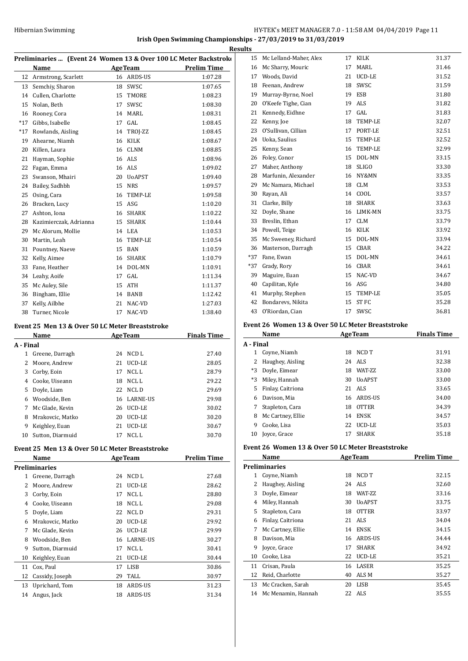#### **Irish Open Swimming Championships - 27/03/2019 to 31/03/2019 Results**

| Preliminaries  (Event 24 Women 13 & Over 100 LC Meter Backstroko |                                                 |    |                |                    |  |  |
|------------------------------------------------------------------|-------------------------------------------------|----|----------------|--------------------|--|--|
|                                                                  | Name                                            |    | <b>AgeTeam</b> | <b>Prelim Time</b> |  |  |
| 12                                                               | Armstrong, Scarlett                             |    | 16 ARDS-US     | 1:07.28            |  |  |
| 13                                                               | Semchiy, Sharon                                 | 18 | SWSC           | 1:07.65            |  |  |
| 14                                                               | Cullen, Charlotte                               | 15 | TMORE          | 1:08.23            |  |  |
| 15                                                               | Nolan, Beth                                     | 17 | <b>SWSC</b>    | 1:08.30            |  |  |
| 16                                                               | Rooney, Cora                                    | 14 | <b>MARL</b>    | 1:08.31            |  |  |
| $*17$                                                            | Gibbs, Isabelle                                 | 17 | GAL            | 1:08.45            |  |  |
| $*17$                                                            | Rowlands, Aisling                               | 14 | TROJ-ZZ        | 1:08.45            |  |  |
| 19                                                               | Ahearne, Niamh                                  | 16 | <b>KILK</b>    | 1:08.67            |  |  |
| 20                                                               | Killen, Laura                                   | 16 | <b>CLNM</b>    | 1:08.85            |  |  |
| 21                                                               | Hayman, Sophie                                  | 16 | <b>ALS</b>     | 1:08.96            |  |  |
| 22                                                               | Fagan, Emma                                     | 16 | ALS            | 1:09.02            |  |  |
| 23                                                               | Swanson, Mhairi                                 | 20 | <b>UoAPST</b>  | 1:09.40            |  |  |
| 24                                                               | Bailey, Sadhbh                                  | 15 | <b>NRS</b>     | 1:09.57            |  |  |
| 25                                                               | Osing, Cara                                     | 16 | TEMP-LE        | 1:09.58            |  |  |
| 26                                                               | Bracken, Lucy                                   | 15 | ASG            | 1:10.20            |  |  |
| 27                                                               | Ashton, Iona                                    | 16 | <b>SHARK</b>   | 1:10.22            |  |  |
| 28                                                               | Kazimierczak, Adrianna                          | 15 | <b>SHARK</b>   | 1:10.44            |  |  |
| 29                                                               | Mc Alorum, Mollie                               | 14 | LEA            | 1:10.53            |  |  |
| 30                                                               | Martin, Leah                                    | 16 | TEMP-LE        | 1:10.54            |  |  |
| 31                                                               | Pountney, Naeve                                 | 15 | <b>BAN</b>     | 1:10.59            |  |  |
| 32                                                               | Kelly, Aimee                                    | 16 | <b>SHARK</b>   | 1:10.79            |  |  |
| 33                                                               | Fane, Heather                                   | 14 | DOL-MN         | 1:10.91            |  |  |
| 34                                                               | Leahy, Aoife                                    | 17 | GAL            | 1:11.34            |  |  |
| 35                                                               | Mc Auley, Sile                                  | 15 | ATH            | 1:11.37            |  |  |
| 36                                                               | Bingham, Ellie                                  | 14 | <b>BANB</b>    | 1:12.42            |  |  |
| 37                                                               | Kelly, Ailbhe                                   | 21 | NAC-VD         | 1:27.03            |  |  |
| 38                                                               | Turner, Nicole                                  | 17 | NAC-VD         | 1:38.40            |  |  |
|                                                                  | Event 25 Men 13 & Over 50 LC Meter Breaststroke |    |                |                    |  |  |
|                                                                  | Name                                            |    | <b>AgeTeam</b> | <b>Finals Time</b> |  |  |
| A - Final                                                        |                                                 |    |                |                    |  |  |

| A - Final |                  |    |             |       |
|-----------|------------------|----|-------------|-------|
| 1         | Greene, Darragh  | 24 | NCD L       | 27.40 |
|           | Moore, Andrew    | 21 | UCD-LE      | 28.05 |
| 3         | Corby, Eoin      | 17 | NCL L       | 28.79 |
| 4         | Cooke, Uiseann   | 18 | NCL L       | 29.22 |
| 5.        | Doyle, Liam      | 22 | NCL D       | 29.69 |
| 6         | Woodside, Ben    |    | 16 LARNE-US | 29.98 |
| 7         | Mc Glade, Kevin  | 26 | UCD-LE      | 30.02 |
| 8         | Mrakovcic. Matko | 20 | UCD-LE      | 30.20 |
| 9         | Keighley, Euan   | 21 | UCD-LE      | 30.67 |
| 10        | Sutton, Diarmuid | 17 | NCL L       | 30.70 |

# **Event 25 Men 13 & Over 50 LC Meter Breaststroke**

|    | Name             |    | <b>AgeTeam</b>  | Prelim Time |
|----|------------------|----|-----------------|-------------|
|    | Preliminaries    |    |                 |             |
| 1  | Greene, Darragh  | 24 | NCD L           | 27.68       |
| 2  | Moore, Andrew    | 21 | UCD-LE          | 28.62       |
| 3  | Corby, Eoin      | 17 | NCL L           | 28.80       |
| 4  | Cooke, Uiseann   | 18 | NCL L           | 29.08       |
| 5  | Doyle, Liam      | 22 | NCL D           | 29.31       |
| 6  | Mrakovcic, Matko | 20 | UCD-LE          | 29.92       |
| 7  | Mc Glade, Kevin  | 26 | UCD-LE          | 29.99       |
| 8  | Woodside, Ben    | 16 | <b>LARNE-US</b> | 30.27       |
| 9  | Sutton, Diarmuid | 17 | NCL L           | 30.41       |
| 10 | Keighley, Euan   | 21 | UCD-LE          | 30.44       |
| 11 | Cox, Paul        | 17 | LISB            | 30.86       |
| 12 | Cassidy, Joseph  | 29 | TALL            | 30.97       |
| 13 | Uprichard, Tom   | 18 | ARDS-US         | 31.23       |
| 14 | Angus, Jack      | 18 | ARDS-US         | 31.34       |
|    |                  |    |                 |             |

| 15    | Mc Lelland-Maher, Alex | 17 | KILK         | 31.37 |
|-------|------------------------|----|--------------|-------|
| 16    | Mc Sharry, Mouric      | 17 | MARL         | 31.46 |
|       | 17 Woods, David        | 21 | UCD-LE       | 31.52 |
| 18    | Feenan, Andrew         | 18 | SWSC         | 31.59 |
| 19    | Murray-Byrne, Noel     | 19 | <b>ESB</b>   | 31.80 |
| 20    | O'Keefe Tighe, Cian    | 19 | ALS          | 31.82 |
| 21    | Kennedy, Eidhne        | 17 | GAL          | 31.83 |
| 22    | Kenny, Joe             | 18 | TEMP-LE      | 32.07 |
| 23    | O'Sullivan, Cillian    | 17 | PORT-LE      | 32.51 |
| 24    | Uoka, Saulius          | 15 | TEMP-LE      | 32.52 |
| 25    | Kenny, Sean            | 16 | TEMP-LE      | 32.99 |
| 26    | Foley, Conor           | 15 | DOL-MN       | 33.15 |
| 27    | Maher, Anthony         | 18 | <b>SLIGO</b> | 33.30 |
| 28    | Marfunin, Alexander    | 16 | NY&MN        | 33.35 |
| 29    | Mc Namara, Michael     | 18 | <b>CLM</b>   | 33.53 |
| 30    | Rayan, Ali             | 14 | COOL         | 33.57 |
| 31    | Clarke, Billy          | 18 | SHARK        | 33.63 |
| 32    | Doyle, Shane           | 16 | LIMK-MN      | 33.75 |
| 33    | Breslin, Ethan         | 17 | <b>CLM</b>   | 33.79 |
| 34    | Powell, Teige          | 16 | KILK         | 33.92 |
| 35    | Mc Sweeney, Richard    | 15 | DOL-MN       | 33.94 |
| 36    | Masterson, Darragh     | 15 | CBAR         | 34.22 |
| $*37$ | Fane, Ewan             | 15 | DOL-MN       | 34.61 |
| *37   | Grady, Rory            | 16 | CBAR         | 34.61 |
| 39    | Maguire, Euan          | 15 | NAC-VD       | 34.67 |
| 40    | Capilitan, Kyle        | 16 | ASG          | 34.80 |
| 41    | Murphy, Stephen        | 15 | TEMP-LE      | 35.05 |
| 42    | Bondarevs, Nikita      | 15 | <b>ST FC</b> | 35.28 |
| 43    | O'Riordan, Cian        | 17 | SWSC         | 36.81 |

#### **Event 26 Women 13 & Over 50 LC Meter Breaststroke**

|           | Name              | <b>AgeTeam</b> |                 | <b>Finals Time</b> |
|-----------|-------------------|----------------|-----------------|--------------------|
| A - Final |                   |                |                 |                    |
| 1         | Coyne, Niamh      | 18             | NCD T           | 31.91              |
| 2         | Haughey, Aisling  |                | 24 ALS          | 32.38              |
| *3        | Doyle, Eimear     | 18             | <b>WAT-7.7.</b> | 33.00              |
| $*3$      | Miley, Hannah     | 30             | <b>UoAPST</b>   | 33.00              |
| 5         | Finlay, Caitriona |                | 21 ALS          | 33.65              |
| 6         | Davison, Mia      |                | 16 ARDS-US      | 34.00              |
|           | Stapleton, Cara   | 18             | <b>OTTER</b>    | 34.39              |
| 8         | Mc Cartney, Ellie | 14             | <b>ENSK</b>     | 34.57              |
| 9         | Cooke, Lisa       | 22             | UCD-LE          | 35.03              |
| 10        | Joyce, Grace      | 17             | <b>SHARK</b>    | 35.18              |

#### **Event 26 Women 13 & Over 50 LC Meter Breaststroke**

|    | Name                 | <b>AgeTeam</b> |                 | Prelim Time |
|----|----------------------|----------------|-----------------|-------------|
|    | <b>Preliminaries</b> |                |                 |             |
| 1  | Coyne, Niamh         | 18             | NCD T           | 32.15       |
| 2  | Haughey, Aisling     | 24             | ALS             | 32.60       |
| 3  | Doyle, Eimear        | 18             | <b>WAT-7.7.</b> | 33.16       |
| 4  | Miley, Hannah        | 30             | <b>UoAPST</b>   | 33.75       |
| 5  | Stapleton, Cara      | 18             | <b>OTTER</b>    | 33.97       |
| 6  | Finlay, Caitriona    | 21             | ALS             | 34.04       |
| 7  | Mc Cartney, Ellie    | 14             | <b>ENSK</b>     | 34.15       |
| 8  | Davison, Mia         | 16             | ARDS-US         | 34.44       |
| 9  | Joyce, Grace         | 17             | <b>SHARK</b>    | 34.92       |
| 10 | Cooke, Lisa          | 22             | UCD-LE          | 35.21       |
| 11 | Crisan, Paula        | 16             | LASER           | 35.25       |
| 12 | Reid, Charlotte      | 40             | ALS M           | 35.27       |
| 13 | Mc Cracken, Sarah    | 20             | <b>LISB</b>     | 35.45       |
| 14 | Mc Menamin, Hannah   |                | 22 ALS          | 35.55       |
|    |                      |                |                 |             |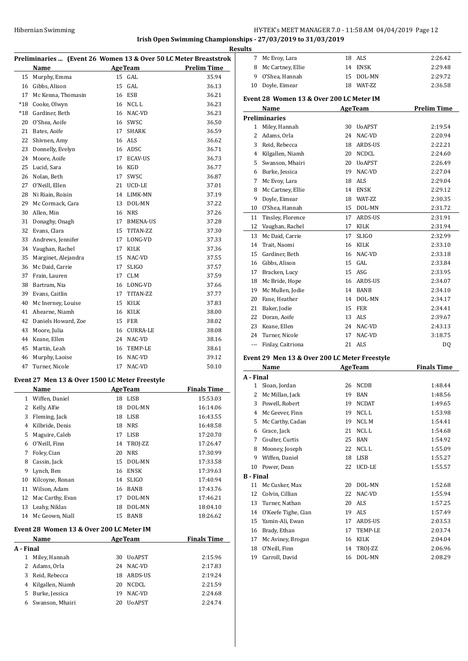# **Irish Open Swimming Championships - 27/03/2019 to 31/03/2019**

| Preliminaries  (Event 26 Women 13 & Over 50 LC Meter Breaststrok |    |                 |                                                                                                        |  |
|------------------------------------------------------------------|----|-----------------|--------------------------------------------------------------------------------------------------------|--|
| <b>Name</b>                                                      |    |                 | <b>Prelim Time</b>                                                                                     |  |
| Murphy, Emma                                                     |    | GAL             | 35.94                                                                                                  |  |
| Gibbs, Alison                                                    | 15 | GAL             | 36.13                                                                                                  |  |
| Mc Kenna, Thomasin                                               |    |                 | 36.21                                                                                                  |  |
| Cooke, Olwyn                                                     |    |                 | 36.23                                                                                                  |  |
| Gardiner, Beth                                                   |    |                 | 36.23                                                                                                  |  |
| O'Shea, Aoife                                                    |    |                 | 36.50                                                                                                  |  |
| Bates, Aoife                                                     | 17 | <b>SHARK</b>    | 36.59                                                                                                  |  |
| Shivnen, Amy                                                     |    | ALS             | 36.62                                                                                                  |  |
| Donnelly, Evelyn                                                 | 16 | ADSC            | 36.71                                                                                                  |  |
| Moore, Aoife                                                     | 17 | <b>ECAV-US</b>  | 36.73                                                                                                  |  |
| Lucid, Sara                                                      | 16 | KGD             | 36.77                                                                                                  |  |
| Nolan, Beth                                                      | 17 | <b>SWSC</b>     | 36.87                                                                                                  |  |
| O'Neill, Ellen                                                   | 21 | UCD-LE          | 37.01                                                                                                  |  |
| Ni Riain, Roisin                                                 | 14 | LIMK-MN         | 37.19                                                                                                  |  |
| Mc Cormack, Cara                                                 | 13 | DOL-MN          | 37.22                                                                                                  |  |
| Allen, Min                                                       |    | <b>NRS</b>      | 37.26                                                                                                  |  |
| Donaghy, Onagh                                                   |    | <b>BMENA-US</b> | 37.28                                                                                                  |  |
| Evans, Clara                                                     | 15 | TITAN-ZZ        | 37.30                                                                                                  |  |
| Andrews, Jennifer                                                |    | LONG-VD         | 37.33                                                                                                  |  |
| Vaughan, Rachel                                                  | 17 | KILK            | 37.36                                                                                                  |  |
| Marginet, Alejandra                                              | 15 | NAC-VD          | 37.55                                                                                                  |  |
| Mc Daid, Carrie                                                  |    | <b>SLIGO</b>    | 37.57                                                                                                  |  |
| Frain, Lauren                                                    | 17 | <b>CLM</b>      | 37.59                                                                                                  |  |
| Bartram, Nia                                                     |    | LONG-VD         | 37.66                                                                                                  |  |
| Evans, Caitlin                                                   | 17 | TITAN-ZZ        | 37.77                                                                                                  |  |
| Mc Inerney, Louise                                               | 15 | KILK            | 37.83                                                                                                  |  |
| Ahearne, Niamh                                                   | 16 | KILK            | 38.00                                                                                                  |  |
| Daniels Howard, Zoe                                              | 15 | FER             | 38.02                                                                                                  |  |
| Moore, Julia                                                     | 16 | <b>CURRA-LE</b> | 38.08                                                                                                  |  |
| Keane, Ellen                                                     | 24 | NAC-VD          | 38.16                                                                                                  |  |
| Martin, Leah                                                     | 16 | TEMP-LE         | 38.61                                                                                                  |  |
| Murphy, Laoise                                                   | 16 | NAC-VD          | 39.12                                                                                                  |  |
| Turner, Nicole                                                   | 17 | NAC-VD          | 50.10                                                                                                  |  |
|                                                                  |    |                 | <b>AgeTeam</b><br>15<br>16 ESB<br>16 NCL L<br>16 NAC-VD<br>16 SWSC<br>16<br>16<br>17<br>17<br>17<br>16 |  |

# **Event 27 Men 13 & Over 1500 LC Meter Freestyle**

|    | Name                                     |    | <b>AgeTeam</b> | <b>Finals Time</b> |
|----|------------------------------------------|----|----------------|--------------------|
| 1  | Wiffen, Daniel                           | 18 | <b>LISB</b>    | 15:53.03           |
| 2  | Kelly, Alfie                             | 18 | DOL-MN         | 16:14.06           |
| 3  | Fleming, Jack                            | 18 | <b>LISB</b>    | 16:43.55           |
| 4  | Kilbride, Denis                          | 18 | <b>NRS</b>     | 16:48.58           |
| 5  | Maguire, Caleb                           | 17 | <b>LISB</b>    | 17:20.70           |
| 6  | O'Neill, Finn                            | 14 | TROJ-ZZ        | 17:26.47           |
| 7  | Foley, Cian                              | 20 | <b>NRS</b>     | 17:30.99           |
| 8  | Cassin, Jack                             | 15 | DOL-MN         | 17:33.58           |
| 9  | Lynch, Ben                               | 16 | <b>ENSK</b>    | 17:39.63           |
| 10 | Kilcoyne, Ronan                          | 14 | <b>SLIGO</b>   | 17:40.94           |
| 11 | Wilson, Adam                             | 16 | BANB           | 17:43.76           |
| 12 | Mac Carthy, Evan                         | 17 | DOL-MN         | 17:46.21           |
| 13 | Leahy, Niklas                            | 18 | DOL-MN         | 18:04.10           |
| 14 | Mc Geown, Niall                          | 15 | BANB           | 18:26.62           |
|    | Event 28 Women 13 & Over 200 LC Meter IM |    |                |                    |
|    | Name                                     |    | <b>AgeTeam</b> | <b>Finals Time</b> |

| A - Final |                  |     |               |         |
|-----------|------------------|-----|---------------|---------|
|           | Miley, Hannah    | 30. | U0APST        | 2:15.96 |
|           | 2 Adams, Orla    |     | 24 NAC-VD     | 2:17.83 |
| 3         | Reid, Rebecca    | 18  | ARDS-US       | 2:19.24 |
| 4         | Kilgallen, Niamh | 20  | NCDCL         | 2:21.59 |
| 5.        | Burke, Jessica   | 19  | NAC-VD        | 2:24.68 |
| 6         | Swanson, Mhairi  | 20  | <b>UoAPST</b> | 2:24.74 |
|           |                  |     |               |         |

| <b>Results</b> |                                               |    |                |                    |
|----------------|-----------------------------------------------|----|----------------|--------------------|
| $7^{\circ}$    | Mc Evoy, Lara                                 |    | 18 ALS         | 2:26.42            |
| 8              | Mc Cartney, Ellie                             |    | 14 ENSK        | 2:29.48            |
| 9              | O'Shea, Hannah                                |    | 15 DOL-MN      | 2:29.72            |
| 10             | Doyle, Eimear                                 |    | 18 WAT-7.7.    | 2:36.58            |
|                | Event 28 Women 13 & Over 200 LC Meter IM      |    |                |                    |
|                | Name                                          |    | <b>AgeTeam</b> | <b>Prelim Time</b> |
|                | <b>Preliminaries</b>                          |    |                |                    |
| 1              | Miley, Hannah                                 |    | 30 UoAPST      | 2:19.54            |
| 2              | Adams, Orla                                   |    | 24 NAC-VD      | 2:20.94            |
| 3              | Reid, Rebecca                                 |    | 18 ARDS-US     | 2:22.21            |
|                | 4 Kilgallen, Niamh                            |    | 20 NCDCL       | 2:24.60            |
|                | 5 Swanson, Mhairi                             |    | 20 UoAPST      | 2:26.49            |
|                | 6 Burke, Jessica                              |    | 19 NAC-VD      | 2:27.04            |
| 7              | Mc Evoy, Lara                                 |    | 18 ALS         | 2:29.04            |
| 8              | Mc Cartney, Ellie                             |    | 14 ENSK        | 2:29.12            |
| 9              | Doyle, Eimear                                 |    | 18 WAT-ZZ      | 2:30.35            |
|                | 10 O'Shea, Hannah                             |    | 15 DOL-MN      | 2:31.72            |
| 11             | Tinsley, Florence                             |    | 17 ARDS-US     | 2:31.91            |
|                | 12 Vaughan, Rachel                            |    | 17 KILK        | 2:31.94            |
| 13             | Mc Daid, Carrie                               | 17 | <b>SLIGO</b>   | 2:32.99            |
| 14             | Trait, Naomi                                  |    | 16 KILK        | 2:33.10            |
| 15             | Gardiner, Beth                                |    | 16 NAC-VD      | 2:33.18            |
|                | 16 Gibbs, Alison                              |    | $15$ GAL       | 2:33.84            |
| 17             | Bracken, Lucy                                 |    | 15 ASG         | 2:33.95            |
| 18             | Mc Bride, Hope                                |    | 16 ARDS-US     | 2:34.07            |
| 19             | Mc Mullen, Jodie                              |    | 14 BANB        | 2:34.10            |
| 20             | Fane, Heather                                 |    | 14 DOL-MN      | 2:34.17            |
| 21             | Baker, Jodie                                  |    | 15 FER         | 2:34.41            |
| 22             | Doran, Aoife                                  |    | 13 ALS         | 2:39.67            |
|                | 23 Keane, Ellen                               |    | 24 NAC-VD      | 2:43.13            |
|                | 24 Turner, Nicole                             | 17 | NAC-VD         | 3:18.75            |
|                | --- Finlay, Caitriona                         |    | 21 ALS         | DQ                 |
|                | Event 29 Men 13 & Over 200 LC Meter Freestyle |    |                |                    |
|                | Name                                          |    | AgeTeam        | <b>Finals Time</b> |

| A - Final        |                     |    |                 |         |
|------------------|---------------------|----|-----------------|---------|
| 1                | Sloan, Jordan       | 26 | <b>NCDB</b>     | 1:48.44 |
| 2                | Mc Millan, Jack     | 19 | <b>BAN</b>      | 1:48.56 |
| 3                | Powell, Robert      | 19 | <b>NCDAT</b>    | 1:49.65 |
| 4                | Mc Geever, Finn     | 19 | NCL L           | 1:53.98 |
| 5                | Mc Carthy, Cadan    | 19 | NCL M           | 1:54.41 |
| 6                | Grace, Jack         | 21 | NCL L           | 1:54.68 |
| 7                | Coulter, Curtis     | 25 | <b>BAN</b>      | 1:54.92 |
| 8                | Mooney, Joseph      | 22 | NCL L           | 1:55.09 |
| 9                | Wiffen, Daniel      | 18 | <b>LISB</b>     | 1:55.27 |
| 10               | Power, Dean         | 22 | UCD-LE          | 1:55.57 |
| <b>B</b> - Final |                     |    |                 |         |
| 11               | Mc Cusker, Max      | 20 | DOL-MN          | 1:52.68 |
| 12               | Colvin, Cillian     | 22 | NAC-VD          | 1:55.94 |
| 13               | Turner, Nathan      | 20 | ALS             | 1:57.25 |
| 14               | O'Keefe Tighe, Cian | 19 | ALS <sub></sub> | 1:57.49 |
| 15               | Yamin-Ali, Ewan     | 17 | ARDS-US         | 2:03.53 |
| 16               | Brady, Ethan        | 17 | TEMP-LE         | 2:03.74 |
| 17               | Mc Aviney, Brogan   | 16 | <b>KILK</b>     | 2:04.04 |
| 18               | O'Neill, Finn       | 14 | TROJ-ZZ         | 2:06.96 |
| 19               | Carroll, David      | 16 | DOL-MN          | 2:08.29 |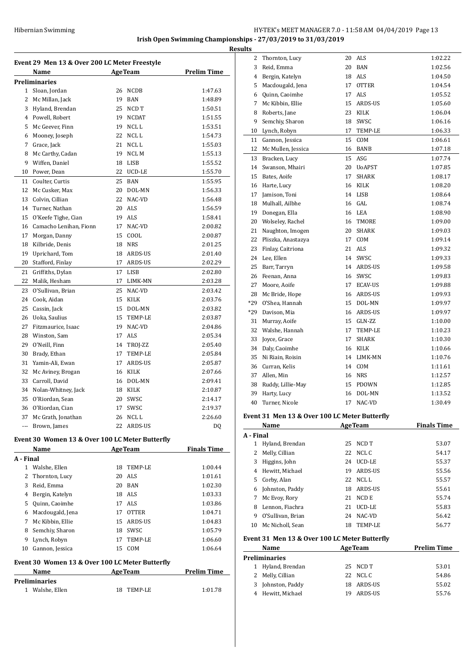**Irish Open Swimming Championships - 27/03/2019 to 31/03/2019**

|              | Event 29 Men 13 & Over 200 LC Meter Freestyle<br>Name |    | <b>AgeTeam</b> | <b>Prelim Time</b> |
|--------------|-------------------------------------------------------|----|----------------|--------------------|
|              | Preliminaries                                         |    |                |                    |
|              | 1 Sloan, Jordan                                       |    | 26 NCDB        | 1:47.63            |
| $\mathbf{2}$ | Mc Millan, Jack                                       |    | 19 BAN         | 1:48.89            |
| 3            | Hyland, Brendan                                       |    | 25 NCD T       | 1:50.51            |
|              | 4 Powell, Robert                                      |    | 19 NCDAT       | 1:51.55            |
| 5            | Mc Geever, Finn                                       |    | 19 NCLL        | 1:53.51            |
| 6            |                                                       |    | 22 NCLL        | 1:54.73            |
| 7            | Mooney, Joseph                                        |    |                |                    |
|              | Grace, Jack                                           |    | 21 NCLL        | 1:55.03            |
|              | 8 Mc Carthy, Cadan                                    |    | 19 NCL M       | 1:55.13            |
|              | 9 Wiffen, Daniel                                      |    | 18 LISB        | 1:55.52            |
|              | 10 Power, Dean                                        |    | 22 UCD-LE      | 1:55.70            |
| 11           | Coulter, Curtis                                       | 25 | BAN            | 1:55.95            |
| 12           | Mc Cusker, Max                                        |    | 20 DOL-MN      | 1:56.33            |
|              | 13 Colvin, Cillian                                    |    | 22 NAC-VD      | 1:56.48            |
| 14           | Turner, Nathan                                        |    | 20 ALS         | 1:56.59            |
| 15           | O'Keefe Tighe, Cian                                   |    | 19 ALS         | 1:58.41            |
| 16           | Camacho Lenihan, Fionn                                |    | 17 NAC-VD      | 2:00.82            |
| 17           | Morgan, Danny                                         | 15 | COOL           | 2:00.87            |
| 18           | Kilbride, Denis                                       |    | 18 NRS         | 2:01.25            |
| 19           | Uprichard, Tom                                        |    | 18 ARDS-US     | 2:01.40            |
| 20           | Stafford, Finlay                                      |    | 17 ARDS-US     | 2:02.29            |
| 21           | Griffiths, Dylan                                      | 17 | LISB           | 2:02.80            |
| 22           | Malik, Hesham                                         | 17 | LIMK-MN        | 2:03.28            |
| 23           | O'Sullivan, Brian                                     |    | 25 NAC-VD      | 2:03.42            |
| 24           | Cook, Aidan                                           |    | 15 KILK        | 2:03.76            |
| 25           | Cassin, Jack                                          |    | 15 DOL-MN      | 2:03.82            |
|              | 26 Uoka, Saulius                                      |    | 15 TEMP-LE     | 2:03.87            |
| 27           | Fitzmaurice, Isaac                                    |    | 19 NAC-VD      | 2:04.86            |
| 28           | Winston, Sam                                          |    | 17 ALS         | 2:05.34            |
| 29           | O'Neill, Finn                                         |    | 14 TROJ-ZZ     | 2:05.40            |
| 30           | Brady, Ethan                                          | 17 | TEMP-LE        | 2:05.84            |
| 31           | Yamin-Ali, Ewan                                       |    | 17 ARDS-US     | 2:05.87            |
| 32           | Mc Aviney, Brogan                                     |    | 16 KILK        | 2:07.66            |
| 33           | Carroll, David                                        |    | 16 DOL-MN      | 2:09.41            |
|              | 34 Nolan-Whitney, Jack                                |    | 18 KILK        | 2:10.87            |
|              | 35 O'Riordan, Sean                                    |    | 20 SWSC        | 2:14.17            |
|              | 36 O'Riordan, Cian                                    | 17 | SWSC           | 2:19.37            |
|              | 37 Mc Grath, Jonathan                                 |    | 26 NCL L       | 2:26.60            |
|              | --- Brown, James                                      |    | 22 ARDS-US     | DQ                 |
|              |                                                       |    |                |                    |
|              | Event 30 Women 13 & Over 100 LC Meter Butterfly       |    |                |                    |
| A - Final    | Name                                                  |    | <b>AgeTeam</b> | <b>Finals Time</b> |
|              | 1 Walshe, Ellen                                       | 18 | TEMP-LE        | 1:00.44            |
| 2            | Thornton, Lucy                                        |    | 20 ALS         | 1:01.61            |
| 3            | Reid, Emma                                            |    | 20 BAN         | 1:02.30            |
|              | 4 Bergin, Katelyn                                     |    | 18 ALS         | 1:03.33            |
|              | 5 Quinn, Caoimhe                                      |    | 17 ALS         | 1:03.86            |
|              |                                                       |    |                |                    |
|              | 6 Macdougald, Jena                                    |    | 17 OTTER       | 1:04.71            |
| 7            | Mc Kibbin, Ellie                                      |    | 15 ARDS-US     | 1:04.83            |
| 8            | Semchiy, Sharon                                       |    | 18 SWSC        | 1:05.79            |
|              | 9 Lynch, Robyn                                        |    | 17 TEMP-LE     | 1:06.60            |
|              | 10 Gannon, Jessica                                    |    | 15 COM         | 1:06.64            |
|              | Event 30 Women 13 & Over 100 LC Meter Butterfly       |    |                |                    |
|              | Name                                                  |    | <b>AgeTeam</b> | <b>Prelim Time</b> |
|              | Preliminaries                                         |    |                |                    |
|              | 1 Walshe, Ellen                                       | 18 | TEMP-LE        | 1:01.78            |
|              |                                                       |    |                |                    |

| <u>lts</u>     |                                               |    |               |         |
|----------------|-----------------------------------------------|----|---------------|---------|
| 2              | Thornton, Lucy                                | 20 | ALS           | 1:02.22 |
| 3              | Reid, Emma                                    | 20 | BAN           | 1:02.56 |
| $\overline{4}$ | Bergin, Katelyn                               |    | 18 ALS        | 1:04.50 |
| 5              | Macdougald, Jena                              | 17 | <b>OTTER</b>  | 1:04.54 |
| 6              | Quinn, Caoimhe                                | 17 | <b>ALS</b>    | 1:05.52 |
| 7              | Mc Kibbin, Ellie                              | 15 | ARDS-US       | 1:05.60 |
| 8              | Roberts, Jane                                 | 23 | KILK          | 1:06.04 |
| 9              | Semchiy, Sharon                               | 18 | SWSC          | 1:06.16 |
| 10             | Lynch, Robyn                                  | 17 | TEMP-LE       | 1:06.33 |
| 11             | Gannon, Jessica                               | 15 | COM           | 1:06.61 |
| 12             | Mc Mullen, Jessica                            | 16 | BANB          | 1:07.18 |
| 13             | Bracken, Lucy                                 | 15 | ASG           | 1:07.74 |
| 14             | Swanson, Mhairi                               | 20 | <b>UoAPST</b> | 1:07.85 |
| 15             | Bates, Aoife                                  | 17 | <b>SHARK</b>  | 1:08.17 |
| 16             | Harte, Lucy                                   | 16 | KILK          | 1:08.20 |
| 17             | Jamison, Toni                                 |    | 14 LISB       | 1:08.64 |
| 18             | Mulhall, Ailbhe                               |    | 16 GAL        | 1:08.74 |
| 19             | Donegan, Ella                                 | 16 | LEA           | 1:08.90 |
| 20             | Wolseley, Rachel                              | 16 | TMORE         | 1:09.00 |
| 21             | Naughton, Imogen                              | 20 | SHARK         | 1:09.03 |
| 22             | Pliszka, Anastazya                            | 17 | COM           | 1:09.14 |
| 23             | Finlay, Caitriona                             | 21 | ALS           | 1:09.32 |
| 24             | Lee, Ellen                                    |    | 14 SWSC       | 1:09.33 |
| 25             | Barr, Tarryn                                  | 14 | ARDS-US       | 1:09.58 |
| 26             | Feenan, Anna                                  |    | 16 SWSC       | 1:09.83 |
| 27             | Moore, Aoife                                  | 17 | ECAV-US       | 1:09.88 |
| 28             | Mc Bride, Hope                                |    | 16 ARDS-US    | 1:09.93 |
| $*29$          | O'Shea. Hannah                                | 15 | DOL-MN        | 1:09.97 |
| $*29$          | Davison, Mia                                  | 16 | ARDS-US       | 1:09.97 |
| 31             | Murray, Aoife                                 | 15 | GLN-ZZ        | 1:10.00 |
| 32             | Walshe, Hannah                                | 17 | TEMP-LE       | 1:10.23 |
| 33             | Joyce, Grace                                  | 17 | <b>SHARK</b>  | 1:10.30 |
| 34             | Daly, Caoimhe                                 |    | 16 KILK       | 1:10.66 |
| 35             | Ni Riain, Roisin                              |    | 14 LIMK-MN    | 1:10.76 |
| 36             | Curran, Kelis                                 | 14 | COM           | 1:11.61 |
| 37             | Allen, Min                                    |    | 16 NRS        | 1:12.57 |
| 38             | Ruddy, Lillie-May                             | 15 | PDOWN         | 1:12.85 |
| 39             | Harty, Lucy                                   | 16 | DOL-MN        | 1:13.52 |
| 40             | Turner, Nicole                                | 17 | NAC-VD        | 1:30.49 |
|                | Event 31 Men 13 & Over 100 LC Meter Rutterfly |    |               |         |

#### **Event 31 Men 13 & Over 100 LC Meter Butterfly**

|           | Name                                          |    | <b>AgeTeam</b> | <b>Finals Time</b> |
|-----------|-----------------------------------------------|----|----------------|--------------------|
| A - Final |                                               |    |                |                    |
| 1         | Hyland, Brendan                               | 25 | NCD T          | 53.07              |
| 2         | Melly, Cillian                                | 22 | NCL C          | 54.17              |
| 3         | Higgins, John                                 | 24 | UCD-LE         | 55.37              |
| 4         | Hewitt, Michael                               | 19 | <b>ARDS-US</b> | 55.56              |
| 5         | Corby, Alan                                   | 22 | NCL L          | 55.57              |
| 6         | Johnston, Paddy                               | 18 | <b>ARDS-US</b> | 55.61              |
| 7         | Mc Evoy, Rory                                 | 21 | NCD E          | 55.74              |
| 8         | Lennon, Fiachra                               | 21 | UCD-LE         | 55.83              |
| 9         | O'Sullivan, Brian                             | 24 | NAC-VD         | 56.42              |
| 10        | Mc Nicholl, Sean                              | 18 | TEMP-LE        | 56.77              |
|           | Event 31 Men 13 & Over 100 LC Meter Butterfly |    |                |                    |
|           | Name                                          |    | <b>AgeTeam</b> | <b>Prelim Time</b> |
|           | Preliminaries                                 |    |                |                    |
| 1         | Hyland, Brendan                               | 25 | NCD T          | 53.01              |
| 2         | Melly, Cillian                                | 22 | NCL C          | 54.86              |
| 3         | Johnston, Paddy                               | 18 | ARDS-US        | 55.02              |
| 4         | Hewitt, Michael                               | 19 | <b>ARDS-US</b> | 55.76              |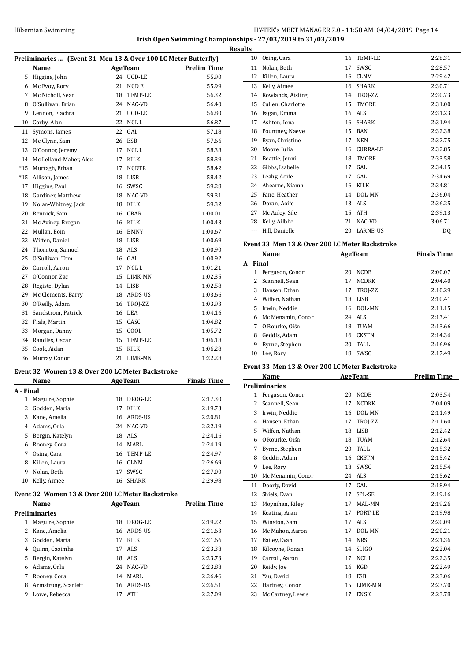**Irish Open Swimming Championships - 27/03/2019 to 31/03/2019**

|              | Preliminaries  (Event 31 Men 13 & Over 100 LC Meter Butterfly) |    |                |                     |
|--------------|----------------------------------------------------------------|----|----------------|---------------------|
|              |                                                                |    |                | AgeTeam Prelim Time |
|              | Name<br>5 Higgins, John                                        |    | 24 UCD-LE      | 55.90               |
|              |                                                                |    | 21 NCD E       | 55.99               |
|              | 6 Mc Evoy, Rory                                                |    |                |                     |
|              | 7 Mc Nicholl, Sean                                             |    | 18 TEMP-LE     | 56.32               |
|              | 8 O'Sullivan, Brian                                            |    | 24 NAC-VD      | 56.40               |
|              | 9 Lennon, Fiachra                                              |    | 21 UCD-LE      | 56.80               |
|              | 10 Corby, Alan                                                 |    | 22 NCLL        | 56.87               |
| 11           | Symons, James                                                  |    | 22 GAL         | 57.18               |
|              | 12 Mc Glynn, Sam                                               |    | 26 ESB         | 57.66               |
| 13           | O'Connor, Jeremy                                               |    | 17 NCL L       | 58.38               |
|              | 14 Mc Lelland-Maher, Alex                                      |    | 17 KILK        | 58.39               |
|              | *15 Murtagh, Ethan                                             |    | 17 NCDTR       | 58.42               |
| *15          | Allison, James                                                 |    | 18 LISB        | 58.42               |
| 17           | Higgins, Paul                                                  |    | 16 SWSC        | 59.28               |
|              | 18 Gardiner, Matthew                                           |    | 18 NAC-VD      | 59.31               |
|              | 19 Nolan-Whitney, Jack                                         |    | 18 KILK        | 59.32               |
|              | 20 Rennick, Sam                                                |    | 16 CBAR        | 1:00.01             |
|              | 21 Mc Aviney, Brogan                                           |    | 16 KILK        | 1:00.43             |
|              | 22 Mullan, Eoin                                                |    | 16 BMNY        | 1:00.67             |
|              | 23 Wiffen, Daniel                                              |    | 18 LISB        | 1:00.69             |
| 24           | Thornton, Samuel                                               |    | 18 ALS         | 1:00.90             |
| 25           | O'Sullivan, Tom                                                |    | 16 GAL         | 1:00.92             |
|              | 26 Carroll, Aaron                                              |    | 17 NCL L       | 1:01.21             |
|              | 27 O'Connor, Zac                                               |    | 15 LIMK-MN     | 1:02.35             |
|              | 28 Registe, Dylan                                              |    | 14 LISB        | 1:02.58             |
|              | 29 Mc Clements, Barry                                          |    | 18 ARDS-US     | 1:03.66             |
|              | 30 O'Reilly, Adam                                              |    | 16 TROJ-ZZ     | 1:03.93             |
|              | 31 Sandstrom, Patrick                                          |    | 16 LEA         | 1:04.16             |
|              | 32 Fiala, Martin                                               |    | 15 CASC        | 1:04.82             |
|              | 33 Morgan, Danny                                               |    | 15 COOL        | 1:05.72             |
|              | 34 Randles, Oscar                                              |    | 15 TEMP-LE     | 1:06.18             |
|              | 35 Cook, Aidan                                                 |    | 15 KILK        | 1:06.28             |
|              | 36 Murray, Conor                                               |    | 21 LIMK-MN     | 1:22.28             |
|              | Event 32 Women 13 & Over 200 LC Meter Backstroke               |    |                |                     |
|              | <b>Name</b>                                                    |    | Age Team       | <b>Finals Time</b>  |
|              | A - Final                                                      |    |                |                     |
| 1            | Maguire, Sophie                                                |    | 18 DROG-LE     | 2:17.30             |
|              |                                                                |    |                |                     |
|              |                                                                |    |                |                     |
| 2            | Godden, Maria                                                  | 17 | KILK           | 2:19.73             |
| 3            | Kane, Amelia                                                   | 16 | ARDS-US        | 2:20.81             |
|              | 4 Adams, Orla                                                  | 24 | NAC-VD         | 2:22.19             |
|              | 5 Bergin, Katelyn                                              |    | 18 ALS         | 2:24.16             |
|              | 6 Rooney, Cora                                                 |    | 14 MARL        | 2:24.19             |
| 7            | Osing, Cara                                                    | 16 | TEMP-LE        | 2:24.97             |
| 8            | Killen, Laura                                                  |    | 16 CLNM        | 2:26.69             |
| 9            | Nolan, Beth                                                    | 17 | SWSC           | 2:27.00             |
|              | 10 Kelly, Aimee                                                | 16 | SHARK          | 2:29.98             |
|              | Event 32 Women 13 & Over 200 LC Meter Backstroke               |    |                |                     |
|              | Name                                                           |    | <b>AgeTeam</b> | <b>Prelim Time</b>  |
|              | <b>Preliminaries</b>                                           |    |                |                     |
| $\mathbf{1}$ | Maguire, Sophie                                                | 18 | DROG-LE        | 2:19.22             |
| $\mathbf{2}$ | Kane, Amelia                                                   |    | 16 ARDS-US     | 2:21.63             |
| 3            | Godden, Maria                                                  | 17 | KILK           | 2:21.66             |
|              | 4 Quinn, Caoimhe                                               | 17 | ALS            | 2:23.38             |
| 5            | Bergin, Katelyn                                                |    | 18 ALS         | 2:23.73             |
|              | 6 Adams, Orla                                                  |    | 24 NAC-VD      | 2:23.88             |
|              | 7 Rooney, Cora                                                 |    | 14 MARL        | 2:26.46             |
| 8            | Armstrong, Scarlett                                            |    | 16 ARDS-US     | 2:26.51             |

| uıts |                   |    |                 |         |
|------|-------------------|----|-----------------|---------|
| 10   | Osing, Cara       | 16 | TEMP-LE         | 2:28.31 |
| 11   | Nolan, Beth       | 17 | SWSC            | 2:28.57 |
| 12   | Killen, Laura     | 16 | <b>CLNM</b>     | 2:29.42 |
| 13   | Kelly, Aimee      | 16 | <b>SHARK</b>    | 2:30.71 |
| 14   | Rowlands, Aisling | 14 | TROJ-ZZ         | 2:30.73 |
| 15   | Cullen, Charlotte | 15 | <b>TMORE</b>    | 2:31.00 |
| 16   | Fagan, Emma       | 16 | ALS             | 2:31.23 |
| 17   | Ashton, Iona      | 16 | <b>SHARK</b>    | 2:31.94 |
| 18   | Pountney, Naeve   | 15 | <b>BAN</b>      | 2:32.38 |
| 19   | Ryan, Christine   | 17 | <b>NEN</b>      | 2:32.75 |
| 20   | Moore, Julia      | 16 | <b>CURRA-LE</b> | 2:32.85 |
| 21   | Beattie, Jenni    | 18 | <b>TMORE</b>    | 2:33.58 |
| 22   | Gibbs, Isabelle   | 17 | GAL             | 2:34.15 |
| 23   | Leahy, Aoife      | 17 | GAL             | 2:34.69 |
| 24   | Ahearne, Niamh    | 16 | <b>KILK</b>     | 2:34.81 |
| 25   | Fane, Heather     | 14 | DOL-MN          | 2:36.04 |
| 26   | Doran, Aoife      | 13 | ALS             | 2:36.25 |
| 27   | Mc Auley, Sile    | 15 | ATH             | 2:39.13 |
| 28   | Kelly, Ailbhe     | 21 | NAC-VD          | 3:06.71 |
|      | Hill, Danielle    | 20 | LARNE-US        | DQ      |

#### **Event 33 Men 13 & Over 200 LC Meter Backstroke**

|           | Name              |    | <b>AgeTeam</b> | <b>Finals Time</b> |
|-----------|-------------------|----|----------------|--------------------|
| A - Final |                   |    |                |                    |
|           | Ferguson, Conor   | 20 | <b>NCDB</b>    | 2:00.07            |
|           | Scannell, Sean    | 17 | <b>NCDKK</b>   | 2:04.40            |
| 3         | Hansen, Ethan     | 17 | TROJ-ZZ        | 2:10.29            |
| 4         | Wiffen, Nathan    | 18 | LISB           | 2:10.41            |
| 5.        | Irwin. Neddie     | 16 | DOL-MN         | 2:11.15            |
| 6         | Mc Menamin, Conor | 24 | ALS.           | 2:13.41            |
| 7         | O Rourke, Oiśn    | 18 | <b>TUAM</b>    | 2:13.66            |
| 8         | Geddis, Adam      | 16 | CKSTN          | 2:14.36            |
| 9         | Byrne, Stephen    | 20 | TALL           | 2:16.96            |
| 10        | Lee, Rory         | 18 | SWSC           | 2:17.49            |

#### **Event 33 Men 13 & Over 200 LC Meter Backstroke**

|    | Name                 |    | <b>AgeTeam</b> | <b>Prelim Time</b> |
|----|----------------------|----|----------------|--------------------|
|    | <b>Preliminaries</b> |    |                |                    |
| 1  | Ferguson, Conor      | 20 | <b>NCDB</b>    | 2:03.54            |
| 2  | Scannell, Sean       | 17 | <b>NCDKK</b>   | 2:04.09            |
| 3  | Irwin, Neddie        | 16 | DOL-MN         | 2:11.49            |
| 4  | Hansen, Ethan        | 17 | TROJ-ZZ        | 2:11.60            |
| 5  | Wiffen, Nathan       | 18 | <b>LISB</b>    | 2:12.42            |
| 6  | O Rourke, Oiśn       | 18 | <b>TUAM</b>    | 2:12.64            |
| 7  | Byrne, Stephen       | 20 | TALL           | 2:15.32            |
| 8  | Geddis, Adam         | 16 | <b>CKSTN</b>   | 2:15.42            |
| 9  | Lee, Rory            | 18 | SWSC           | 2:15.54            |
| 10 | Mc Menamin, Conor    | 24 | ALS            | 2:15.62            |
| 11 | Doorly, David        | 17 | GAL            | 2:18.94            |
| 12 | Shiels, Evan         | 17 | SPL-SE         | 2:19.16            |
| 13 | Moynihan, Riley      | 17 | MAL-MN         | 2:19.26            |
| 14 | Keating, Aran        | 17 | PORT-LE        | 2:19.98            |
| 15 | Winston, Sam         | 17 | <b>ALS</b>     | 2:20.09            |
| 16 | Mc Mahon, Aaron      | 17 | DOL-MN         | 2:20.21            |
| 17 | Bailey, Evan         | 14 | <b>NRS</b>     | 2:21.36            |
| 18 | Kilcoyne, Ronan      | 14 | <b>SLIGO</b>   | 2:22.04            |
| 19 | Carroll, Aaron       | 17 | NCL L          | 2:22.35            |
| 20 | Reidy, Joe           | 16 | <b>KGD</b>     | 2:22.49            |
| 21 | Yau, David           | 18 | <b>ESB</b>     | 2:23.06            |
| 22 | Hartney, Conor       | 15 | LIMK-MN        | 2:23.70            |
| 23 | Mc Cartney, Lewis    | 17 | <b>ENSK</b>    | 2:23.78            |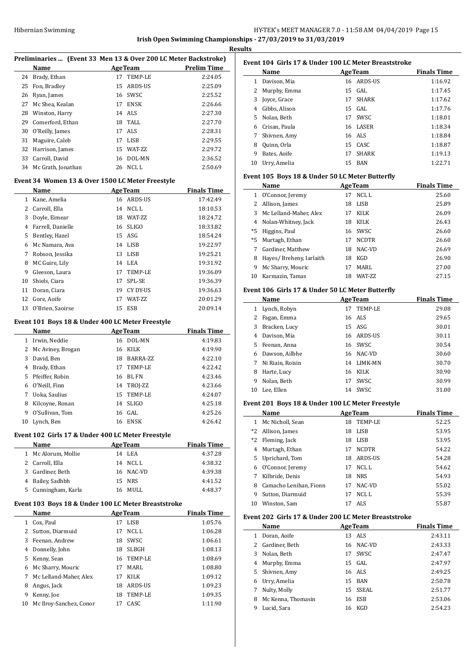## HY-TEK's MEET MANAGER 7.0 - 11:58 AM 04/04/2019 Page 15 **Irish Open Swimming Championships - 27/03/2019 to 31/03/2019**

**Results**

 $\overline{\phantom{a}}$ 

|                |                                                     |    |                       | Preliminaries  (Event 33 Men 13 & Over 200 LC Meter Backstroke) |
|----------------|-----------------------------------------------------|----|-----------------------|-----------------------------------------------------------------|
|                | Name                                                |    | <b>AgeTeam</b>        | <b>Prelim Time</b>                                              |
| 24             | Brady, Ethan                                        |    | 17 TEMP-LE            | 2:24.05                                                         |
| 25             | Fon, Bradley                                        | 15 | ARDS-US               | 2:25.09                                                         |
| 26             | Ryan, James                                         |    | 16 SWSC               | 2:25.52                                                         |
| 27             | Mc Shea, Kealan                                     |    | 17 ENSK               | 2:26.66                                                         |
| 28             | Winston, Harry                                      | 14 | ALS                   | 2:27.30                                                         |
| 29             | Comerford, Ethan                                    | 18 | TALL                  | 2:27.70                                                         |
| 30             | O'Reilly, James                                     | 17 | <b>ALS</b>            | 2:28.31                                                         |
| 31             | Maguire, Caleb                                      | 17 | LISB                  | 2:29.55                                                         |
| 32             | Harrison, James                                     | 15 | WAT-ZZ                | 2:29.72                                                         |
| 33             | Carroll, David                                      | 16 | DOL-MN                | 2:36.52                                                         |
| 34             | Mc Grath, Jonathan                                  | 26 | NCL L                 | 2:50.69                                                         |
|                | Event 34 Women 13 & Over 1500 LC Meter Freestyle    |    |                       |                                                                 |
|                | Name                                                |    | <b>AgeTeam</b>        | <b>Finals Time</b>                                              |
| $\mathbf{1}$   | Kane, Amelia                                        |    | 16 ARDS-US            | 17:42.49                                                        |
| $\overline{2}$ | Carroll, Ella                                       |    | 14 NCL L              | 18:10.53                                                        |
| 3              | Doyle, Eimear                                       | 18 | WAT-ZZ                | 18:24.72                                                        |
| 4              | Farrell, Danielle                                   | 16 | <b>SLIGO</b>          | 18:33.82                                                        |
| 5              | Bentley, Hazel                                      | 15 | ASG                   | 18:54.24                                                        |
| 6              | Mc Namara, Ava                                      | 14 | LISB                  | 19:22.97                                                        |
| 7              | Robson, Jessika                                     | 13 | <b>LISB</b>           | 19:25.21                                                        |
| 8              | MC Guire, Lily                                      | 14 | LEA                   | 19:31.92                                                        |
| 9              | Gleeson, Laura                                      | 17 | TEMP-LE               | 19:36.09                                                        |
|                |                                                     |    |                       |                                                                 |
| 10             | Shiels, Ciara                                       | 17 | SPL-SE                | 19:36.39                                                        |
| 11             | Doran, Ciara                                        | 19 | CY DY-US              | 19:36.63                                                        |
| 12             | Gore, Aoife                                         | 17 | WAT-ZZ                | 20:01.29                                                        |
| 13             | O'Brien, Saoirse                                    | 15 | <b>ESB</b>            | 20:09.14                                                        |
|                | Event 101 Boys 18 & Under 400 LC Meter Freestyle    |    |                       |                                                                 |
|                | Name                                                |    | <b>AgeTeam</b>        | <b>Finals Time</b>                                              |
| 1              | Irwin, Neddie                                       |    | 16 DOL-MN             | 4:19.83                                                         |
|                | Mc Aviney, Brogan                                   | 16 | KILK                  | 4:19.90                                                         |
| 2              |                                                     |    |                       |                                                                 |
| 3              | David, Ben                                          | 18 | BARRA-ZZ              | 4:22.10                                                         |
| 4              | Brady, Ethan                                        | 17 | TEMP-LE               | 4:22.42                                                         |
| 5              | Pfeiffer, Robin                                     | 16 | BL FN                 | 4:23.46                                                         |
| 6              | O'Neill, Finn                                       | 14 | TROJ-ZZ               | 4:23.66                                                         |
| 7              | Uoka, Saulius                                       | 15 | TEMP-LE               | 4:24.07                                                         |
| 8              |                                                     |    |                       | 4:25.18                                                         |
| 9              | Kilcoyne, Ronan                                     |    | 14 SLIGO              |                                                                 |
| 10             | O'Sullivan, Tom<br>Lynch, Ben                       | 16 | 16 GAL<br><b>ENSK</b> | 4:25.26<br>4:26.42                                              |
|                |                                                     |    |                       |                                                                 |
|                | Event 102  Girls 17 & Under 400 LC Meter Freestyle  |    |                       |                                                                 |
|                | Name                                                |    | <b>AgeTeam</b>        | <b>Finals Time</b>                                              |
| $\mathbf{1}$   | Mc Alorum, Mollie                                   |    | 14 LEA                | 4:37.28                                                         |
|                | 2 Carroll, Ella                                     |    | 14 NCL L              | 4:38.32                                                         |
| 3              | Gardiner, Beth                                      |    | 16 NAC-VD             | 4:39.38                                                         |
| 4              | Bailey, Sadhbh                                      |    | 15 NRS                | 4:41.52                                                         |
| 5              | Cunningham, Karla                                   | 16 | MULL                  | 4:48.37                                                         |
|                | Event 103 Boys 18 & Under 100 LC Meter Breaststroke |    |                       |                                                                 |
|                | Name                                                |    | <b>AgeTeam</b>        | <b>Finals Time</b>                                              |
| 1              | Cox, Paul                                           | 17 | LISB                  | 1:05.76                                                         |
| 2              | Sutton, Diarmuid                                    | 17 | NCL L                 | 1:06.28                                                         |
| 3              | Feenan, Andrew                                      | 18 | SWSC                  | 1:06.61                                                         |
| 4              | Donnelly, John                                      |    | 18 SLBGH              | 1:08.13                                                         |
| 5              | Kenny, Sean                                         |    | 16 TEMP-LE            | 1:08.69                                                         |
| 6              | Mc Sharry, Mouric                                   |    | 17 MARL               | 1:08.80                                                         |
| 7              | Mc Lelland-Maher, Alex                              |    | 17 KILK               | 1:09.12                                                         |
| 8              | Angus, Jack                                         |    | 18 ARDS-US            | 1:09.23                                                         |
| 9              | Kenny, Joe<br>Mc Ilroy-Sanchez, Conor               | 18 | TEMP-LE               | 1:09.35                                                         |

| Event 104 Girls 17 & Under 100 LC Meter Breaststroke |               |    |                |                    |
|------------------------------------------------------|---------------|----|----------------|--------------------|
|                                                      | Name          |    | <b>AgeTeam</b> | <b>Finals Time</b> |
|                                                      | Davison, Mia  |    | 16 ARDS-US     | 1:16.92            |
| 2                                                    | Murphy, Emma  |    | 15 GAL         | 1:17.45            |
| 3                                                    | Joyce, Grace  | 17 | <b>SHARK</b>   | 1:17.62            |
| 4                                                    | Gibbs, Alison |    | $15$ GAL       | 1:17.76            |
| 5.                                                   | Nolan, Beth   | 17 | <b>SWSC</b>    | 1:18.01            |
| 6                                                    | Crisan, Paula |    | 16 LASER       | 1:18.34            |
| 7                                                    | Shivnen, Amy  |    | 16 ALS         | 1:18.84            |
| 8                                                    | Quinn, Orla   |    | 15 CASC        | 1:18.87            |
| 9                                                    | Bates, Aoife  | 17 | <b>SHARK</b>   | 1:19.13            |
| 10                                                   | Urry, Amelia  |    | 15 BAN         | 1:22.71            |

#### **Event 105 Boys 18 & Under 50 LC Meter Butterfly**

|    | Name                    | <b>AgeTeam</b> |                 | <b>Finals Time</b> |
|----|-------------------------|----------------|-----------------|--------------------|
| 1  | O'Connor, Jeremy        | 17             | NCL L           | 25.60              |
| 2  | Allison, James          | 18             | LISB            | 25.89              |
| 3  | Mc Lelland-Maher. Alex  | 17             | KILK            | 26.09              |
|    | 4 Nolan-Whitney, Jack   | 18             | KILK            | 26.43              |
| *5 | Higgins, Paul           |                | 16 SWSC         | 26.60              |
|    | *5 Murtagh, Ethan       | 17             | <b>NCDTR</b>    | 26.60              |
|    | Gardiner, Matthew       | 18             | NAC-VD          | 26.69              |
| 8  | Hayes/Breheny, Iarlaith | 18             | KGD             | 26.90              |
| 9  | Mc Sharry, Mouric       | 17             | MARI.           | 27.00              |
| 10 | Karmazin, Tamas         | 18             | <b>WAT-7.7.</b> | 27.15              |

#### **Event 106 Girls 17 & Under 50 LC Meter Butterfly**

|    | <b>Name</b>      |    | <b>AgeTeam</b> | <b>Finals Time</b> |
|----|------------------|----|----------------|--------------------|
|    | 1 Lynch, Robyn   | 17 | TEMP-LE        | 29.08              |
| 2  | Fagan, Emma      |    | 16 ALS         | 29.65              |
| 3  | Bracken, Lucy    |    | 15 ASG         | 30.01              |
| 4  | Davison, Mia     |    | 16 ARDS-US     | 30.11              |
| 5. | Feenan, Anna     |    | 16 SWSC        | 30.54              |
| 6  | Dawson, Ailbhe   |    | 16 NAC-VD      | 30.60              |
| 7  | Ni Riain, Roisin |    | 14 LIMK-MN     | 30.70              |
| 8  | Harte, Lucy      | 16 | KILK           | 30.90              |
| 9  | Nolan, Beth      | 17 | SWSC           | 30.99              |
| 10 | Lee. Ellen       | 14 | SWSC           | 31.00              |

#### **Event 201 Boys 18 & Under 100 LC Meter Freestyle**

|      | Name                   |    | <b>AgeTeam</b> | <b>Finals Time</b> |
|------|------------------------|----|----------------|--------------------|
| 1    | Mc Nicholl, Sean       | 18 | TEMP-LE        | 52.25              |
| $*2$ | Allison, James         | 18 | <b>LISB</b>    | 53.95              |
| $*2$ | Fleming, Jack          | 18 | <b>LISB</b>    | 53.95              |
| 4    | Murtagh, Ethan         | 17 | <b>NCDTR</b>   | 54.22              |
| 5.   | Uprichard, Tom         |    | 18 ARDS-US     | 54.28              |
| 6    | O'Connor, Jeremy       | 17 | NCL L          | 54.62              |
| 7    | Kilbride, Denis        | 18 | <b>NRS</b>     | 54.93              |
| 8    | Camacho Lenihan. Fionn | 17 | NAC-VD         | 55.02              |
| 9    | Sutton, Diarmuid       | 17 | NCL L          | 55.39              |
| 10   | Winston, Sam           | 17 | ALS            | 55.87              |

#### **Event 202 Girls 17 & Under 200 LC Meter Breaststroke**

|   | Name               |    | <b>AgeTeam</b> | <b>Finals Time</b> |
|---|--------------------|----|----------------|--------------------|
| 1 | Doran, Aoife       |    | 13 ALS         | 2:43.11            |
|   | 2 Gardiner, Beth   |    | 16 NAC-VD      | 2:43.33            |
| 3 | Nolan, Beth        | 17 | SWSC           | 2:47.47            |
|   | 4 Murphy, Emma     |    | 15 GAL         | 2:47.97            |
|   | 5 Shivnen, Amy     |    | 16 ALS         | 2:49.25            |
|   | 6 Urry, Amelia     |    | 15 BAN         | 2:50.78            |
| 7 | Nulty, Molly       |    | 15 SSEAL       | 2:51.77            |
| 8 | Mc Kenna, Thomasin |    | 16 ESB         | 2:53.06            |
| 9 | Lucid, Sara        | 16 | KGD            | 2:54.23            |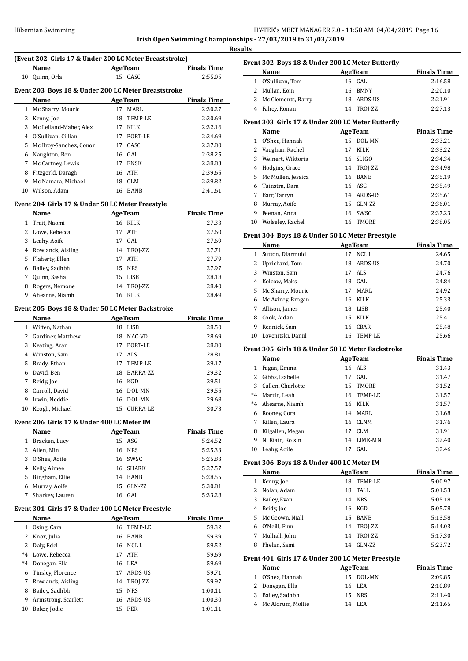# **Irish Open Swimming Championships - 27/03/2019 to 31/03/2019**

**Results**

|              |                                                                |                |                 | <b>Irish Open Swimming Champions</b> |
|--------------|----------------------------------------------------------------|----------------|-----------------|--------------------------------------|
|              | (Event 202 Girls 17 & Under 200 LC Meter Breaststroke)<br>Name | <b>AgeTeam</b> |                 | <b>Finals Time</b>                   |
| 10           | Quinn, Orla                                                    |                | 15 CASC         | 2:55.05                              |
|              |                                                                |                |                 |                                      |
|              | Event 203 Boys 18 & Under 200 LC Meter Breaststroke            |                |                 |                                      |
|              | Name                                                           | AgeTeam        |                 | <b>Finals Time</b>                   |
| 1            | Mc Sharry, Mouric                                              | 17             | MARL            | 2:30.27                              |
| 2            | Kenny, Joe                                                     | 18             | TEMP-LE         | 2:30.69                              |
| 3            | Mc Lelland-Maher, Alex                                         | 17             | <b>KILK</b>     | 2:32.16                              |
|              | 4 O'Sullivan, Cillian                                          |                | 17 PORT-LE      | 2:34.69                              |
| 5            | Mc Ilroy-Sanchez, Conor                                        | 17             | CASC            | 2:37.80                              |
|              | 6 Naughton, Ben                                                | 16 GAL         |                 | 2:38.25                              |
| 7            |                                                                |                | 17 ENSK         |                                      |
|              | Mc Cartney, Lewis                                              |                |                 | 2:38.83                              |
| 8            | Fitzgerld, Daragh                                              | 16 ATH         |                 | 2:39.65                              |
| 9            | Mc Namara, Michael                                             |                | 18 CLM          | 2:39.82                              |
|              | 10 Wilson, Adam                                                |                | 16 BANB         | 2:41.61                              |
|              | Event 204 Girls 17 & Under 50 LC Meter Freestyle               |                |                 |                                      |
|              | Name                                                           | <b>AgeTeam</b> |                 | <b>Finals Time</b>                   |
|              |                                                                |                |                 |                                      |
| $\mathbf{1}$ | Trait, Naomi                                                   |                | 16 KILK         | 27.33                                |
| 2            | Lowe, Rebecca                                                  | 17             | ATH             | 27.60                                |
| 3            | Leahy, Aoife                                                   | 17             | GAL             | 27.69                                |
| 4            | Rowlands, Aisling                                              | 14             | TROJ-ZZ         | 27.71                                |
| 5            | Flaherty, Ellen                                                | 17             | ATH             | 27.79                                |
| 6            | Bailey, Sadhbh                                                 | 15 NRS         |                 | 27.97                                |
|              | 7 Quinn, Sasha                                                 |                | 15 LISB         | 28.18                                |
| 8            | Rogers, Nemone                                                 |                | 14 TROJ-ZZ      | 28.40                                |
| 9            | Ahearne, Niamh                                                 |                | 16 KILK         | 28.49                                |
|              |                                                                |                |                 |                                      |
|              | Event 205 Boys 18 & Under 50 LC Meter Backstroke               |                |                 |                                      |
|              | Name                                                           | <b>AgeTeam</b> |                 | <b>Finals Time</b>                   |
|              | 1 Wiffen, Nathan                                               |                | 18 LISB         | 28.50                                |
|              | 2 Gardiner, Matthew                                            |                | 18 NAC-VD       | 28.69                                |
| 3            | Keating, Aran                                                  | 17             | PORT-LE         | 28.80                                |
|              | 4 Winston, Sam                                                 | 17             | <b>ALS</b>      | 28.81                                |
| 5            | Brady, Ethan                                                   | 17             | TEMP-LE         | 29.17                                |
| 6            | David, Ben                                                     |                | 18 BARRA-ZZ     | 29.32                                |
|              | 7 Reidy, Joe                                                   | 16 KGD         |                 | 29.51                                |
| 8            | Carroll, David                                                 | 16             | DOL-MN          | 29.55                                |
| 9            | Irwin, Neddie                                                  | 16             | DOL-MN          | 29.68                                |
|              | 10 Keogh, Michael                                              | 15             | <b>CURRA-LE</b> | 30.73                                |
|              |                                                                |                |                 |                                      |
|              | Event 206  Girls 17 & Under 400 LC Meter IM                    |                |                 |                                      |
|              | Name                                                           | <b>AgeTeam</b> |                 | <b>Finals Time</b>                   |
| $\mathbf{1}$ | Bracken, Lucy                                                  | 15 ASG         |                 | 5:24.52                              |
| 2            | Allen, Min                                                     | 16 NRS         |                 | 5:25.33                              |
| 3            | O'Shea, Aoife                                                  |                | 16 SWSC         | 5:25.83                              |
| 4            | Kelly, Aimee                                                   |                | 16 SHARK        | 5:27.57                              |
| 5            | Bingham, Ellie                                                 |                | 14 BANB         | 5:28.55                              |
| 6            | Murray, Aoife                                                  | 15             | GLN-ZZ          | 5:30.81                              |
| 7            | Sharkey, Lauren                                                | 16 GAL         |                 | 5:33.28                              |
|              |                                                                |                |                 |                                      |
|              | Event 301  Girls 17 & Under 100 LC Meter Freestyle             |                |                 |                                      |
|              | Name                                                           | <b>AgeTeam</b> |                 | <b>Finals Time</b>                   |
| $\mathbf{1}$ | Osing, Cara                                                    |                | 16 TEMP-LE      | 59.32                                |
| 2            | Knox, Julia                                                    |                | 16 BANB         | 59.39                                |
| 3            | Daly, Edel                                                     |                | 16 NCL L        | 59.52                                |
| $^*4$        | Lowe, Rebecca                                                  | 17             | ATH             | 59.69                                |
|              | Donegan, Ella                                                  | 16 LEA         |                 |                                      |
|              | Tinsley, Florence                                              |                |                 | 59.69                                |
| $^*4$        |                                                                | 17             | ARDS-US         | 59.71                                |
| 6            |                                                                |                |                 |                                      |
| 7            | Rowlands, Aisling                                              | 14             | TROJ-ZZ         | 59.97                                |
| 8            | Bailey, Sadhbh                                                 | 15             | ${\tt NRS}$     | 1:00.11                              |
| 9            | Armstrong, Scarlett                                            | 16             | ARDS-US         | 1:00.30                              |

| Event 302 Boys 18 & Under 200 LC Meter Butterfly |                      |  |                |                    |
|--------------------------------------------------|----------------------|--|----------------|--------------------|
|                                                  | Name                 |  | <b>AgeTeam</b> | <b>Finals Time</b> |
|                                                  | 1 O'Sullivan, Tom    |  | 16 GAL         | 2:16.58            |
|                                                  | 2 Mullan, Eoin       |  | 16 BMNY        | 2:20.10            |
|                                                  | 3 Mc Clements, Barry |  | 18 ARDS-US     | 2:21.91            |
|                                                  | 4 Fahey, Ronan       |  | 14 TROJ-ZZ     | 2:27.13            |

## **Event 303 Girls 17 & Under 200 LC Meter Butterfly**

|    | <b>AgeTeam</b><br>Name |    |             | <b>Finals Time</b> |
|----|------------------------|----|-------------|--------------------|
| 1  | O'Shea, Hannah         | 15 | DOL-MN      | 2:33.21            |
|    | 2 Vaughan, Rachel      | 17 | <b>KILK</b> | 2:33.22            |
| 3  | Weinert, Wiktoria      |    | 16 SLIGO    | 2:34.34            |
| 4  | Hodgins, Grace         |    | 14 TROJ-ZZ  | 2:34.98            |
|    | 5 Mc Mullen, Jessica   | 16 | BANB        | 2:35.19            |
| 6  | Tuinstra. Dara         |    | 16 ASG      | 2:35.49            |
| 7  | Barr, Tarryn           |    | 14 ARDS-US  | 2:35.61            |
| 8  | Murray, Aoife          | 15 | GLN-ZZ      | 2:36.01            |
| 9  | Feenan, Anna           |    | 16 SWSC     | 2:37.23            |
| 10 | Wolseley, Rachel       | 16 | TMORE       | 2:38.05            |
|    |                        |    |             |                    |

#### **Event 304 Boys 18 & Under 50 LC Meter Freestyle**

|              | Name               |    | <b>AgeTeam</b> | <b>Finals Time</b> |
|--------------|--------------------|----|----------------|--------------------|
| 1            | Sutton, Diarmuid   | 17 | NCL L          | 24.65              |
| $\mathbf{2}$ | Uprichard, Tom     | 18 | ARDS-US        | 24.70              |
| 3            | Winston, Sam       | 17 | ALS.           | 24.76              |
| 4            | Kolcow. Maks       |    | 18 GAL         | 24.84              |
| 5            | Mc Sharry, Mouric  | 17 | MARI.          | 24.92              |
| 6            | Mc Aviney, Brogan  |    | 16 KILK        | 25.33              |
| 7            | Allison, James     | 18 | LISB           | 25.40              |
| 8            | Cook. Aidan        | 15 | KILK           | 25.41              |
| 9            | Rennick, Sam       | 16 | CBAR           | 25.48              |
| 10           | Lovenitski, Daniil |    | 16 TEMP-LE     | 25.66              |

#### **Event 305 Girls 18 & Under 50 LC Meter Backstroke**

|         | Name                |    | <b>AgeTeam</b> | <b>Finals Time</b> |
|---------|---------------------|----|----------------|--------------------|
| 1       | Fagan, Emma         |    | 16 ALS         | 31.43              |
|         | 2 Gibbs, Isabelle   | 17 | GAL.           | 31.47              |
|         | 3 Cullen, Charlotte |    | 15 TMORE       | 31.52              |
| $*4$    | Martin, Leah        |    | 16 TEMP-LE     | 31.57              |
| $*_{4}$ | Ahearne, Niamh      |    | 16 KILK        | 31.57              |
| 6       | Rooney, Cora        | 14 | MARL           | 31.68              |
| 7       | Killen, Laura       | 16 | CLNM           | 31.76              |
| 8       | Kilgallen, Megan    | 17 | CLM            | 31.91              |
| 9       | Ni Riain, Roisin    | 14 | LIMK-MN        | 32.40              |
| 10      | Leahy, Aoife        | 17 | GAL.           | 32.46              |

#### **Event 306 Boys 18 & Under 400 LC Meter IM**

|   | Name              |    | <b>AgeTeam</b> | <b>Finals Time</b> |
|---|-------------------|----|----------------|--------------------|
| 1 | Kenny, Joe        | 18 | TEMP-LE        | 5:00.97            |
| 2 | Nolan, Adam       | 18 | TALL           | 5:01.53            |
| 3 | Bailey, Evan      |    | 14 NRS         | 5:05.18            |
| 4 | Reidy, Joe        | 16 | KGD            | 5:05.78            |
|   | 5 Mc Geown, Niall | 15 | <b>BANB</b>    | 5:13.58            |
| 6 | O'Neill, Finn     |    | 14 TROJ-ZZ     | 5:14.03            |
|   | Mulhall, John     |    | 14 TROJ-ZZ     | 5:17.30            |
| 8 | Phelan, Sami      | 14 | $GLN-ZZ$       | 5:23.72            |

#### **Event 401 Girls 17 & Under 200 LC Meter Freestyle**

| Name                | <b>AgeTeam</b> | <b>Finals Time</b> |
|---------------------|----------------|--------------------|
| 1 O'Shea, Hannah    | 15 DOL-MN      | 2:09.85            |
| 2 Donegan, Ella     | 16 LEA         | 2:10.89            |
| 3 Bailey, Sadhbh    | 15 NRS         | 2:11.40            |
| 4 Mc Alorum, Mollie | 14 LEA         | 2:11.65            |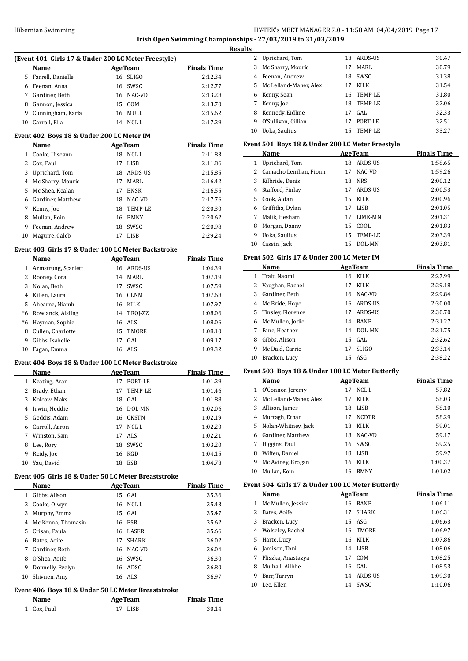# **Irish Open Swimming Championships - 27/03/2019 to 31/03/2019**

|              |                                           | (Event 401 Girls 17 & Under 200 LC Meter Freestyle)                  |                    |
|--------------|-------------------------------------------|----------------------------------------------------------------------|--------------------|
|              | Name                                      | <b>Example 2018 Age Team</b>                                         | <b>Finals Time</b> |
|              | 5 Farrell, Danielle                       | 16 SLIGO                                                             | 2:12.34            |
|              | 6 Feenan, Anna                            | 16 SWSC                                                              | 2:12.77            |
|              | 7 Gardiner, Beth                          | 16 NAC-VD                                                            | 2:13.28            |
|              | 8 Gannon, Jessica                         | 15 COM                                                               | 2:13.70            |
|              | 9 Cunningham, Karla                       | 16 MULL                                                              | 2:15.62            |
|              | 10 Carroll, Ella                          | 14 NCLL                                                              | 2:17.29            |
|              | Event 402 Boys 18 & Under 200 LC Meter IM |                                                                      |                    |
|              | Name                                      | <b>Example 21 Age Team</b>                                           | <b>Finals Time</b> |
|              | 1 Cooke, Uiseann                          | 18 NCLL                                                              | 2:11.83            |
|              | 2 Cox, Paul                               | 17 LISB                                                              | 2:11.86            |
|              | 3 Uprichard, Tom                          | 18 ARDS-US                                                           | 2:15.85            |
|              | 4 Mc Sharry, Mouric                       | 17 MARL                                                              | 2:16.42            |
|              | 5 Mc Shea, Kealan                         | 17 ENSK                                                              | 2:16.55            |
|              |                                           |                                                                      |                    |
|              | 6 Gardiner, Matthew                       | 18 NAC-VD                                                            | 2:17.76            |
|              | 7 Kenny, Joe                              | 18 TEMP-LE                                                           | 2:20.30            |
|              | 8 Mullan, Eoin                            | 16 BMNY                                                              | 2:20.62            |
|              | 9 Feenan, Andrew                          | 18 SWSC                                                              | 2:20.98            |
|              | 10 Maguire, Caleb                         | 17 LISB                                                              | 2:29.24            |
|              |                                           | Event 403 Girls 17 & Under 100 LC Meter Backstroke                   |                    |
|              | Name                                      | <b>Example 2</b> Age Team                                            | <b>Finals Time</b> |
|              | 1 Armstrong, Scarlett                     | 16 ARDS-US                                                           | 1:06.39            |
|              | 2 Rooney, Cora                            | 14 MARL                                                              | 1:07.19            |
|              | 3 Nolan, Beth                             | 17 SWSC                                                              | 1:07.59            |
|              | 4 Killen, Laura                           | 16 CLNM                                                              | 1:07.68            |
|              | 5 Ahearne, Niamh                          | 16 KILK                                                              | 1:07.97            |
|              | *6 Rowlands, Aisling                      | 14 TROJ-ZZ                                                           | 1:08.06            |
|              | *6 Hayman, Sophie                         | 16 ALS                                                               | 1:08.06            |
|              | 8 Cullen, Charlotte                       | 15 TMORE                                                             | 1:08.10            |
| 9            | Gibbs, Isabelle                           | 17 GAL                                                               | 1:09.17            |
|              | 10 Fagan, Emma                            | 16 ALS                                                               | 1:09.32            |
|              |                                           | Event 404 Boys 18 & Under 100 LC Meter Backstroke                    |                    |
|              |                                           |                                                                      | <b>Finals Time</b> |
|              | Name                                      | <b>AgeTeam</b>                                                       |                    |
|              | 1 Keating, Aran                           | 17 PORT-LE                                                           | 1:01.29            |
|              | 2 Brady, Ethan                            | 17 TEMP-LE                                                           | 1:01.46            |
| 3            | Kolcow, Maks                              | 18<br>GAL                                                            | 1:01.88            |
| 4            | Irwin, Neddie                             | 16<br>DOL-MN                                                         | 1:02.06            |
| 5            | Geddis, Adam                              | 16<br><b>CKSTN</b>                                                   | 1:02.19            |
| 6            | Carroll, Aaron                            | NCL L<br>17                                                          | 1:02.20            |
|              | 7 Winston, Sam                            | ALS<br>17                                                            | 1:02.21            |
| 8            | Lee, Rory                                 | SWSC<br>18                                                           | 1:03.20            |
| 9            | Reidy, Joe                                | 16 KGD                                                               | 1:04.15            |
| 10           | Yau, David                                | 18 ESB                                                               | 1:04.78            |
|              |                                           | Event 405 Girls 18 & Under 50 LC Meter Breaststroke                  |                    |
|              | Name                                      | <b>AgeTeam</b>                                                       | <b>Finals Time</b> |
| $\mathbf{1}$ | Gibbs, Alison                             | 15 GAL                                                               | 35.36              |
| 2            | Cooke, Olwyn                              | 16 NCL L                                                             | 35.43              |
| 3            | Murphy, Emma                              | GAL<br>15                                                            | 35.47              |
| 4            | Mc Kenna, Thomasin                        | 16 ESB                                                               | 35.62              |
| 5.           | Crisan, Paula                             | 16 LASER                                                             | 35.66              |
| 6            | Bates, Aoife                              | <b>SHARK</b><br>17                                                   | 36.02              |
| 7            | Gardiner, Beth                            | 16 NAC-VD                                                            | 36.04              |
| 8            | O'Shea, Aoife                             | 16 SWSC                                                              | 36.30              |
|              | 9 Donnelly, Evelyn                        | 16 ADSC                                                              | 36.80              |
| 10           | Shivnen, Amy                              | 16 ALS                                                               | 36.97              |
|              |                                           |                                                                      |                    |
|              | Name                                      | Event 406 Boys 18 & Under 50 LC Meter Breaststroke<br><b>AgeTeam</b> | <b>Finals Time</b> |

|    | 2 Uprichard, Tom         | 18  | ARDS-US    | 30.47 |
|----|--------------------------|-----|------------|-------|
| 3  | Mc Sharry, Mouric        | 17  | MARI.      | 30.79 |
| 4  | Feenan, Andrew           | 18  | SWSC       | 31.38 |
|    | 5 Mc Lelland-Maher, Alex | 17  | KILK       | 31.54 |
| 6  | Kenny, Sean              |     | 16 TEMP-LE | 31.80 |
| 7  | Kenny, Joe               | 18  | TEMP-LE    | 32.06 |
| 8  | Kennedy, Eidhne          | 17  | GAL.       | 32.33 |
| 9  | O'Sullivan, Cillian      | 17  | PORT-LE    | 32.51 |
| 10 | Uoka. Saulius            | 15. | TEMP-LE    | 33.27 |

#### **Event 501 Boys 18 & Under 200 LC Meter Freestyle**

|    | Name                   |    | <b>AgeTeam</b> | <b>Finals Time</b> |
|----|------------------------|----|----------------|--------------------|
| 1  | Uprichard, Tom         | 18 | ARDS-US        | 1:58.65            |
| 2  | Camacho Lenihan, Fionn | 17 | NAC-VD         | 1:59.26            |
| 3  | Kilbride, Denis        | 18 | <b>NRS</b>     | 2:00.12            |
| 4  | Stafford, Finlay       | 17 | ARDS-US        | 2:00.53            |
| 5  | Cook, Aidan            | 15 | KILK           | 2:00.96            |
| 6  | Griffiths, Dylan       | 17 | LISB           | 2:01.05            |
| 7  | Malik, Hesham          | 17 | LIMK-MN        | 2:01.31            |
| 8  | Morgan, Danny          | 15 | COOL.          | 2:01.83            |
| 9  | Uoka, Saulius          | 15 | TEMP-LE        | 2:03.39            |
| 10 | Cassin, Jack           | 15 | DOL-MN         | 2:03.81            |

#### **Event 502 Girls 17 & Under 200 LC Meter IM**

|    | Name                | <b>AgeTeam</b> |              | <b>Finals Time</b> |
|----|---------------------|----------------|--------------|--------------------|
| 1  | Trait, Naomi        | 16             | <b>KILK</b>  | 2:27.99            |
| 2  | Vaughan, Rachel     | 17             | <b>KILK</b>  | 2:29.18            |
| 3  | Gardiner. Beth      |                | 16 NAC-VD    | 2:29.84            |
| 4  | Mc Bride, Hope      | 16             | ARDS-US      | 2:30.00            |
|    | 5 Tinsley, Florence | 17             | ARDS-US      | 2:30.70            |
| 6  | Mc Mullen, Jodie    | 14             | <b>BANB</b>  | 2:31.27            |
| 7  | Fane, Heather       | 14             | DOL-MN       | 2:31.75            |
| 8  | Gibbs, Alison       |                | $15$ GAL     | 2:32.62            |
| 9  | Mc Daid. Carrie     | 17             | <b>SLIGO</b> | 2:33.14            |
| 10 | Bracken, Lucy       |                | $15$ ASG     | 2:38.22            |

## **Event 503 Boys 18 & Under 100 LC Meter Butterfly**

|    | Name                     |    | <b>AgeTeam</b> | <b>Finals Time</b> |
|----|--------------------------|----|----------------|--------------------|
| 1  | O'Connor, Jeremy         | 17 | NCL L          | 57.82              |
|    | 2 Mc Lelland-Maher, Alex | 17 | <b>KILK</b>    | 58.03              |
| 3  | Allison, James           | 18 | LISB           | 58.10              |
| 4  | Murtagh, Ethan           | 17 | <b>NCDTR</b>   | 58.29              |
| 5  | Nolan-Whitney, Jack      | 18 | KILK           | 59.01              |
| 6  | Gardiner, Matthew        | 18 | NAC-VD         | 59.17              |
| 7  | Higgins, Paul            | 16 | SWSC           | 59.25              |
| 8  | Wiffen. Daniel           | 18 | LISB           | 59.97              |
| 9  | Mc Aviney, Brogan        | 16 | KILK           | 1:00.37            |
| 10 | Mullan. Eoin             | 16 | <b>RMNY</b>    | 1:01.02            |

#### **Event 504 Girls 17 & Under 100 LC Meter Butterfly**

|               | Name                 |    | <b>AgeTeam</b> | <b>Finals Time</b> |
|---------------|----------------------|----|----------------|--------------------|
|               | 1 Mc Mullen, Jessica | 16 | BANB           | 1:06.11            |
| $\mathcal{L}$ | Bates, Aoife         | 17 | <b>SHARK</b>   | 1:06.31            |
| 3             | Bracken, Lucy        |    | $15$ ASG       | 1:06.63            |
| 4             | Wolseley, Rachel     |    | 16 TMORE       | 1:06.97            |
| 5.            | Harte, Lucy          |    | 16 KILK        | 1:07.86            |
| 6             | Jamison, Toni        | 14 | LISB           | 1:08.06            |
| 7             | Pliszka, Anastazya   | 17 | COM            | 1:08.25            |
| 8             | Mulhall, Ailbhe      |    | $16$ GAL       | 1:08.53            |
| 9             | Barr, Tarryn         | 14 | ARDS-US        | 1:09.30            |
| 10            | Lee. Ellen           | 14 | SWSC           | 1:10.06            |